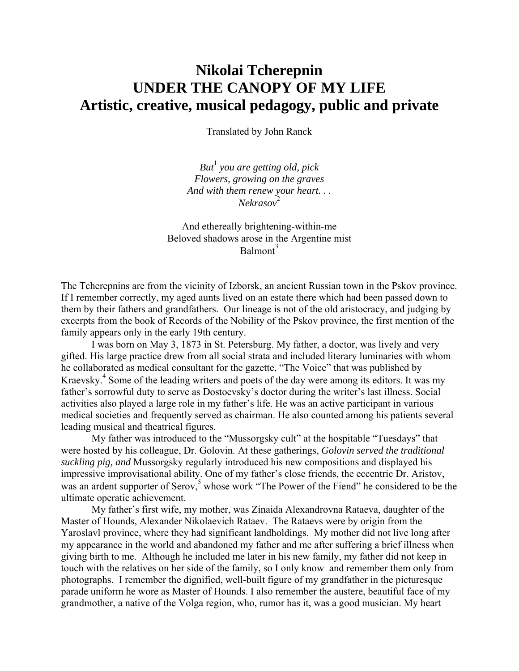# **Nikolai Tcherepnin UNDER THE CANOPY OF MY LIFE Artistic, creative, musical pedagogy, public and private**

Translated by John Ranck

*But*<sup>1</sup>  *you are getting old, pick Flowers, growing on the graves And with them renew your heart. . . Nekrasov*<sup>2</sup>

And ethereally brightening-within-me Beloved shadows arose in the Argentine mist  $Balmont<sup>3</sup>$ 

The Tcherepnins are from the vicinity of Izborsk, an ancient Russian town in the Pskov province. If I remember correctly, my aged aunts lived on an estate there which had been passed down to them by their fathers and grandfathers. Our lineage is not of the old aristocracy, and judging by excerpts from the book of Records of the Nobility of the Pskov province, the first mention of the family appears only in the early 19th century.

I was born on May 3, 1873 in St. Petersburg. My father, a doctor, was lively and very gifted. His large practice drew from all social strata and included literary luminaries with whom he collaborated as medical consultant for the gazette, "The Voice" that was published by Kraevsky.4 Some of the leading writers and poets of the day were among its editors. It was my father's sorrowful duty to serve as Dostoevsky's doctor during the writer's last illness. Social activities also played a large role in my father's life. He was an active participant in various medical societies and frequently served as chairman. He also counted among his patients several leading musical and theatrical figures.

My father was introduced to the "Mussorgsky cult" at the hospitable "Tuesdays" that were hosted by his colleague, Dr. Golovin. At these gatherings, *Golovin served the traditional suckling pig, and* Mussorgsky regularly introduced his new compositions and displayed his impressive improvisational ability. One of my father's close friends, the eccentric Dr. Aristov, was an ardent supporter of Serov,<sup>5</sup> whose work "The Power of the Fiend" he considered to be the ultimate operatic achievement.

My father's first wife, my mother, was Zinaida Alexandrovna Rataeva, daughter of the Master of Hounds, Alexander Nikolaevich Rataev. The Rataevs were by origin from the Yaroslavl province, where they had significant landholdings. My mother did not live long after my appearance in the world and abandoned my father and me after suffering a brief illness when giving birth to me. Although he included me later in his new family, my father did not keep in touch with the relatives on her side of the family, so I only know and remember them only from photographs. I remember the dignified, well-built figure of my grandfather in the picturesque parade uniform he wore as Master of Hounds. I also remember the austere, beautiful face of my grandmother, a native of the Volga region, who, rumor has it, was a good musician. My heart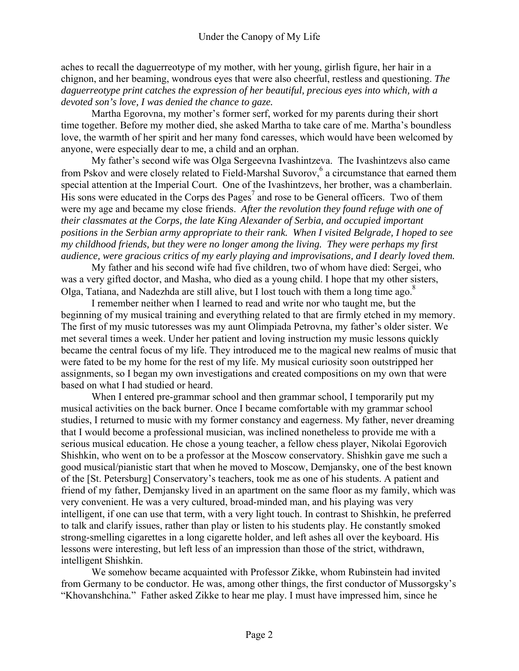aches to recall the daguerreotype of my mother, with her young, girlish figure, her hair in a chignon, and her beaming, wondrous eyes that were also cheerful, restless and questioning. *The daguerreotype print catches the expression of her beautiful, precious eyes into which, with a devoted son's love, I was denied the chance to gaze.* 

Martha Egorovna, my mother's former serf, worked for my parents during their short time together. Before my mother died, she asked Martha to take care of me. Martha's boundless love, the warmth of her spirit and her many fond caresses, which would have been welcomed by anyone, were especially dear to me, a child and an orphan.

 My father's second wife was Olga Sergeevna Ivashintzeva. The Ivashintzevs also came from Pskov and were closely related to Field-Marshal Suvorov,<sup>6</sup> a circumstance that earned them special attention at the Imperial Court. One of the Ivashintzevs, her brother, was a chamberlain.  $\overline{H}$  His sons were educated in the Corps des Pages<sup>7</sup> and rose to be General officers. Two of them were my age and became my close friends. *After the revolution they found refuge with one of their classmates at the Corps, the late King Alexander of Serbia, and occupied important positions in the Serbian army appropriate to their rank. When I visited Belgrade, I hoped to see my childhood friends, but they were no longer among the living. They were perhaps my first audience, were gracious critics of my early playing and improvisations, and I dearly loved them.*

My father and his second wife had five children, two of whom have died: Sergei, who was a very gifted doctor, and Masha, who died as a young child. I hope that my other sisters, Olga, Tatiana, and Nadezhda are still alive, but I lost touch with them a long time ago.<sup>8</sup>

I remember neither when I learned to read and write nor who taught me, but the beginning of my musical training and everything related to that are firmly etched in my memory. The first of my music tutoresses was my aunt Olimpiada Petrovna, my father's older sister. We met several times a week. Under her patient and loving instruction my music lessons quickly became the central focus of my life. They introduced me to the magical new realms of music that were fated to be my home for the rest of my life. My musical curiosity soon outstripped her assignments, so I began my own investigations and created compositions on my own that were based on what I had studied or heard.

When I entered pre-grammar school and then grammar school, I temporarily put my musical activities on the back burner. Once I became comfortable with my grammar school studies, I returned to music with my former constancy and eagerness. My father, never dreaming that I would become a professional musician, was inclined nonetheless to provide me with a serious musical education. He chose a young teacher, a fellow chess player, Nikolai Egorovich Shishkin, who went on to be a professor at the Moscow conservatory. Shishkin gave me such a good musical/pianistic start that when he moved to Moscow, Demjansky, one of the best known of the [St. Petersburg] Conservatory's teachers, took me as one of his students. A patient and friend of my father, Demjansky lived in an apartment on the same floor as my family, which was very convenient. He was a very cultured, broad-minded man, and his playing was very intelligent, if one can use that term, with a very light touch. In contrast to Shishkin, he preferred to talk and clarify issues, rather than play or listen to his students play. He constantly smoked strong-smelling cigarettes in a long cigarette holder, and left ashes all over the keyboard. His lessons were interesting, but left less of an impression than those of the strict, withdrawn, intelligent Shishkin.

We somehow became acquainted with Professor Zikke, whom Rubinstein had invited from Germany to be conductor. He was, among other things, the first conductor of Mussorgsky's "Khovanshchina*.*" Father asked Zikke to hear me play. I must have impressed him, since he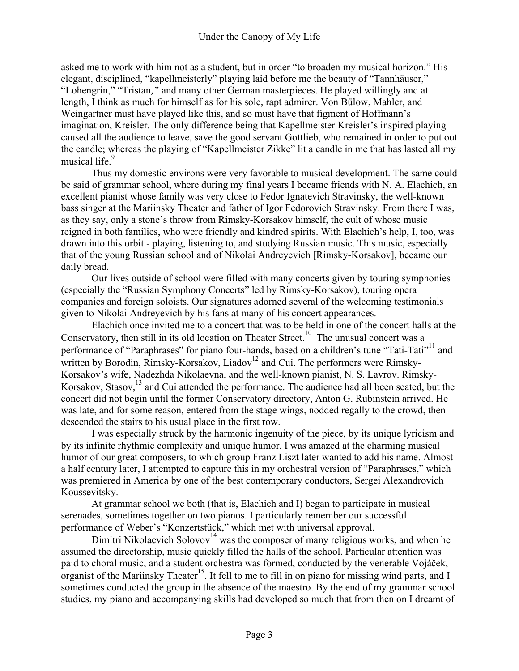asked me to work with him not as a student, but in order "to broaden my musical horizon." His elegant, disciplined, "kapellmeisterly" playing laid before me the beauty of "Tannhäuser," "Lohengrin," "Tristan*,"* and many other German masterpieces. He played willingly and at length, I think as much for himself as for his sole, rapt admirer. Von Bülow, Mahler, and Weingartner must have played like this, and so must have that figment of Hoffmann's imagination, Kreisler. The only difference being that Kapellmeister Kreisler's inspired playing caused all the audience to leave, save the good servant Gottlieb, who remained in order to put out the candle; whereas the playing of "Kapellmeister Zikke" lit a candle in me that has lasted all my musical life.<sup>9</sup>

Thus my domestic environs were very favorable to musical development. The same could be said of grammar school, where during my final years I became friends with N. A. Elachich, an excellent pianist whose family was very close to Fedor Ignatevich Stravinsky, the well-known bass singer at the Mariinsky Theater and father of Igor Fedorovich Stravinsky. From there I was, as they say, only a stone's throw from Rimsky-Korsakov himself, the cult of whose music reigned in both families, who were friendly and kindred spirits. With Elachich's help, I, too, was drawn into this orbit - playing, listening to, and studying Russian music. This music, especially that of the young Russian school and of Nikolai Andreyevich [Rimsky-Korsakov], became our daily bread.

Our lives outside of school were filled with many concerts given by touring symphonies (especially the "Russian Symphony Concerts" led by Rimsky-Korsakov), touring opera companies and foreign soloists. Our signatures adorned several of the welcoming testimonials given to Nikolai Andreyevich by his fans at many of his concert appearances.

Elachich once invited me to a concert that was to be held in one of the concert halls at the Conservatory, then still in its old location on Theater Street.<sup>10</sup> The unusual concert was a performance of "Paraphrases" for piano four-hands, based on a children's tune "Tati-Tati"<sup>11</sup> and written by Borodin, Rimsky-Korsakov, Liadov<sup>12</sup> and Cui. The performers were Rimsky-Korsakov's wife, Nadezhda Nikolaevna, and the well-known pianist, N. S. Lavrov. Rimsky-Korsakov, Stasov,<sup>13</sup> and Cui attended the performance. The audience had all been seated, but the concert did not begin until the former Conservatory directory, Anton G. Rubinstein arrived. He was late, and for some reason, entered from the stage wings, nodded regally to the crowd, then descended the stairs to his usual place in the first row.

I was especially struck by the harmonic ingenuity of the piece, by its unique lyricism and by its infinite rhythmic complexity and unique humor. I was amazed at the charming musical humor of our great composers, to which group Franz Liszt later wanted to add his name. Almost a half century later, I attempted to capture this in my orchestral version of "Paraphrases," which was premiered in America by one of the best contemporary conductors, Sergei Alexandrovich Koussevitsky.

At grammar school we both (that is, Elachich and I) began to participate in musical serenades, sometimes together on two pianos. I particularly remember our successful performance of Weber's "Konzertstück," which met with universal approval.

Dimitri Nikolaevich Solovov<sup>14</sup> was the composer of many religious works, and when he assumed the directorship, music quickly filled the halls of the school. Particular attention was paid to choral music, and a student orchestra was formed, conducted by the venerable Vojáček, organist of the Mariinsky Theater<sup>15</sup>. It fell to me to fill in on piano for missing wind parts, and I sometimes conducted the group in the absence of the maestro. By the end of my grammar school studies, my piano and accompanying skills had developed so much that from then on I dreamt of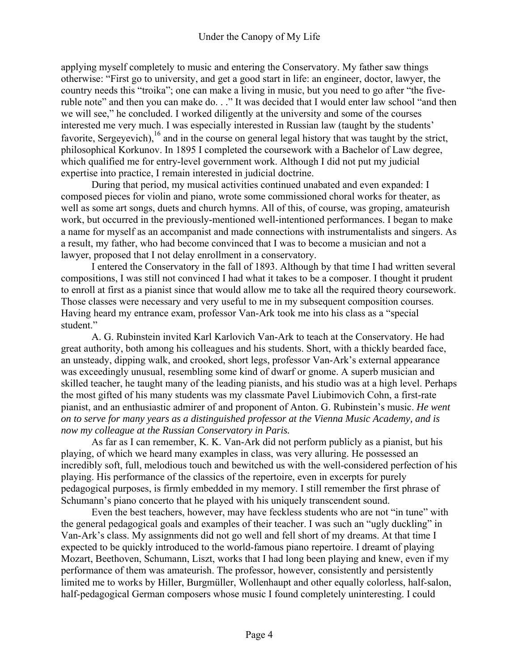applying myself completely to music and entering the Conservatory. My father saw things otherwise: "First go to university, and get a good start in life: an engineer, doctor, lawyer, the country needs this "troika"; one can make a living in music, but you need to go after "the fiveruble note" and then you can make do. . ." It was decided that I would enter law school "and then we will see," he concluded. I worked diligently at the university and some of the courses interested me very much. I was especially interested in Russian law (taught by the students' favorite, Sergeyevich), $^{16}$  and in the course on general legal history that was taught by the strict, philosophical Korkunov. In 1895 I completed the coursework with a Bachelor of Law degree, which qualified me for entry-level government work. Although I did not put my judicial expertise into practice, I remain interested in judicial doctrine.

During that period, my musical activities continued unabated and even expanded: I composed pieces for violin and piano, wrote some commissioned choral works for theater, as well as some art songs, duets and church hymns. All of this, of course, was groping, amateurish work, but occurred in the previously-mentioned well-intentioned performances. I began to make a name for myself as an accompanist and made connections with instrumentalists and singers. As a result, my father, who had become convinced that I was to become a musician and not a lawyer, proposed that I not delay enrollment in a conservatory.

I entered the Conservatory in the fall of 1893. Although by that time I had written several compositions, I was still not convinced I had what it takes to be a composer. I thought it prudent to enroll at first as a pianist since that would allow me to take all the required theory coursework. Those classes were necessary and very useful to me in my subsequent composition courses. Having heard my entrance exam, professor Van-Ark took me into his class as a "special student."

A. G. Rubinstein invited Karl Karlovich Van-Ark to teach at the Conservatory. He had great authority, both among his colleagues and his students. Short, with a thickly bearded face, an unsteady, dipping walk, and crooked, short legs, professor Van-Ark's external appearance was exceedingly unusual, resembling some kind of dwarf or gnome. A superb musician and skilled teacher, he taught many of the leading pianists, and his studio was at a high level. Perhaps the most gifted of his many students was my classmate Pavel Liubimovich Cohn, a first-rate pianist, and an enthusiastic admirer of and proponent of Anton. G. Rubinstein's music. *He went on to serve for many years as a distinguished professor at the Vienna Music Academy, and is now my colleague at the Russian Conservatory in Paris.* 

As far as I can remember, K. K. Van-Ark did not perform publicly as a pianist, but his playing, of which we heard many examples in class, was very alluring. He possessed an incredibly soft, full, melodious touch and bewitched us with the well-considered perfection of his playing. His performance of the classics of the repertoire, even in excerpts for purely pedagogical purposes, is firmly embedded in my memory. I still remember the first phrase of Schumann's piano concerto that he played with his uniquely transcendent sound.

Even the best teachers, however, may have feckless students who are not "in tune" with the general pedagogical goals and examples of their teacher. I was such an "ugly duckling" in Van-Ark's class. My assignments did not go well and fell short of my dreams. At that time I expected to be quickly introduced to the world-famous piano repertoire. I dreamt of playing Mozart, Beethoven, Schumann, Liszt, works that I had long been playing and knew, even if my performance of them was amateurish. The professor, however, consistently and persistently limited me to works by Hiller, Burgmüller, Wollenhaupt and other equally colorless, half-salon, half-pedagogical German composers whose music I found completely uninteresting. I could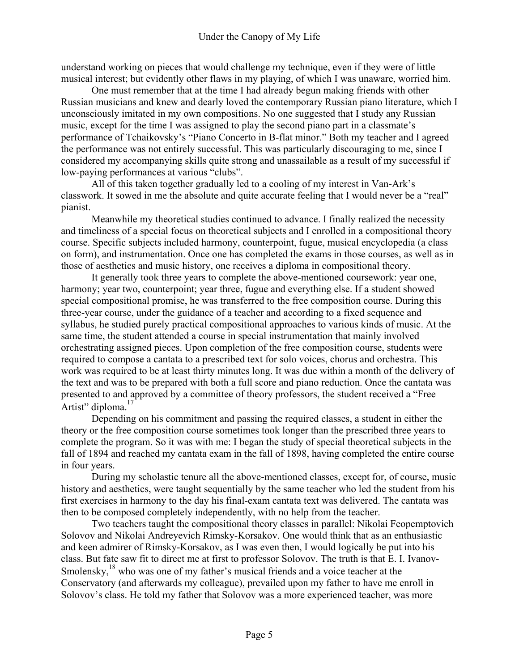understand working on pieces that would challenge my technique, even if they were of little musical interest; but evidently other flaws in my playing, of which I was unaware, worried him.

One must remember that at the time I had already begun making friends with other Russian musicians and knew and dearly loved the contemporary Russian piano literature, which I unconsciously imitated in my own compositions. No one suggested that I study any Russian music, except for the time I was assigned to play the second piano part in a classmate's performance of Tchaikovsky's "Piano Concerto in B-flat minor." Both my teacher and I agreed the performance was not entirely successful. This was particularly discouraging to me, since I considered my accompanying skills quite strong and unassailable as a result of my successful if low-paying performances at various "clubs".

All of this taken together gradually led to a cooling of my interest in Van-Ark's classwork. It sowed in me the absolute and quite accurate feeling that I would never be a "real" pianist.

Meanwhile my theoretical studies continued to advance. I finally realized the necessity and timeliness of a special focus on theoretical subjects and I enrolled in a compositional theory course. Specific subjects included harmony, counterpoint, fugue, musical encyclopedia (a class on form), and instrumentation. Once one has completed the exams in those courses, as well as in those of aesthetics and music history, one receives a diploma in compositional theory.

It generally took three years to complete the above-mentioned coursework: year one, harmony; year two, counterpoint; year three, fugue and everything else. If a student showed special compositional promise, he was transferred to the free composition course. During this three-year course, under the guidance of a teacher and according to a fixed sequence and syllabus, he studied purely practical compositional approaches to various kinds of music. At the same time, the student attended a course in special instrumentation that mainly involved orchestrating assigned pieces. Upon completion of the free composition course, students were required to compose a cantata to a prescribed text for solo voices, chorus and orchestra. This work was required to be at least thirty minutes long. It was due within a month of the delivery of the text and was to be prepared with both a full score and piano reduction. Once the cantata was presented to and approved by a committee of theory professors, the student received a "Free Artist" diploma.<sup>17</sup>

Depending on his commitment and passing the required classes, a student in either the theory or the free composition course sometimes took longer than the prescribed three years to complete the program. So it was with me: I began the study of special theoretical subjects in the fall of 1894 and reached my cantata exam in the fall of 1898, having completed the entire course in four years.

During my scholastic tenure all the above-mentioned classes, except for, of course, music history and aesthetics, were taught sequentially by the same teacher who led the student from his first exercises in harmony to the day his final-exam cantata text was delivered. The cantata was then to be composed completely independently, with no help from the teacher.

Two teachers taught the compositional theory classes in parallel: Nikolai Feopemptovich Solovov and Nikolai Andreyevich Rimsky-Korsakov. One would think that as an enthusiastic and keen admirer of Rimsky-Korsakov, as I was even then, I would logically be put into his class. But fate saw fit to direct me at first to professor Solovov. The truth is that E. I. Ivanov-Smolensky,<sup>18</sup> who was one of my father's musical friends and a voice teacher at the Conservatory (and afterwards my colleague), prevailed upon my father to have me enroll in Solovov's class. He told my father that Solovov was a more experienced teacher, was more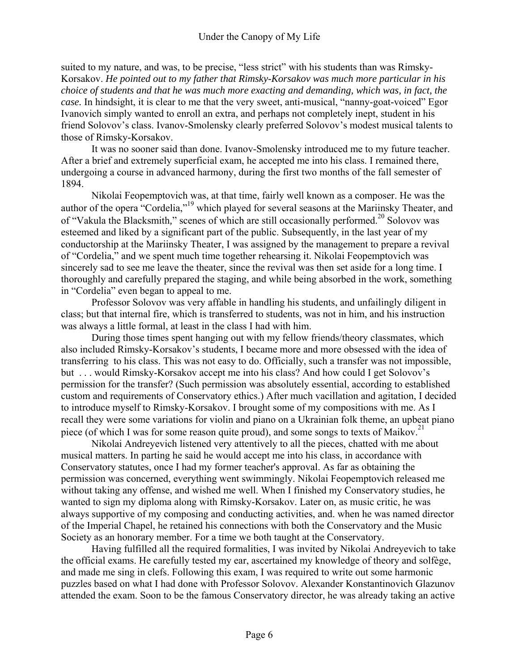suited to my nature, and was, to be precise, "less strict" with his students than was Rimsky-Korsakov. *He pointed out to my father that Rimsky-Korsakov was much more particular in his choice of students and that he was much more exacting and demanding, which was, in fact, the case.* In hindsight, it is clear to me that the very sweet, anti-musical, "nanny-goat-voiced" Egor Ivanovich simply wanted to enroll an extra, and perhaps not completely inept, student in his friend Solovov's class. Ivanov-Smolensky clearly preferred Solovov's modest musical talents to those of Rimsky-Korsakov.

It was no sooner said than done. Ivanov-Smolensky introduced me to my future teacher. After a brief and extremely superficial exam, he accepted me into his class. I remained there, undergoing a course in advanced harmony, during the first two months of the fall semester of 1894.

Nikolai Feopemptovich was, at that time, fairly well known as a composer. He was the author of the opera "Cordelia,"<sup>19</sup> which played for several seasons at the Mariinsky Theater, and of "Vakula the Blacksmith," scenes of which are still occasionally performed.<sup>20</sup> Solovov was esteemed and liked by a significant part of the public. Subsequently, in the last year of my conductorship at the Mariinsky Theater, I was assigned by the management to prepare a revival of "Cordelia," and we spent much time together rehearsing it. Nikolai Feopemptovich was sincerely sad to see me leave the theater, since the revival was then set aside for a long time. I thoroughly and carefully prepared the staging, and while being absorbed in the work, something in "Cordelia" even began to appeal to me.

Professor Solovov was very affable in handling his students, and unfailingly diligent in class; but that internal fire, which is transferred to students, was not in him, and his instruction was always a little formal, at least in the class I had with him.

During those times spent hanging out with my fellow friends/theory classmates, which also included Rimsky-Korsakov's students, I became more and more obsessed with the idea of transferring to his class. This was not easy to do. Officially, such a transfer was not impossible, but . . . would Rimsky-Korsakov accept me into his class? And how could I get Solovov's permission for the transfer? (Such permission was absolutely essential, according to established custom and requirements of Conservatory ethics.) After much vacillation and agitation, I decided to introduce myself to Rimsky-Korsakov. I brought some of my compositions with me. As I recall they were some variations for violin and piano on a Ukrainian folk theme, an upbeat piano piece (of which I was for some reason quite proud), and some songs to texts of Maikov.<sup>21</sup>

Nikolai Andreyevich listened very attentively to all the pieces, chatted with me about musical matters. In parting he said he would accept me into his class, in accordance with Conservatory statutes, once I had my former teacher's approval. As far as obtaining the permission was concerned, everything went swimmingly. Nikolai Feopemptovich released me without taking any offense, and wished me well. When I finished my Conservatory studies, he wanted to sign my diploma along with Rimsky-Korsakov. Later on, as music critic, he was always supportive of my composing and conducting activities, and. when he was named director of the Imperial Chapel, he retained his connections with both the Conservatory and the Music Society as an honorary member. For a time we both taught at the Conservatory.

Having fulfilled all the required formalities, I was invited by Nikolai Andreyevich to take the official exams. He carefully tested my ear, ascertained my knowledge of theory and solfège, and made me sing in clefs. Following this exam, I was required to write out some harmonic puzzles based on what I had done with Professor Solovov. Alexander Konstantinovich Glazunov attended the exam. Soon to be the famous Conservatory director, he was already taking an active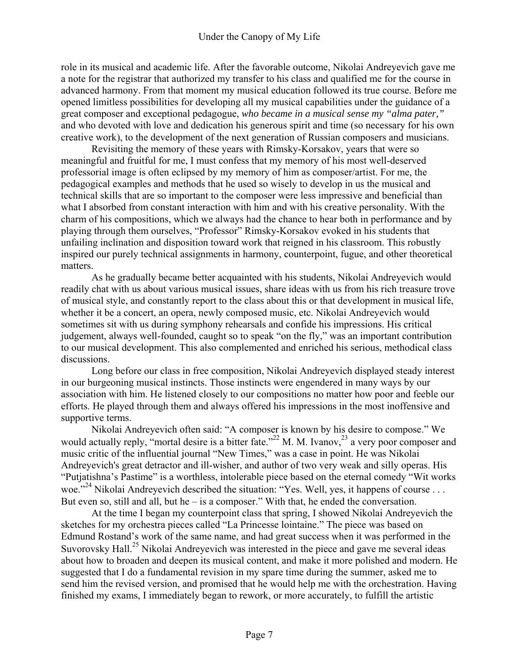role in its musical and academic life. After the favorable outcome, Nikolai Andreyevich gave me a note for the registrar that authorized my transfer to his class and qualified me for the course in advanced harmony. From that moment my musical education followed its true course. Before me opened limitless possibilities for developing all my musical capabilities under the guidance of a great composer and exceptional pedagogue, *who became in a musical sense my "alma pater,"* and who devoted with love and dedication his generous spirit and time (so necessary for his own creative work), to the development of the next generation of Russian composers and musicians.

Revisiting the memory of these years with Rimsky-Korsakov, years that were so meaningful and fruitful for me, I must confess that my memory of his most well-deserved professorial image is often eclipsed by my memory of him as composer/artist. For me, the pedagogical examples and methods that he used so wisely to develop in us the musical and technical skills that are so important to the composer were less impressive and beneficial than what I absorbed from constant interaction with him and with his creative personality. With the charm of his compositions, which we always had the chance to hear both in performance and by playing through them ourselves, "Professor" Rimsky-Korsakov evoked in his students that unfailing inclination and disposition toward work that reigned in his classroom. This robustly inspired our purely technical assignments in harmony, counterpoint, fugue, and other theoretical matters.

As he gradually became better acquainted with his students, Nikolai Andreyevich would readily chat with us about various musical issues, share ideas with us from his rich treasure trove of musical style, and constantly report to the class about this or that development in musical life, whether it be a concert, an opera, newly composed music, etc. Nikolai Andreyevich would sometimes sit with us during symphony rehearsals and confide his impressions. His critical judgement, always well-founded, caught so to speak "on the fly," was an important contribution to our musical development. This also complemented and enriched his serious, methodical class discussions.

Long before our class in free composition, Nikolai Andreyevich displayed steady interest in our burgeoning musical instincts. Those instincts were engendered in many ways by our association with him. He listened closely to our compositions no matter how poor and feeble our efforts. He played through them and always offered his impressions in the most inoffensive and supportive terms.

Nikolai Andreyevich often said: "A composer is known by his desire to compose." We would actually reply, "mortal desire is a bitter fate."<sup>22</sup> M. M. Ivanov, $^{23}$  a very poor composer and music critic of the influential journal "New Times," was a case in point. He was Nikolai Andreyevich's great detractor and ill-wisher, and author of two very weak and silly operas. His "Putjatishna's Pastime" is a worthless, intolerable piece based on the eternal comedy "Wit works woe."<sup>24</sup> Nikolai Andreyevich described the situation: "Yes. Well, yes, it happens of course . . . But even so, still and all, but he – is a composer." With that, he ended the conversation.

At the time I began my counterpoint class that spring, I showed Nikolai Andreyevich the sketches for my orchestra pieces called "La Princesse lointaine." The piece was based on Edmund Rostand's work of the same name, and had great success when it was performed in the Suvorovsky Hall.<sup>25</sup> Nikolai Andreyevich was interested in the piece and gave me several ideas about how to broaden and deepen its musical content, and make it more polished and modern. He suggested that I do a fundamental revision in my spare time during the summer, asked me to send him the revised version, and promised that he would help me with the orchestration. Having finished my exams, I immediately began to rework, or more accurately, to fulfill the artistic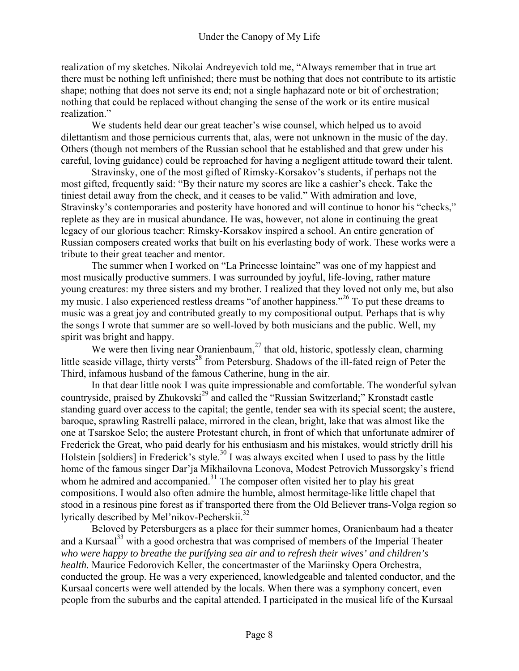realization of my sketches. Nikolai Andreyevich told me, "Always remember that in true art there must be nothing left unfinished; there must be nothing that does not contribute to its artistic shape; nothing that does not serve its end; not a single haphazard note or bit of orchestration; nothing that could be replaced without changing the sense of the work or its entire musical realization."

We students held dear our great teacher's wise counsel, which helped us to avoid dilettantism and those pernicious currents that, alas, were not unknown in the music of the day. Others (though not members of the Russian school that he established and that grew under his careful, loving guidance) could be reproached for having a negligent attitude toward their talent.

Stravinsky, one of the most gifted of Rimsky-Korsakov's students, if perhaps not the most gifted, frequently said: "By their nature my scores are like a cashier's check. Take the tiniest detail away from the check, and it ceases to be valid." With admiration and love, Stravinsky's contemporaries and posterity have honored and will continue to honor his "checks," replete as they are in musical abundance. He was, however, not alone in continuing the great legacy of our glorious teacher: Rimsky-Korsakov inspired a school. An entire generation of Russian composers created works that built on his everlasting body of work. These works were a tribute to their great teacher and mentor.

The summer when I worked on "La Princesse lointaine" was one of my happiest and most musically productive summers. I was surrounded by joyful, life-loving, rather mature young creatures: my three sisters and my brother. I realized that they loved not only me, but also my music. I also experienced restless dreams "of another happiness."<sup>26</sup> To put these dreams to music was a great joy and contributed greatly to my compositional output. Perhaps that is why the songs I wrote that summer are so well-loved by both musicians and the public. Well, my spirit was bright and happy.

We were then living near Oranienbaum, $^{27}$  that old, historic, spotlessly clean, charming little seaside village, thirty versts<sup>28</sup> from Petersburg. Shadows of the ill-fated reign of Peter the Third, infamous husband of the famous Catherine, hung in the air.

In that dear little nook I was quite impressionable and comfortable. The wonderful sylvan countryside, praised by Zhukovski<sup>29</sup> and called the "Russian Switzerland;" Kronstadt castle standing guard over access to the capital; the gentle, tender sea with its special scent; the austere, baroque, sprawling Rastrelli palace, mirrored in the clean, bright, lake that was almost like the one at Tsarskoe Selo; the austere Protestant church, in front of which that unfortunate admirer of Frederick the Great, who paid dearly for his enthusiasm and his mistakes, would strictly drill his Holstein [soldiers] in Frederick's style.<sup>30</sup> I was always excited when I used to pass by the little home of the famous singer Dar'ja Mikhailovna Leonova, Modest Petrovich Mussorgsky's friend whom he admired and accompanied. $31$  The composer often visited her to play his great compositions. I would also often admire the humble, almost hermitage-like little chapel that stood in a resinous pine forest as if transported there from the Old Believer trans-Volga region so lyrically described by Mel'nikov-Pecherskii.<sup>32</sup>

Beloved by Petersburgers as a place for their summer homes, Oranienbaum had a theater and a Kursaal<sup>33</sup> with a good orchestra that was comprised of members of the Imperial Theater *who were happy to breathe the purifying sea air and to refresh their wives' and children's health.* Maurice Fedorovich Keller, the concertmaster of the Mariinsky Opera Orchestra, conducted the group. He was a very experienced, knowledgeable and talented conductor, and the Kursaal concerts were well attended by the locals. When there was a symphony concert, even people from the suburbs and the capital attended. I participated in the musical life of the Kursaal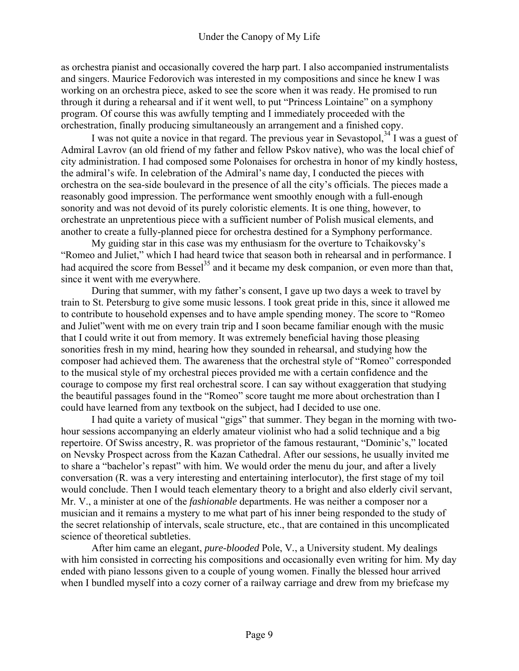as orchestra pianist and occasionally covered the harp part. I also accompanied instrumentalists and singers. Maurice Fedorovich was interested in my compositions and since he knew I was working on an orchestra piece, asked to see the score when it was ready. He promised to run through it during a rehearsal and if it went well, to put "Princess Lointaine" on a symphony program. Of course this was awfully tempting and I immediately proceeded with the orchestration, finally producing simultaneously an arrangement and a finished copy.

I was not quite a novice in that regard. The previous year in Sevastopol,  $34$  I was a guest of Admiral Lavrov (an old friend of my father and fellow Pskov native), who was the local chief of city administration. I had composed some Polonaises for orchestra in honor of my kindly hostess, the admiral's wife. In celebration of the Admiral's name day, I conducted the pieces with orchestra on the sea-side boulevard in the presence of all the city's officials. The pieces made a reasonably good impression. The performance went smoothly enough with a full-enough sonority and was not devoid of its purely coloristic elements. It is one thing, however, to orchestrate an unpretentious piece with a sufficient number of Polish musical elements, and another to create a fully-planned piece for orchestra destined for a Symphony performance.

My guiding star in this case was my enthusiasm for the overture to Tchaikovsky's "Romeo and Juliet," which I had heard twice that season both in rehearsal and in performance. I had acquired the score from Bessel<sup>35</sup> and it became my desk companion, or even more than that, since it went with me everywhere.

During that summer, with my father's consent, I gave up two days a week to travel by train to St. Petersburg to give some music lessons. I took great pride in this, since it allowed me to contribute to household expenses and to have ample spending money. The score to "Romeo and Juliet"went with me on every train trip and I soon became familiar enough with the music that I could write it out from memory. It was extremely beneficial having those pleasing sonorities fresh in my mind, hearing how they sounded in rehearsal, and studying how the composer had achieved them. The awareness that the orchestral style of "Romeo" corresponded to the musical style of my orchestral pieces provided me with a certain confidence and the courage to compose my first real orchestral score. I can say without exaggeration that studying the beautiful passages found in the "Romeo" score taught me more about orchestration than I could have learned from any textbook on the subject, had I decided to use one.

I had quite a variety of musical "gigs" that summer. They began in the morning with twohour sessions accompanying an elderly amateur violinist who had a solid technique and a big repertoire. Of Swiss ancestry, R. was proprietor of the famous restaurant, "Dominic's," located on Nevsky Prospect across from the Kazan Cathedral. After our sessions, he usually invited me to share a "bachelor's repast" with him. We would order the menu du jour, and after a lively conversation (R. was a very interesting and entertaining interlocutor), the first stage of my toil would conclude. Then I would teach elementary theory to a bright and also elderly civil servant, Mr. V., a minister at one of the *fashionable* departments. He was neither a composer nor a musician and it remains a mystery to me what part of his inner being responded to the study of the secret relationship of intervals, scale structure, etc., that are contained in this uncomplicated science of theoretical subtleties.

After him came an elegant, *pure-blooded* Pole, V*.*, a University student. My dealings with him consisted in correcting his compositions and occasionally even writing for him. My day ended with piano lessons given to a couple of young women. Finally the blessed hour arrived when I bundled myself into a cozy corner of a railway carriage and drew from my briefcase my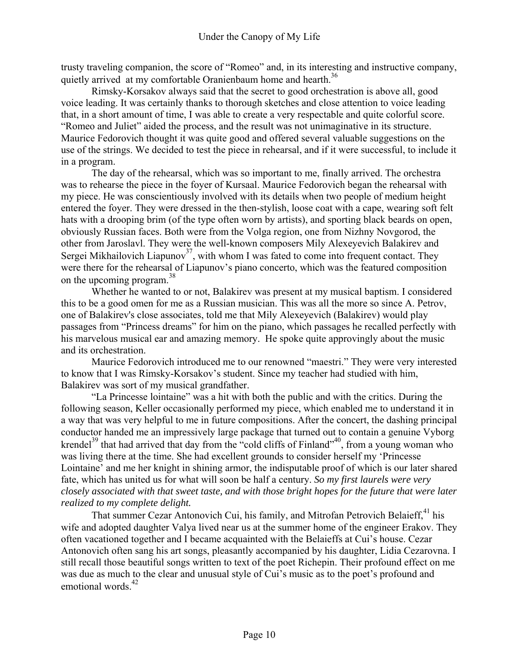trusty traveling companion, the score of "Romeo" and, in its interesting and instructive company, quietly arrived at my comfortable Oranienbaum home and hearth.<sup>36</sup>

Rimsky-Korsakov always said that the secret to good orchestration is above all, good voice leading. It was certainly thanks to thorough sketches and close attention to voice leading that, in a short amount of time, I was able to create a very respectable and quite colorful score. "Romeo and Juliet" aided the process, and the result was not unimaginative in its structure. Maurice Fedorovich thought it was quite good and offered several valuable suggestions on the use of the strings. We decided to test the piece in rehearsal, and if it were successful, to include it in a program.

The day of the rehearsal, which was so important to me, finally arrived. The orchestra was to rehearse the piece in the foyer of Kursaal. Maurice Fedorovich began the rehearsal with my piece. He was conscientiously involved with its details when two people of medium height entered the foyer. They were dressed in the then-stylish, loose coat with a cape, wearing soft felt hats with a drooping brim (of the type often worn by artists), and sporting black beards on open, obviously Russian faces. Both were from the Volga region, one from Nizhny Novgorod, the other from Jaroslavl. They were the well-known composers Mily Alexeyevich Balakirev and Sergei Mikhailovich Liapunov<sup>37</sup>, with whom I was fated to come into frequent contact. They were there for the rehearsal of Liapunov's piano concerto, which was the featured composition on the upcoming program.<sup>38</sup>

Whether he wanted to or not, Balakirev was present at my musical baptism. I considered this to be a good omen for me as a Russian musician. This was all the more so since A. Petrov, one of Balakirev's close associates, told me that Mily Alexeyevich (Balakirev) would play passages from "Princess dreams" for him on the piano, which passages he recalled perfectly with his marvelous musical ear and amazing memory. He spoke quite approvingly about the music and its orchestration.

Maurice Fedorovich introduced me to our renowned "maestri." They were very interested to know that I was Rimsky-Korsakov's student. Since my teacher had studied with him, Balakirev was sort of my musical grandfather.

"La Princesse lointaine" was a hit with both the public and with the critics. During the following season, Keller occasionally performed my piece, which enabled me to understand it in a way that was very helpful to me in future compositions. After the concert, the dashing principal conductor handed me an impressively large package that turned out to contain a genuine Vyborg krendel<sup>39</sup> that had arrived that day from the "cold cliffs of Finland",<sup>40</sup>, from a young woman who was living there at the time. She had excellent grounds to consider herself my 'Princesse Lointaine' and me her knight in shining armor, the indisputable proof of which is our later shared fate, which has united us for what will soon be half a century. *So my first laurels were very closely associated with that sweet taste, and with those bright hopes for the future that were later realized to my complete delight.* 

That summer Cezar Antonovich Cui, his family, and Mitrofan Petrovich Belaieff,<sup>41</sup> his wife and adopted daughter Valya lived near us at the summer home of the engineer Erakov. They often vacationed together and I became acquainted with the Belaieffs at Cui's house. Cezar Antonovich often sang his art songs, pleasantly accompanied by his daughter, Lidia Cezarovna. I still recall those beautiful songs written to text of the poet Richepin. Their profound effect on me was due as much to the clear and unusual style of Cui's music as to the poet's profound and emotional words $42$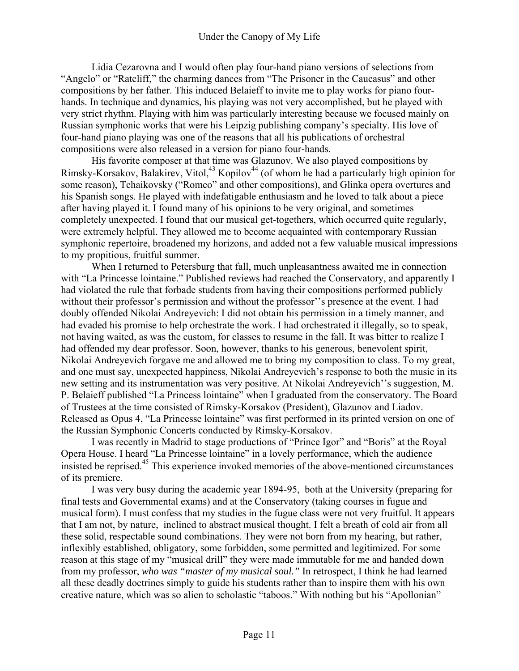Lidia Cezarovna and I would often play four-hand piano versions of selections from "Angelo" or "Ratcliff," the charming dances from "The Prisoner in the Caucasus" and other compositions by her father. This induced Belaieff to invite me to play works for piano fourhands. In technique and dynamics, his playing was not very accomplished, but he played with very strict rhythm. Playing with him was particularly interesting because we focused mainly on Russian symphonic works that were his Leipzig publishing company's specialty. His love of four-hand piano playing was one of the reasons that all his publications of orchestral compositions were also released in a version for piano four-hands.

His favorite composer at that time was Glazunov. We also played compositions by Rimsky-Korsakov, Balakirev, Vitol, $43$  Kopilov $44$  (of whom he had a particularly high opinion for some reason), Tchaikovsky ("Romeo" and other compositions), and Glinka opera overtures and his Spanish songs. He played with indefatigable enthusiasm and he loved to talk about a piece after having played it. I found many of his opinions to be very original, and sometimes completely unexpected. I found that our musical get-togethers, which occurred quite regularly, were extremely helpful. They allowed me to become acquainted with contemporary Russian symphonic repertoire, broadened my horizons, and added not a few valuable musical impressions to my propitious, fruitful summer.

When I returned to Petersburg that fall, much unpleasantness awaited me in connection with "La Princesse lointaine." Published reviews had reached the Conservatory, and apparently I had violated the rule that forbade students from having their compositions performed publicly without their professor's permission and without the professor''s presence at the event. I had doubly offended Nikolai Andreyevich: I did not obtain his permission in a timely manner, and had evaded his promise to help orchestrate the work. I had orchestrated it illegally, so to speak, not having waited, as was the custom, for classes to resume in the fall. It was bitter to realize I had offended my dear professor. Soon, however, thanks to his generous, benevolent spirit, Nikolai Andreyevich forgave me and allowed me to bring my composition to class. To my great, and one must say, unexpected happiness, Nikolai Andreyevich's response to both the music in its new setting and its instrumentation was very positive. At Nikolai Andreyevich''s suggestion, M. P. Belaieff published "La Princess lointaine" when I graduated from the conservatory. The Board of Trustees at the time consisted of Rimsky-Korsakov (President), Glazunov and Liadov. Released as Opus 4, "La Princesse lointaine" was first performed in its printed version on one of the Russian Symphonic Concerts conducted by Rimsky-Korsakov.

I was recently in Madrid to stage productions of "Prince Igor" and "Boris" at the Royal Opera House. I heard "La Princesse lointaine" in a lovely performance, which the audience insisted be reprised.45 This experience invoked memories of the above-mentioned circumstances of its premiere.

I was very busy during the academic year 1894-95, both at the University (preparing for final tests and Governmental exams) and at the Conservatory (taking courses in fugue and musical form). I must confess that my studies in the fugue class were not very fruitful. It appears that I am not, by nature, inclined to abstract musical thought. I felt a breath of cold air from all these solid, respectable sound combinations. They were not born from my hearing, but rather, inflexibly established, obligatory, some forbidden, some permitted and legitimized. For some reason at this stage of my "musical drill" they were made immutable for me and handed down from my professor, *who was "master of my musical soul."* In retrospect, I think he had learned all these deadly doctrines simply to guide his students rather than to inspire them with his own creative nature, which was so alien to scholastic "taboos." With nothing but his "Apollonian"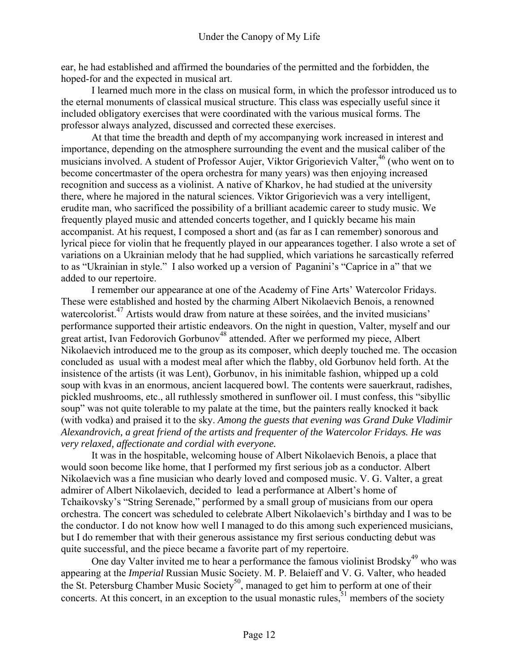ear, he had established and affirmed the boundaries of the permitted and the forbidden, the hoped-for and the expected in musical art.

I learned much more in the class on musical form, in which the professor introduced us to the eternal monuments of classical musical structure. This class was especially useful since it included obligatory exercises that were coordinated with the various musical forms. The professor always analyzed, discussed and corrected these exercises.

At that time the breadth and depth of my accompanying work increased in interest and importance, depending on the atmosphere surrounding the event and the musical caliber of the musicians involved. A student of Professor Aujer, Viktor Grigorievich Valter,<sup>46</sup> (who went on to become concertmaster of the opera orchestra for many years) was then enjoying increased recognition and success as a violinist. A native of Kharkov, he had studied at the university there, where he majored in the natural sciences. Viktor Grigorievich was a very intelligent, erudite man, who sacrificed the possibility of a brilliant academic career to study music. We frequently played music and attended concerts together, and I quickly became his main accompanist. At his request, I composed a short and (as far as I can remember) sonorous and lyrical piece for violin that he frequently played in our appearances together. I also wrote a set of variations on a Ukrainian melody that he had supplied, which variations he sarcastically referred to as "Ukrainian in style." I also worked up a version of Paganini's "Caprice in a" that we added to our repertoire.

I remember our appearance at one of the Academy of Fine Arts' Watercolor Fridays. These were established and hosted by the charming Albert Nikolaevich Benois, a renowned watercolorist.<sup>47</sup> Artists would draw from nature at these soirées, and the invited musicians' performance supported their artistic endeavors. On the night in question, Valter, myself and our great artist, Ivan Fedorovich Gorbunov<sup>48</sup> attended. After we performed my piece, Albert Nikolaevich introduced me to the group as its composer, which deeply touched me. The occasion concluded as usual with a modest meal after which the flabby, old Gorbunov held forth. At the insistence of the artists (it was Lent), Gorbunov, in his inimitable fashion, whipped up a cold soup with kvas in an enormous, ancient lacquered bowl. The contents were sauerkraut, radishes, pickled mushrooms, etc., all ruthlessly smothered in sunflower oil. I must confess, this "sibyllic soup" was not quite tolerable to my palate at the time, but the painters really knocked it back (with vodka) and praised it to the sky. *Among the guests that evening was Grand Duke Vladimir Alexandrovich, a great friend of the artists and frequenter of the Watercolor Fridays. He was very relaxed, affectionate and cordial with everyone.* 

It was in the hospitable, welcoming house of Albert Nikolaevich Benois, a place that would soon become like home, that I performed my first serious job as a conductor. Albert Nikolaevich was a fine musician who dearly loved and composed music. V. G. Valter, a great admirer of Albert Nikolaevich, decided to lead a performance at Albert's home of Tchaikovsky's "String Serenade," performed by a small group of musicians from our opera orchestra. The concert was scheduled to celebrate Albert Nikolaevich's birthday and I was to be the conductor. I do not know how well I managed to do this among such experienced musicians, but I do remember that with their generous assistance my first serious conducting debut was quite successful, and the piece became a favorite part of my repertoire.

One day Valter invited me to hear a performance the famous violinist Brodsky $49$  who was appearing at the *Imperial* Russian Music Society. M. P. Belaieff and V. G. Valter, who headed the St. Petersburg Chamber Music Society<sup>50</sup>, managed to get him to perform at one of their concerts. At this concert, in an exception to the usual monastic rules, $51$  members of the society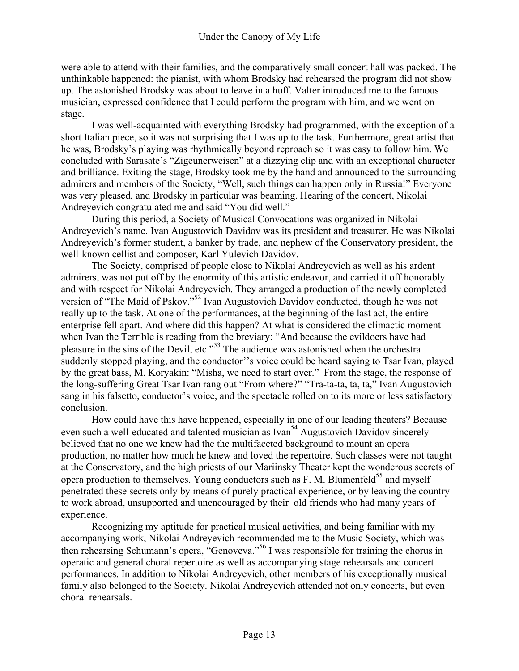were able to attend with their families, and the comparatively small concert hall was packed. The unthinkable happened: the pianist, with whom Brodsky had rehearsed the program did not show up. The astonished Brodsky was about to leave in a huff. Valter introduced me to the famous musician, expressed confidence that I could perform the program with him, and we went on stage.

I was well-acquainted with everything Brodsky had programmed, with the exception of a short Italian piece, so it was not surprising that I was up to the task. Furthermore, great artist that he was, Brodsky's playing was rhythmically beyond reproach so it was easy to follow him. We concluded with Sarasate's "Zigeunerweisen" at a dizzying clip and with an exceptional character and brilliance. Exiting the stage, Brodsky took me by the hand and announced to the surrounding admirers and members of the Society, "Well, such things can happen only in Russia!" Everyone was very pleased, and Brodsky in particular was beaming. Hearing of the concert, Nikolai Andreyevich congratulated me and said "You did well."

During this period, a Society of Musical Convocations was organized in Nikolai Andreyevich's name. Ivan Augustovich Davidov was its president and treasurer. He was Nikolai Andreyevich's former student, a banker by trade, and nephew of the Conservatory president, the well-known cellist and composer, Karl Yulevich Davidov.

The Society, comprised of people close to Nikolai Andreyevich as well as his ardent admirers, was not put off by the enormity of this artistic endeavor, and carried it off honorably and with respect for Nikolai Andreyevich. They arranged a production of the newly completed version of "The Maid of Pskov."<sup>52</sup> Ivan Augustovich Davidov conducted, though he was not really up to the task. At one of the performances, at the beginning of the last act, the entire enterprise fell apart. And where did this happen? At what is considered the climactic moment when Ivan the Terrible is reading from the breviary: "And because the evildoers have had pleasure in the sins of the Devil, etc."<sup>53</sup> The audience was astonished when the orchestra suddenly stopped playing, and the conductor''s voice could be heard saying to Tsar Ivan, played by the great bass, M. Koryakin: "Misha, we need to start over." From the stage, the response of the long-suffering Great Tsar Ivan rang out "From where?" "Tra-ta-ta, ta, ta," Ivan Augustovich sang in his falsetto, conductor's voice, and the spectacle rolled on to its more or less satisfactory conclusion.

How could have this have happened, especially in one of our leading theaters? Because even such a well-educated and talented musician as  $I_{\text{van}}^{54}$  Augustovich Davidov sincerely believed that no one we knew had the the multifaceted background to mount an opera production, no matter how much he knew and loved the repertoire. Such classes were not taught at the Conservatory, and the high priests of our Mariinsky Theater kept the wonderous secrets of opera production to themselves. Young conductors such as  $F. M. B$ lumenfeld $^{55}$  and myself penetrated these secrets only by means of purely practical experience, or by leaving the country to work abroad, unsupported and unencouraged by their old friends who had many years of experience.

Recognizing my aptitude for practical musical activities, and being familiar with my accompanying work, Nikolai Andreyevich recommended me to the Music Society, which was then rehearsing Schumann's opera, "Genoveva."<sup>56</sup> I was responsible for training the chorus in operatic and general choral repertoire as well as accompanying stage rehearsals and concert performances. In addition to Nikolai Andreyevich, other members of his exceptionally musical family also belonged to the Society. Nikolai Andreyevich attended not only concerts, but even choral rehearsals.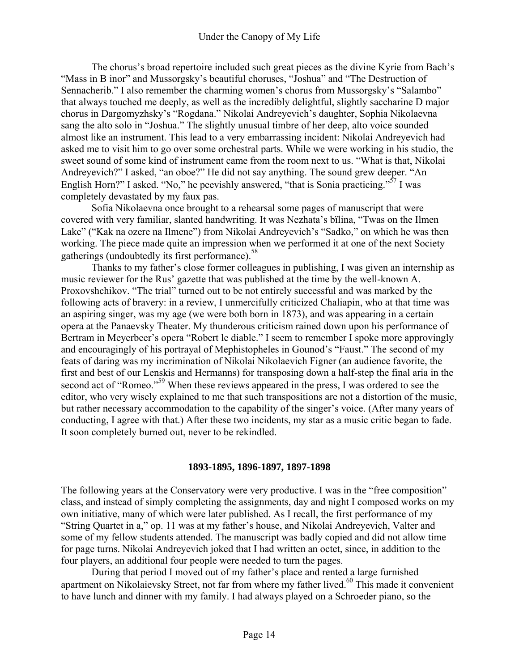The chorus's broad repertoire included such great pieces as the divine Kyrie from Bach's "Mass in B inor" and Mussorgsky's beautiful choruses, "Joshua" and "The Destruction of Sennacherib." I also remember the charming women's chorus from Mussorgsky's "Salambo" that always touched me deeply, as well as the incredibly delightful, slightly saccharine D major chorus in Dargomyzhsky's "Rogdana." Nikolai Andreyevich's daughter, Sophia Nikolaevna sang the alto solo in "Joshua." The slightly unusual timbre of her deep, alto voice sounded almost like an instrument. This lead to a very embarrassing incident: Nikolai Andreyevich had asked me to visit him to go over some orchestral parts. While we were working in his studio, the sweet sound of some kind of instrument came from the room next to us. "What is that, Nikolai Andreyevich?" I asked, "an oboe?" He did not say anything. The sound grew deeper. "An English Horn?" I asked. "No," he peevishly answered, "that is Sonia practicing."<sup>57</sup> I was completely devastated by my faux pas.

Sofia Nikolaevna once brought to a rehearsal some pages of manuscript that were covered with very familiar, slanted handwriting. It was Nezhata's bïlina, "Twas on the Ilmen Lake" ("Kak na ozere na Ilmene") from Nikolai Andreyevich's "Sadko," on which he was then working. The piece made quite an impression when we performed it at one of the next Society gatherings (undoubtedly its first performance).<sup>58</sup>

Thanks to my father's close former colleagues in publishing, I was given an internship as music reviewer for the Rus' gazette that was published at the time by the well-known A. Proxovshchikov. "The trial" turned out to be not entirely successful and was marked by the following acts of bravery: in a review, I unmercifully criticized Chaliapin, who at that time was an aspiring singer, was my age (we were both born in 1873), and was appearing in a certain opera at the Panaevsky Theater. My thunderous criticism rained down upon his performance of Bertram in Meyerbeer's opera "Robert le diable." I seem to remember I spoke more approvingly and encouragingly of his portrayal of Mephistopheles in Gounod's "Faust." The second of my feats of daring was my incrimination of Nikolai Nikolaevich Figner (an audience favorite, the first and best of our Lenskis and Hermanns) for transposing down a half-step the final aria in the second act of "Romeo."<sup>59</sup> When these reviews appeared in the press, I was ordered to see the editor, who very wisely explained to me that such transpositions are not a distortion of the music, but rather necessary accommodation to the capability of the singer's voice. (After many years of conducting, I agree with that.) After these two incidents, my star as a music critic began to fade. It soon completely burned out, never to be rekindled.

#### **1893-1895, 1896-1897, 1897-1898**

The following years at the Conservatory were very productive. I was in the "free composition" class, and instead of simply completing the assignments, day and night I composed works on my own initiative, many of which were later published. As I recall, the first performance of my "String Quartet in a," op. 11 was at my father's house, and Nikolai Andreyevich, Valter and some of my fellow students attended. The manuscript was badly copied and did not allow time for page turns. Nikolai Andreyevich joked that I had written an octet, since, in addition to the four players, an additional four people were needed to turn the pages.

During that period I moved out of my father's place and rented a large furnished apartment on Nikolaievsky Street, not far from where my father lived.<sup>60</sup> This made it convenient to have lunch and dinner with my family. I had always played on a Schroeder piano, so the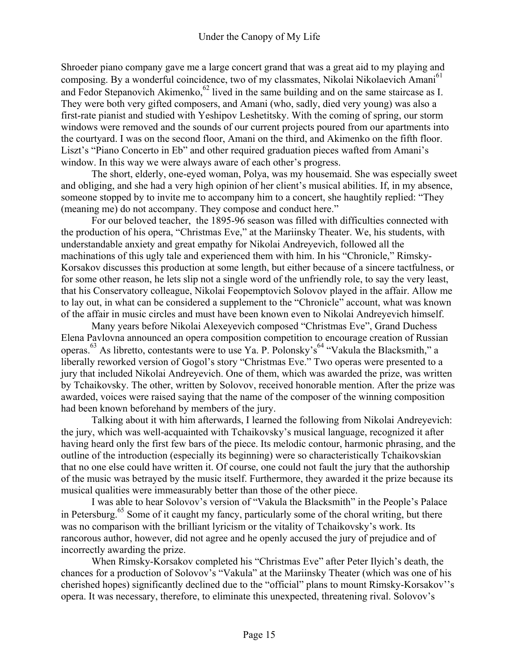Shroeder piano company gave me a large concert grand that was a great aid to my playing and composing. By a wonderful coincidence, two of my classmates, Nikolai Nikolaevich Amani<sup>61</sup> and Fedor Stepanovich Akimenko,<sup>62</sup> lived in the same building and on the same staircase as I. They were both very gifted composers, and Amani (who, sadly, died very young) was also a first-rate pianist and studied with Yeshipov Leshetitsky. With the coming of spring, our storm windows were removed and the sounds of our current projects poured from our apartments into the courtyard. I was on the second floor, Amani on the third, and Akimenko on the fifth floor. Liszt's "Piano Concerto in Eb" and other required graduation pieces wafted from Amani's window. In this way we were always aware of each other's progress.

The short, elderly, one-eyed woman, Polya, was my housemaid. She was especially sweet and obliging, and she had a very high opinion of her client's musical abilities. If, in my absence, someone stopped by to invite me to accompany him to a concert, she haughtily replied: "They (meaning me) do not accompany. They compose and conduct here."

For our beloved teacher, the 1895-96 season was filled with difficulties connected with the production of his opera, "Christmas Eve," at the Mariinsky Theater. We, his students, with understandable anxiety and great empathy for Nikolai Andreyevich, followed all the machinations of this ugly tale and experienced them with him. In his "Chronicle," Rimsky-Korsakov discusses this production at some length, but either because of a sincere tactfulness, or for some other reason, he lets slip not a single word of the unfriendly role, to say the very least, that his Conservatory colleague, Nikolai Feopemptovich Solovov played in the affair. Allow me to lay out, in what can be considered a supplement to the "Chronicle" account, what was known of the affair in music circles and must have been known even to Nikolai Andreyevich himself.

Many years before Nikolai Alexeyevich composed "Christmas Eve", Grand Duchess Elena Pavlovna announced an opera composition competition to encourage creation of Russian operas.<sup>63</sup> As libretto, contestants were to use Ya. P. Polonsky's<sup>64</sup> "Vakula the Blacksmith," a liberally reworked version of Gogol's story "Christmas Eve." Two operas were presented to a jury that included Nikolai Andreyevich. One of them, which was awarded the prize, was written by Tchaikovsky. The other, written by Solovov, received honorable mention. After the prize was awarded, voices were raised saying that the name of the composer of the winning composition had been known beforehand by members of the jury.

Talking about it with him afterwards, I learned the following from Nikolai Andreyevich: the jury, which was well-acquainted with Tchaikovsky's musical language, recognized it after having heard only the first few bars of the piece. Its melodic contour, harmonic phrasing, and the outline of the introduction (especially its beginning) were so characteristically Tchaikovskian that no one else could have written it. Of course, one could not fault the jury that the authorship of the music was betrayed by the music itself. Furthermore, they awarded it the prize because its musical qualities were immeasurably better than those of the other piece.

I was able to hear Solovov's version of "Vakula the Blacksmith" in the People's Palace in Petersburg.<sup>65</sup> Some of it caught my fancy, particularly some of the choral writing, but there was no comparison with the brilliant lyricism or the vitality of Tchaikovsky's work. Its rancorous author, however, did not agree and he openly accused the jury of prejudice and of incorrectly awarding the prize.

When Rimsky-Korsakov completed his "Christmas Eve" after Peter Ilyich's death, the chances for a production of Solovov's "Vakula" at the Mariinsky Theater (which was one of his cherished hopes) significantly declined due to the "official" plans to mount Rimsky-Korsakov''s opera. It was necessary, therefore, to eliminate this unexpected, threatening rival. Solovov's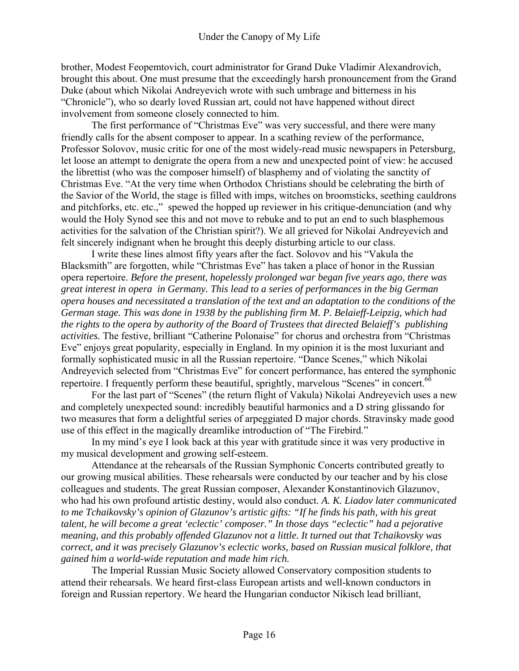brother, Modest Feopemtovich, court administrator for Grand Duke Vladimir Alexandrovich, brought this about. One must presume that the exceedingly harsh pronouncement from the Grand Duke (about which Nikolai Andreyevich wrote with such umbrage and bitterness in his "Chronicle"), who so dearly loved Russian art, could not have happened without direct involvement from someone closely connected to him.

The first performance of "Christmas Eve" was very successful, and there were many friendly calls for the absent composer to appear. In a scathing review of the performance, Professor Solovov, music critic for one of the most widely-read music newspapers in Petersburg, let loose an attempt to denigrate the opera from a new and unexpected point of view: he accused the librettist (who was the composer himself) of blasphemy and of violating the sanctity of Christmas Eve. "At the very time when Orthodox Christians should be celebrating the birth of the Savior of the World, the stage is filled with imps, witches on broomsticks, seething cauldrons and pitchforks, etc. etc.," spewed the hopped up reviewer in his critique-denunciation (and why would the Holy Synod see this and not move to rebuke and to put an end to such blasphemous activities for the salvation of the Christian spirit?). We all grieved for Nikolai Andreyevich and felt sincerely indignant when he brought this deeply disturbing article to our class.

I write these lines almost fifty years after the fact. Solovov and his "Vakula the Blacksmith" are forgotten, while "Christmas Eve" has taken a place of honor in the Russian opera repertoire. *Before the present, hopelessly prolonged war began five years ago, there was great interest in opera in Germany. This lead to a series of performances in the big German opera houses and necessitated a translation of the text and an adaptation to the conditions of the German stage. This was done in 1938 by the publishing firm M. P. Belaieff-Leipzig, which had the rights to the opera by authority of the Board of Trustees that directed Belaieff's publishing activities.* The festive, brilliant "Catherine Polonaise" for chorus and orchestra from "Christmas Eve" enjoys great popularity, especially in England. In my opinion it is the most luxuriant and formally sophisticated music in all the Russian repertoire. "Dance Scenes," which Nikolai Andreyevich selected from "Christmas Eve" for concert performance, has entered the symphonic repertoire. I frequently perform these beautiful, sprightly, marvelous "Scenes" in concert.<sup>66</sup>

For the last part of "Scenes" (the return flight of Vakula) Nikolai Andreyevich uses a new and completely unexpected sound: incredibly beautiful harmonics and a D string glissando for two measures that form a delightful series of arpeggiated D major chords. Stravinsky made good use of this effect in the magically dreamlike introduction of "The Firebird."

In my mind's eye I look back at this year with gratitude since it was very productive in my musical development and growing self-esteem.

Attendance at the rehearsals of the Russian Symphonic Concerts contributed greatly to our growing musical abilities. These rehearsals were conducted by our teacher and by his close colleagues and students. The great Russian composer, Alexander Konstantinovich Glazunov, who had his own profound artistic destiny, would also conduct. *A. K. Liadov later communicated to me Tchaikovsky's opinion of Glazunov's artistic gifts: "If he finds his path, with his great talent, he will become a great 'eclectic' composer." In those days "eclectic" had a pejorative meaning, and this probably offended Glazunov not a little. It turned out that Tchaikovsky was correct, and it was precisely Glazunov's eclectic works, based on Russian musical folklore, that gained him a world-wide reputation and made him rich.* 

The Imperial Russian Music Society allowed Conservatory composition students to attend their rehearsals. We heard first-class European artists and well-known conductors in foreign and Russian repertory. We heard the Hungarian conductor Nikisch lead brilliant,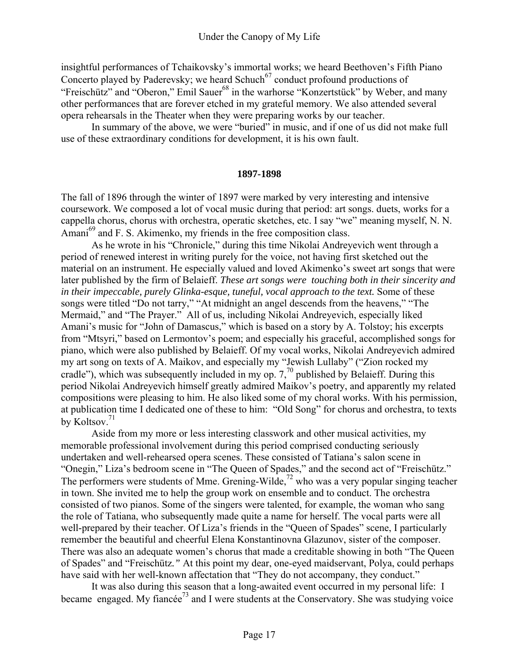insightful performances of Tchaikovsky's immortal works; we heard Beethoven's Fifth Piano Concerto played by Paderevsky; we heard Schuch<sup>67</sup> conduct profound productions of "Freischütz" and "Oberon," Emil Sauer<sup>68</sup> in the warhorse "Konzertstück" by Weber, and many other performances that are forever etched in my grateful memory. We also attended several opera rehearsals in the Theater when they were preparing works by our teacher.

In summary of the above, we were "buried" in music, and if one of us did not make full use of these extraordinary conditions for development, it is his own fault.

#### **1897-1898**

The fall of 1896 through the winter of 1897 were marked by very interesting and intensive coursework. We composed a lot of vocal music during that period: art songs. duets, works for a cappella chorus, chorus with orchestra, operatic sketches, etc. I say "we" meaning myself, N. N. Amani<sup>69</sup> and F. S. Akimenko, my friends in the free composition class.

As he wrote in his "Chronicle," during this time Nikolai Andreyevich went through a period of renewed interest in writing purely for the voice, not having first sketched out the material on an instrument. He especially valued and loved Akimenko's sweet art songs that were later published by the firm of Belaieff. *These art songs were touching both in their sincerity and in their impeccable, purely Glinka-esque, tuneful, vocal approach to the text.* Some of these songs were titled "Do not tarry," "At midnight an angel descends from the heavens," "The Mermaid," and "The Prayer." All of us, including Nikolai Andreyevich, especially liked Amani's music for "John of Damascus," which is based on a story by A. Tolstoy; his excerpts from "Mtsyri," based on Lermontov's poem; and especially his graceful, accomplished songs for piano, which were also published by Belaieff. Of my vocal works, Nikolai Andreyevich admired my art song on texts of A. Maikov, and especially my "Jewish Lullaby" ("Zion rocked my cradle"), which was subsequently included in my op.  $7<sup>70</sup>$  published by Belaieff. During this period Nikolai Andreyevich himself greatly admired Maikov's poetry, and apparently my related compositions were pleasing to him. He also liked some of my choral works. With his permission, at publication time I dedicated one of these to him: "Old Song" for chorus and orchestra, to texts by Koltsov.<sup>71</sup>

Aside from my more or less interesting classwork and other musical activities, my memorable professional involvement during this period comprised conducting seriously undertaken and well-rehearsed opera scenes. These consisted of Tatiana's salon scene in "Onegin," Liza's bedroom scene in "The Queen of Spades," and the second act of "Freischütz." The performers were students of Mme. Grening-Wilde,<sup>72</sup> who was a very popular singing teacher in town. She invited me to help the group work on ensemble and to conduct. The orchestra consisted of two pianos. Some of the singers were talented, for example, the woman who sang the role of Tatiana, who subsequently made quite a name for herself. The vocal parts were all well-prepared by their teacher. Of Liza's friends in the "Queen of Spades" scene, I particularly remember the beautiful and cheerful Elena Konstantinovna Glazunov, sister of the composer. There was also an adequate women's chorus that made a creditable showing in both "The Queen of Spades" and "Freischütz*."* At this point my dear, one-eyed maidservant, Polya, could perhaps have said with her well-known affectation that "They do not accompany, they conduct."

It was also during this season that a long-awaited event occurred in my personal life: I became engaged. My fiancée<sup>73</sup> and I were students at the Conservatory. She was studying voice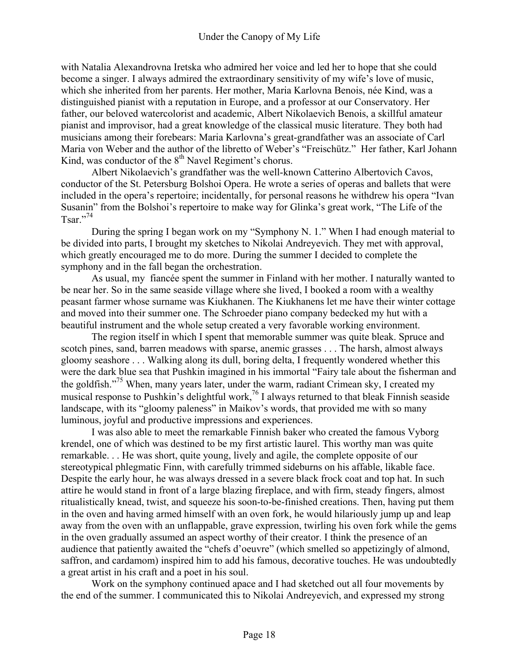with Natalia Alexandrovna Iretska who admired her voice and led her to hope that she could become a singer. I always admired the extraordinary sensitivity of my wife's love of music, which she inherited from her parents. Her mother, Maria Karlovna Benois, née Kind, was a distinguished pianist with a reputation in Europe, and a professor at our Conservatory. Her father, our beloved watercolorist and academic, Albert Nikolaevich Benois, a skillful amateur pianist and improvisor, had a great knowledge of the classical music literature. They both had musicians among their forebears: Maria Karlovna's great-grandfather was an associate of Carl Maria von Weber and the author of the libretto of Weber's "Freischütz." Her father, Karl Johann Kind, was conductor of the  $8<sup>th</sup>$  Navel Regiment's chorus.

Albert Nikolaevich's grandfather was the well-known Catterino Albertovich Cavos, conductor of the St. Petersburg Bolshoi Opera. He wrote a series of operas and ballets that were included in the opera's repertoire; incidentally, for personal reasons he withdrew his opera "Ivan Susanin" from the Bolshoi's repertoire to make way for Glinka's great work, "The Life of the Tsar $^{.,74}$ 

During the spring I began work on my "Symphony N. 1." When I had enough material to be divided into parts, I brought my sketches to Nikolai Andreyevich. They met with approval, which greatly encouraged me to do more. During the summer I decided to complete the symphony and in the fall began the orchestration.

As usual, my fiancée spent the summer in Finland with her mother. I naturally wanted to be near her. So in the same seaside village where she lived, I booked a room with a wealthy peasant farmer whose surname was Kiukhanen. The Kiukhanens let me have their winter cottage and moved into their summer one. The Schroeder piano company bedecked my hut with a beautiful instrument and the whole setup created a very favorable working environment.

The region itself in which I spent that memorable summer was quite bleak. Spruce and scotch pines, sand, barren meadows with sparse, anemic grasses . . . The harsh, almost always gloomy seashore . . . Walking along its dull, boring delta, I frequently wondered whether this were the dark blue sea that Pushkin imagined in his immortal "Fairy tale about the fisherman and the goldfish."75 When, many years later, under the warm, radiant Crimean sky, I created my musical response to Pushkin's delightful work,<sup>76</sup> I always returned to that bleak Finnish seaside landscape, with its "gloomy paleness" in Maikov's words, that provided me with so many luminous, joyful and productive impressions and experiences.

I was also able to meet the remarkable Finnish baker who created the famous Vyborg krendel, one of which was destined to be my first artistic laurel. This worthy man was quite remarkable. . . He was short, quite young, lively and agile, the complete opposite of our stereotypical phlegmatic Finn, with carefully trimmed sideburns on his affable, likable face. Despite the early hour, he was always dressed in a severe black frock coat and top hat. In such attire he would stand in front of a large blazing fireplace, and with firm, steady fingers, almost ritualistically knead, twist, and squeeze his soon-to-be-finished creations. Then, having put them in the oven and having armed himself with an oven fork, he would hilariously jump up and leap away from the oven with an unflappable, grave expression, twirling his oven fork while the gems in the oven gradually assumed an aspect worthy of their creator. I think the presence of an audience that patiently awaited the "chefs d'oeuvre" (which smelled so appetizingly of almond, saffron, and cardamom) inspired him to add his famous, decorative touches. He was undoubtedly a great artist in his craft and a poet in his soul.

Work on the symphony continued apace and I had sketched out all four movements by the end of the summer. I communicated this to Nikolai Andreyevich, and expressed my strong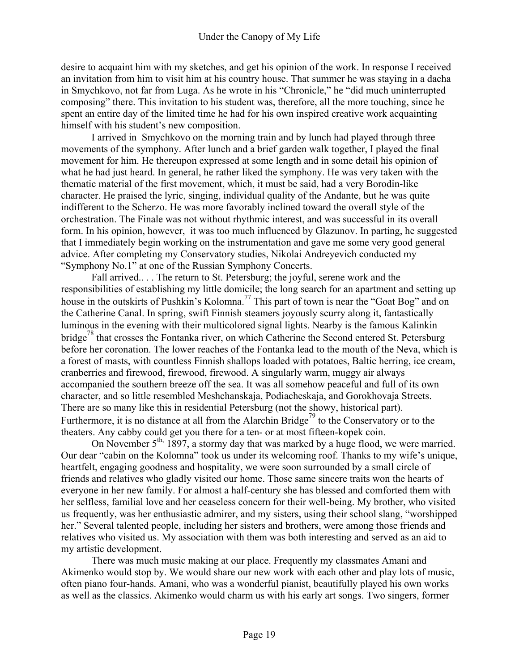desire to acquaint him with my sketches, and get his opinion of the work. In response I received an invitation from him to visit him at his country house. That summer he was staying in a dacha in Smychkovo, not far from Luga. As he wrote in his "Chronicle," he "did much uninterrupted composing" there. This invitation to his student was, therefore, all the more touching, since he spent an entire day of the limited time he had for his own inspired creative work acquainting himself with his student's new composition.

I arrived in Smychkovo on the morning train and by lunch had played through three movements of the symphony. After lunch and a brief garden walk together, I played the final movement for him. He thereupon expressed at some length and in some detail his opinion of what he had just heard. In general, he rather liked the symphony. He was very taken with the thematic material of the first movement, which, it must be said, had a very Borodin-like character. He praised the lyric, singing, individual quality of the Andante, but he was quite indifferent to the Scherzo. He was more favorably inclined toward the overall style of the orchestration. The Finale was not without rhythmic interest, and was successful in its overall form. In his opinion, however, it was too much influenced by Glazunov. In parting, he suggested that I immediately begin working on the instrumentation and gave me some very good general advice. After completing my Conservatory studies, Nikolai Andreyevich conducted my "Symphony No.1" at one of the Russian Symphony Concerts.

Fall arrived.. . . The return to St. Petersburg; the joyful, serene work and the responsibilities of establishing my little domicile; the long search for an apartment and setting up house in the outskirts of Pushkin's Kolomna.<sup>77</sup> This part of town is near the "Goat Bog" and on the Catherine Canal. In spring, swift Finnish steamers joyously scurry along it, fantastically luminous in the evening with their multicolored signal lights. Nearby is the famous Kalinkin bridge<sup>78</sup> that crosses the Fontanka river, on which Catherine the Second entered St. Petersburg before her coronation. The lower reaches of the Fontanka lead to the mouth of the Neva, which is a forest of masts, with countless Finnish shallops loaded with potatoes, Baltic herring, ice cream, cranberries and firewood, firewood, firewood. A singularly warm, muggy air always accompanied the southern breeze off the sea. It was all somehow peaceful and full of its own character, and so little resembled Meshchanskaja, Podiacheskaja, and Gorokhovaja Streets. There are so many like this in residential Petersburg (not the showy, historical part). Furthermore, it is no distance at all from the Alarchin Bridge<sup>79</sup> to the Conservatory or to the theaters. Any cabby could get you there for a ten- or at most fifteen-kopek coin.

On November  $5<sup>th</sup>$ , 1897, a stormy day that was marked by a huge flood, we were married. Our dear "cabin on the Kolomna" took us under its welcoming roof. Thanks to my wife's unique, heartfelt, engaging goodness and hospitality, we were soon surrounded by a small circle of friends and relatives who gladly visited our home. Those same sincere traits won the hearts of everyone in her new family. For almost a half-century she has blessed and comforted them with her selfless, familial love and her ceaseless concern for their well-being. My brother, who visited us frequently, was her enthusiastic admirer, and my sisters, using their school slang, "worshipped her." Several talented people, including her sisters and brothers, were among those friends and relatives who visited us. My association with them was both interesting and served as an aid to my artistic development.

There was much music making at our place. Frequently my classmates Amani and Akimenko would stop by. We would share our new work with each other and play lots of music, often piano four-hands. Amani, who was a wonderful pianist, beautifully played his own works as well as the classics. Akimenko would charm us with his early art songs. Two singers, former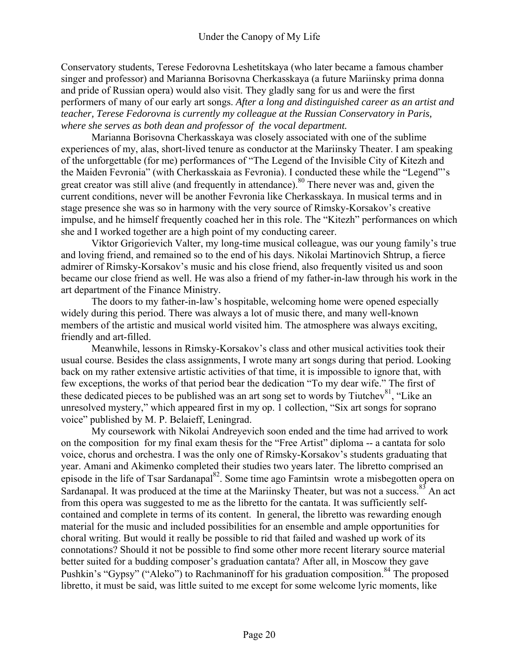Conservatory students, Terese Fedorovna Leshetitskaya (who later became a famous chamber singer and professor) and Marianna Borisovna Cherkasskaya (a future Mariinsky prima donna and pride of Russian opera) would also visit. They gladly sang for us and were the first performers of many of our early art songs. *After a long and distinguished career as an artist and teacher, Terese Fedorovna is currently my colleague at the Russian Conservatory in Paris, where she serves as both dean and professor of the vocal department.* 

Marianna Borisovna Cherkasskaya was closely associated with one of the sublime experiences of my, alas, short-lived tenure as conductor at the Mariinsky Theater. I am speaking of the unforgettable (for me) performances of "The Legend of the Invisible City of Kitezh and the Maiden Fevronia" (with Cherkasskaia as Fevronia). I conducted these while the "Legend"'s great creator was still alive (and frequently in attendance).<sup>80</sup> There never was and, given the current conditions, never will be another Fevronia like Cherkasskaya. In musical terms and in stage presence she was so in harmony with the very source of Rimsky-Korsakov's creative impulse, and he himself frequently coached her in this role. The "Kitezh" performances on which she and I worked together are a high point of my conducting career.

Viktor Grigorievich Valter, my long-time musical colleague, was our young family's true and loving friend, and remained so to the end of his days. Nikolai Martinovich Shtrup, a fierce admirer of Rimsky-Korsakov's music and his close friend, also frequently visited us and soon became our close friend as well. He was also a friend of my father-in-law through his work in the art department of the Finance Ministry.

The doors to my father-in-law's hospitable, welcoming home were opened especially widely during this period. There was always a lot of music there, and many well-known members of the artistic and musical world visited him. The atmosphere was always exciting, friendly and art-filled.

Meanwhile, lessons in Rimsky-Korsakov's class and other musical activities took their usual course. Besides the class assignments, I wrote many art songs during that period. Looking back on my rather extensive artistic activities of that time, it is impossible to ignore that, with few exceptions, the works of that period bear the dedication "To my dear wife." The first of these dedicated pieces to be published was an art song set to words by Tiutchev<sup>81</sup>, "Like an unresolved mystery," which appeared first in my op. 1 collection, "Six art songs for soprano voice" published by M. P. Belaieff, Leningrad.

My coursework with Nikolai Andreyevich soon ended and the time had arrived to work on the composition for my final exam thesis for the "Free Artist" diploma -- a cantata for solo voice, chorus and orchestra. I was the only one of Rimsky-Korsakov's students graduating that year. Amani and Akimenko completed their studies two years later. The libretto comprised an episode in the life of Tsar Sardanapal<sup>82</sup>. Some time ago Famintsin wrote a misbegotten opera on Sardanapal. It was produced at the time at the Mariinsky Theater, but was not a success.<sup>83</sup> An act from this opera was suggested to me as the libretto for the cantata. It was sufficiently selfcontained and complete in terms of its content. In general, the libretto was rewarding enough material for the music and included possibilities for an ensemble and ample opportunities for choral writing. But would it really be possible to rid that failed and washed up work of its connotations? Should it not be possible to find some other more recent literary source material better suited for a budding composer's graduation cantata? After all, in Moscow they gave Pushkin's "Gypsy" ("Aleko") to Rachmaninoff for his graduation composition.<sup>84</sup> The proposed libretto, it must be said, was little suited to me except for some welcome lyric moments, like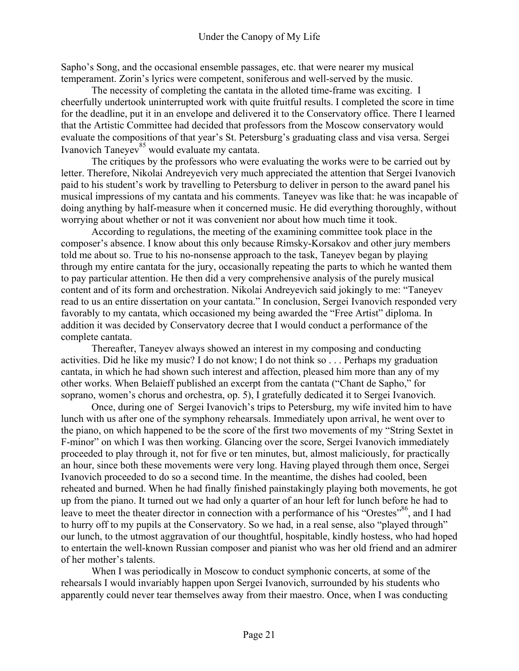Sapho's Song, and the occasional ensemble passages, etc. that were nearer my musical temperament. Zorin's lyrics were competent, soniferous and well-served by the music.

The necessity of completing the cantata in the alloted time-frame was exciting. I cheerfully undertook uninterrupted work with quite fruitful results. I completed the score in time for the deadline, put it in an envelope and delivered it to the Conservatory office. There I learned that the Artistic Committee had decided that professors from the Moscow conservatory would evaluate the compositions of that year's St. Petersburg's graduating class and visa versa. Sergei Ivanovich Taneyev<sup>85</sup> would evaluate my cantata.

The critiques by the professors who were evaluating the works were to be carried out by letter. Therefore, Nikolai Andreyevich very much appreciated the attention that Sergei Ivanovich paid to his student's work by travelling to Petersburg to deliver in person to the award panel his musical impressions of my cantata and his comments. Taneyev was like that: he was incapable of doing anything by half-measure when it concerned music. He did everything thoroughly, without worrying about whether or not it was convenient nor about how much time it took.

According to regulations, the meeting of the examining committee took place in the composer's absence. I know about this only because Rimsky-Korsakov and other jury members told me about so. True to his no-nonsense approach to the task, Taneyev began by playing through my entire cantata for the jury, occasionally repeating the parts to which he wanted them to pay particular attention. He then did a very comprehensive analysis of the purely musical content and of its form and orchestration. Nikolai Andreyevich said jokingly to me: "Taneyev read to us an entire dissertation on your cantata." In conclusion, Sergei Ivanovich responded very favorably to my cantata, which occasioned my being awarded the "Free Artist" diploma. In addition it was decided by Conservatory decree that I would conduct a performance of the complete cantata.

Thereafter, Taneyev always showed an interest in my composing and conducting activities. Did he like my music? I do not know; I do not think so . . . Perhaps my graduation cantata, in which he had shown such interest and affection, pleased him more than any of my other works. When Belaieff published an excerpt from the cantata ("Chant de Sapho," for soprano, women's chorus and orchestra, op. 5), I gratefully dedicated it to Sergei Ivanovich.

Once, during one of Sergei Ivanovich's trips to Petersburg, my wife invited him to have lunch with us after one of the symphony rehearsals. Immediately upon arrival, he went over to the piano, on which happened to be the score of the first two movements of my "String Sextet in F-minor" on which I was then working. Glancing over the score, Sergei Ivanovich immediately proceeded to play through it, not for five or ten minutes, but, almost maliciously, for practically an hour, since both these movements were very long. Having played through them once, Sergei Ivanovich proceeded to do so a second time. In the meantime, the dishes had cooled, been reheated and burned. When he had finally finished painstakingly playing both movements, he got up from the piano. It turned out we had only a quarter of an hour left for lunch before he had to leave to meet the theater director in connection with a performance of his "Orestes"<sup>86</sup>, and I had to hurry off to my pupils at the Conservatory. So we had, in a real sense, also "played through" our lunch, to the utmost aggravation of our thoughtful, hospitable, kindly hostess, who had hoped to entertain the well-known Russian composer and pianist who was her old friend and an admirer of her mother's talents.

When I was periodically in Moscow to conduct symphonic concerts, at some of the rehearsals I would invariably happen upon Sergei Ivanovich, surrounded by his students who apparently could never tear themselves away from their maestro. Once, when I was conducting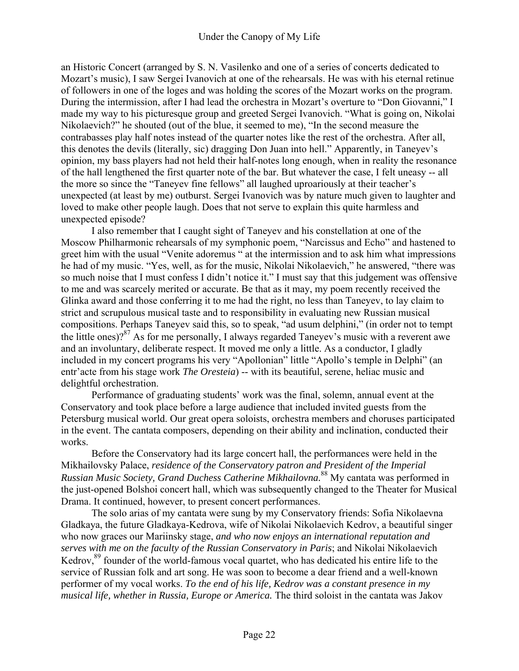an Historic Concert (arranged by S. N. Vasilenko and one of a series of concerts dedicated to Mozart's music), I saw Sergei Ivanovich at one of the rehearsals. He was with his eternal retinue of followers in one of the loges and was holding the scores of the Mozart works on the program. During the intermission, after I had lead the orchestra in Mozart's overture to "Don Giovanni," I made my way to his picturesque group and greeted Sergei Ivanovich. "What is going on, Nikolai Nikolaevich?" he shouted (out of the blue, it seemed to me), "In the second measure the contrabasses play half notes instead of the quarter notes like the rest of the orchestra. After all, this denotes the devils (literally, sic) dragging Don Juan into hell." Apparently, in Taneyev's opinion, my bass players had not held their half-notes long enough, when in reality the resonance of the hall lengthened the first quarter note of the bar. But whatever the case, I felt uneasy -- all the more so since the "Taneyev fine fellows" all laughed uproariously at their teacher's unexpected (at least by me) outburst. Sergei Ivanovich was by nature much given to laughter and loved to make other people laugh. Does that not serve to explain this quite harmless and unexpected episode?

I also remember that I caught sight of Taneyev and his constellation at one of the Moscow Philharmonic rehearsals of my symphonic poem, "Narcissus and Echo" and hastened to greet him with the usual "Venite adoremus " at the intermission and to ask him what impressions he had of my music. "Yes, well, as for the music, Nikolai Nikolaevich," he answered, "there was so much noise that I must confess I didn't notice it." I must say that this judgement was offensive to me and was scarcely merited or accurate. Be that as it may, my poem recently received the Glinka award and those conferring it to me had the right, no less than Taneyev, to lay claim to strict and scrupulous musical taste and to responsibility in evaluating new Russian musical compositions. Perhaps Taneyev said this, so to speak, "ad usum delphini," (in order not to tempt the little ones)?<sup>87</sup> As for me personally, I always regarded Taneyev's music with a reverent awe and an involuntary, deliberate respect. It moved me only a little. As a conductor, I gladly included in my concert programs his very "Apollonian" little "Apollo's temple in Delphi" (an entr'acte from his stage work *The Oresteia*) -- with its beautiful, serene, heliac music and delightful orchestration.

Performance of graduating students' work was the final, solemn, annual event at the Conservatory and took place before a large audience that included invited guests from the Petersburg musical world. Our great opera soloists, orchestra members and choruses participated in the event. The cantata composers, depending on their ability and inclination, conducted their works.

Before the Conservatory had its large concert hall, the performances were held in the Mikhailovsky Palace, *residence of the Conservatory patron and President of the Imperial Russian Music Society, Grand Duchess Catherine Mikhailovna.*<sup>88</sup> My cantata was performed in the just-opened Bolshoi concert hall, which was subsequently changed to the Theater for Musical Drama. It continued, however, to present concert performances.

The solo arias of my cantata were sung by my Conservatory friends: Sofia Nikolaevna Gladkaya, the future Gladkaya-Kedrova, wife of Nikolai Nikolaevich Kedrov, a beautiful singer who now graces our Mariinsky stage, *and who now enjoys an international reputation and serves with me on the faculty of the Russian Conservatory in Paris*; and Nikolai Nikolaevich Kedrov,<sup>89</sup> founder of the world-famous vocal quartet, who has dedicated his entire life to the service of Russian folk and art song. He was soon to become a dear friend and a well-known performer of my vocal works. *To the end of his life, Kedrov was a constant presence in my musical life, whether in Russia, Europe or America.* The third soloist in the cantata was Jakov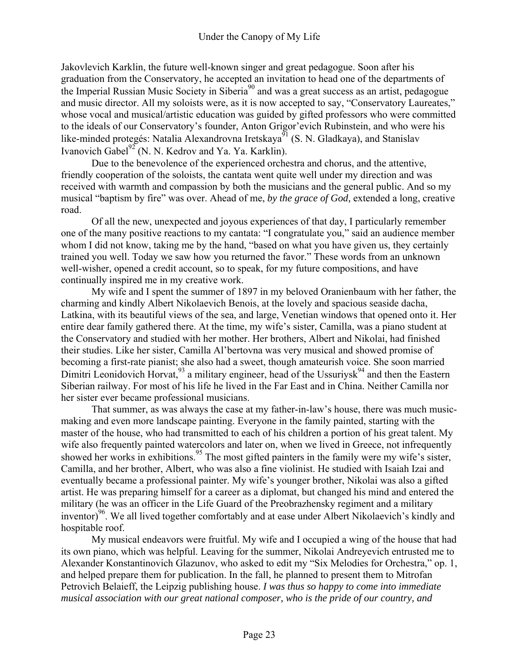Jakovlevich Karklin, the future well-known singer and great pedagogue. Soon after his graduation from the Conservatory, he accepted an invitation to head one of the departments of the Imperial Russian Music Society in Siberia<sup>90</sup> and was a great success as an artist, pedagogue and music director. All my soloists were, as it is now accepted to say, "Conservatory Laureates," whose vocal and musical/artistic education was guided by gifted professors who were committed to the ideals of our Conservatory's founder, Anton Grigor'evich Rubinstein, and who were his like-minded protegés: Natalia Alexandrovna Iretskaya<sup>91</sup> (S. N. Gladkaya), and Stanislav Ivanovich Gabel $^{92}$ (N. N. Kedrov and Ya. Ya. Karklin).

Due to the benevolence of the experienced orchestra and chorus, and the attentive, friendly cooperation of the soloists, the cantata went quite well under my direction and was received with warmth and compassion by both the musicians and the general public. And so my musical "baptism by fire" was over. Ahead of me, *by the grace of God,* extended a long, creative road.

Of all the new, unexpected and joyous experiences of that day, I particularly remember one of the many positive reactions to my cantata: "I congratulate you," said an audience member whom I did not know, taking me by the hand, "based on what you have given us, they certainly trained you well. Today we saw how you returned the favor." These words from an unknown well-wisher, opened a credit account, so to speak, for my future compositions, and have continually inspired me in my creative work.

My wife and I spent the summer of 1897 in my beloved Oranienbaum with her father, the charming and kindly Albert Nikolaevich Benois, at the lovely and spacious seaside dacha, Latkina, with its beautiful views of the sea, and large, Venetian windows that opened onto it. Her entire dear family gathered there. At the time, my wife's sister, Camilla, was a piano student at the Conservatory and studied with her mother. Her brothers, Albert and Nikolai, had finished their studies. Like her sister, Camilla Al'bertovna was very musical and showed promise of becoming a first-rate pianist; she also had a sweet, though amateurish voice. She soon married Dimitri Leonidovich Horvat,  $^{93}$  a military engineer, head of the Ussuriysk<sup>94</sup> and then the Eastern Siberian railway. For most of his life he lived in the Far East and in China. Neither Camilla nor her sister ever became professional musicians.

That summer, as was always the case at my father-in-law's house, there was much musicmaking and even more landscape painting. Everyone in the family painted, starting with the master of the house, who had transmitted to each of his children a portion of his great talent. My wife also frequently painted watercolors and later on, when we lived in Greece, not infrequently showed her works in exhibitions.<sup>95</sup> The most gifted painters in the family were my wife's sister, Camilla, and her brother, Albert, who was also a fine violinist. He studied with Isaiah Izai and eventually became a professional painter. My wife's younger brother, Nikolai was also a gifted artist. He was preparing himself for a career as a diplomat, but changed his mind and entered the military (he was an officer in the Life Guard of the Preobrazhensky regiment and a military inventor)<sup>96</sup>. We all lived together comfortably and at ease under Albert Nikolaevich's kindly and hospitable roof.

My musical endeavors were fruitful. My wife and I occupied a wing of the house that had its own piano, which was helpful. Leaving for the summer, Nikolai Andreyevich entrusted me to Alexander Konstantinovich Glazunov, who asked to edit my "Six Melodies for Orchestra," op. 1, and helped prepare them for publication. In the fall, he planned to present them to Mitrofan Petrovich Belaieff, the Leipzig publishing house. *I was thus so happy to come into immediate musical association with our great national composer, who is the pride of our country, and*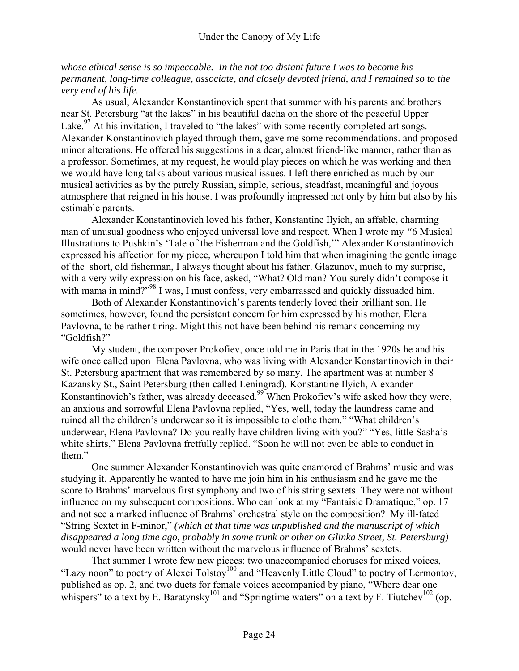*whose ethical sense is so impeccable. In the not too distant future I was to become his permanent, long-time colleague, associate, and closely devoted friend, and I remained so to the very end of his life.* 

As usual, Alexander Konstantinovich spent that summer with his parents and brothers near St. Petersburg "at the lakes" in his beautiful dacha on the shore of the peaceful Upper Lake.<sup>97</sup> At his invitation, I traveled to "the lakes" with some recently completed art songs. Alexander Konstantinovich played through them, gave me some recommendations. and proposed minor alterations. He offered his suggestions in a dear, almost friend-like manner, rather than as a professor. Sometimes, at my request, he would play pieces on which he was working and then we would have long talks about various musical issues. I left there enriched as much by our musical activities as by the purely Russian, simple, serious, steadfast, meaningful and joyous atmosphere that reigned in his house. I was profoundly impressed not only by him but also by his estimable parents.

Alexander Konstantinovich loved his father, Konstantine Ilyich, an affable, charming man of unusual goodness who enjoyed universal love and respect. When I wrote my *"*6 Musical Illustrations to Pushkin's 'Tale of the Fisherman and the Goldfish,'" Alexander Konstantinovich expressed his affection for my piece, whereupon I told him that when imagining the gentle image of the short, old fisherman, I always thought about his father. Glazunov, much to my surprise, with a very wily expression on his face, asked, "What? Old man? You surely didn't compose it with mama in mind?"<sup>98</sup> I was, I must confess, very embarrassed and quickly dissuaded him.

Both of Alexander Konstantinovich's parents tenderly loved their brilliant son. He sometimes, however, found the persistent concern for him expressed by his mother, Elena Pavlovna, to be rather tiring. Might this not have been behind his remark concerning my "Goldfish?"

My student, the composer Prokofiev, once told me in Paris that in the 1920s he and his wife once called upon Elena Pavlovna, who was living with Alexander Konstantinovich in their St. Petersburg apartment that was remembered by so many. The apartment was at number 8 Kazansky St., Saint Petersburg (then called Leningrad). Konstantine Ilyich, Alexander Konstantinovich's father, was already deceased.99 When Prokofiev's wife asked how they were, an anxious and sorrowful Elena Pavlovna replied, "Yes, well, today the laundress came and ruined all the children's underwear so it is impossible to clothe them." "What children's underwear, Elena Pavlovna? Do you really have children living with you?" "Yes, little Sasha's white shirts," Elena Pavlovna fretfully replied. "Soon he will not even be able to conduct in them."

One summer Alexander Konstantinovich was quite enamored of Brahms' music and was studying it. Apparently he wanted to have me join him in his enthusiasm and he gave me the score to Brahms' marvelous first symphony and two of his string sextets. They were not without influence on my subsequent compositions. Who can look at my "Fantaisie Dramatique," op. 17 and not see a marked influence of Brahms' orchestral style on the composition? My ill-fated "String Sextet in F-minor," *(which at that time was unpublished and the manuscript of which disappeared a long time ago, probably in some trunk or other on Glinka Street, St. Petersburg)* would never have been written without the marvelous influence of Brahms' sextets.

That summer I wrote few new pieces: two unaccompanied choruses for mixed voices, "Lazy noon" to poetry of Alexei Tolstoy<sup>100</sup> and "Heavenly Little Cloud" to poetry of Lermontov, published as op. 2, and two duets for female voices accompanied by piano, "Where dear one whispers" to a text by E. Baratynsky<sup>101</sup> and "Springtime waters" on a text by F. Tiutchev<sup>102</sup> (op.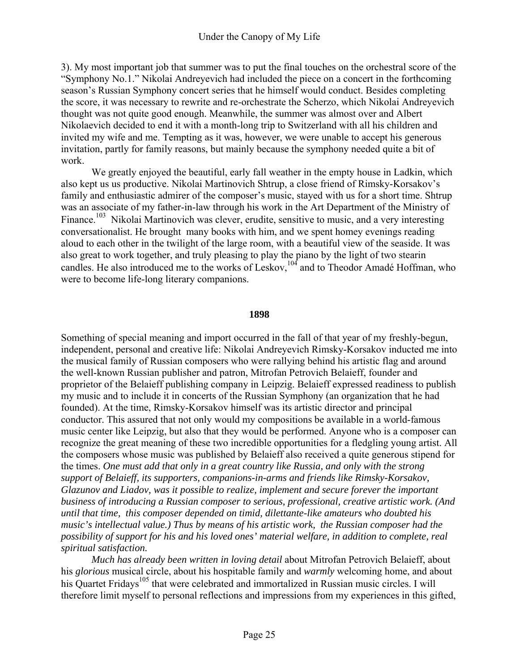3). My most important job that summer was to put the final touches on the orchestral score of the "Symphony No.1." Nikolai Andreyevich had included the piece on a concert in the forthcoming season's Russian Symphony concert series that he himself would conduct. Besides completing the score, it was necessary to rewrite and re-orchestrate the Scherzo, which Nikolai Andreyevich thought was not quite good enough. Meanwhile, the summer was almost over and Albert Nikolaevich decided to end it with a month-long trip to Switzerland with all his children and invited my wife and me. Tempting as it was, however, we were unable to accept his generous invitation, partly for family reasons, but mainly because the symphony needed quite a bit of work.

We greatly enjoyed the beautiful, early fall weather in the empty house in Ladkin, which also kept us us productive. Nikolai Martinovich Shtrup, a close friend of Rimsky-Korsakov's family and enthusiastic admirer of the composer's music, stayed with us for a short time. Shtrup was an associate of my father-in-law through his work in the Art Department of the Ministry of Finance.<sup>103</sup> Nikolai Martinovich was clever, erudite, sensitive to music, and a very interesting conversationalist. He brought many books with him, and we spent homey evenings reading aloud to each other in the twilight of the large room, with a beautiful view of the seaside. It was also great to work together, and truly pleasing to play the piano by the light of two stearin candles. He also introduced me to the works of Leskov,<sup>104</sup> and to Theodor Amadé Hoffman, who were to become life-long literary companions.

## **1898**

Something of special meaning and import occurred in the fall of that year of my freshly-begun, independent, personal and creative life: Nikolai Andreyevich Rimsky-Korsakov inducted me into the musical family of Russian composers who were rallying behind his artistic flag and around the well-known Russian publisher and patron, Mitrofan Petrovich Belaieff, founder and proprietor of the Belaieff publishing company in Leipzig. Belaieff expressed readiness to publish my music and to include it in concerts of the Russian Symphony (an organization that he had founded). At the time, Rimsky-Korsakov himself was its artistic director and principal conductor. This assured that not only would my compositions be available in a world-famous music center like Leipzig, but also that they would be performed. Anyone who is a composer can recognize the great meaning of these two incredible opportunities for a fledgling young artist. All the composers whose music was published by Belaieff also received a quite generous stipend for the times. *One must add that only in a great country like Russia, and only with the strong support of Belaieff, its supporters, companions-in-arms and friends like Rimsky-Korsakov, Glazunov and Liadov, was it possible to realize, implement and secure forever the important business of introducing a Russian composer to serious, professional, creative artistic work. (And until that time, this composer depended on timid, dilettante-like amateurs who doubted his music's intellectual value.) Thus by means of his artistic work, the Russian composer had the possibility of support for his and his loved ones' material welfare, in addition to complete, real spiritual satisfaction.* 

*Much has already been written in loving detail* about Mitrofan Petrovich Belaieff, about his *glorious* musical circle, about his hospitable family and *warmly* welcoming home, and about his Quartet Fridays<sup>105</sup> that were celebrated and immortalized in Russian music circles. I will therefore limit myself to personal reflections and impressions from my experiences in this gifted,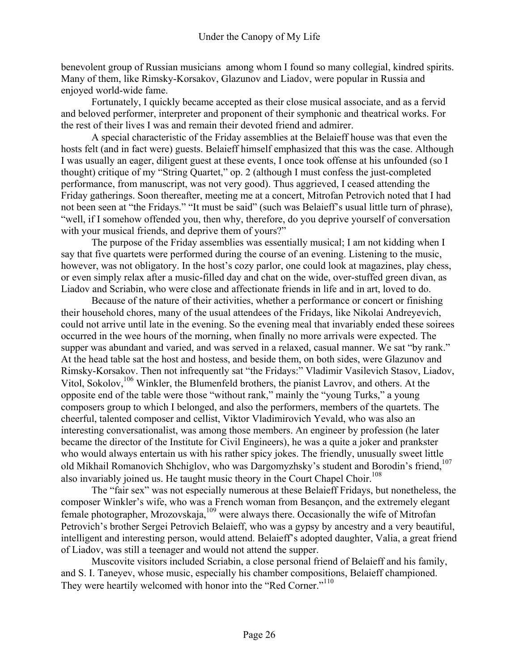benevolent group of Russian musicians among whom I found so many collegial, kindred spirits. Many of them, like Rimsky-Korsakov, Glazunov and Liadov, were popular in Russia and enjoyed world-wide fame.

Fortunately, I quickly became accepted as their close musical associate, and as a fervid and beloved performer, interpreter and proponent of their symphonic and theatrical works. For the rest of their lives I was and remain their devoted friend and admirer.

A special characteristic of the Friday assemblies at the Belaieff house was that even the hosts felt (and in fact were) guests. Belaieff himself emphasized that this was the case. Although I was usually an eager, diligent guest at these events, I once took offense at his unfounded (so I thought) critique of my "String Quartet," op. 2 (although I must confess the just-completed performance, from manuscript, was not very good). Thus aggrieved, I ceased attending the Friday gatherings. Soon thereafter, meeting me at a concert, Mitrofan Petrovich noted that I had not been seen at "the Fridays." "It must be said" (such was Belaieff's usual little turn of phrase), "well, if I somehow offended you, then why, therefore, do you deprive yourself of conversation with your musical friends, and deprive them of yours?"

The purpose of the Friday assemblies was essentially musical; I am not kidding when I say that five quartets were performed during the course of an evening. Listening to the music, however, was not obligatory. In the host's cozy parlor, one could look at magazines, play chess, or even simply relax after a music-filled day and chat on the wide, over-stuffed green divan, as Liadov and Scriabin, who were close and affectionate friends in life and in art, loved to do.

Because of the nature of their activities, whether a performance or concert or finishing their household chores, many of the usual attendees of the Fridays, like Nikolai Andreyevich, could not arrive until late in the evening. So the evening meal that invariably ended these soirees occurred in the wee hours of the morning, when finally no more arrivals were expected. The supper was abundant and varied, and was served in a relaxed, casual manner. We sat "by rank." At the head table sat the host and hostess, and beside them, on both sides, were Glazunov and Rimsky-Korsakov. Then not infrequently sat "the Fridays:" Vladimir Vasilevich Stasov, Liadov, Vitol, Sokolov,<sup>106</sup> Winkler, the Blumenfeld brothers, the pianist Lavrov, and others. At the opposite end of the table were those "without rank," mainly the "young Turks," a young composers group to which I belonged, and also the performers, members of the quartets. The cheerful, talented composer and cellist, Viktor Vladimirovich Yevald, who was also an interesting conversationalist, was among those members. An engineer by profession (he later became the director of the Institute for Civil Engineers), he was a quite a joker and prankster who would always entertain us with his rather spicy jokes. The friendly, unusually sweet little old Mikhail Romanovich Shchiglov, who was Dargomyzhsky's student and Borodin's friend,<sup>107</sup> also invariably joined us. He taught music theory in the Court Chapel Choir.<sup>108</sup>

The "fair sex" was not especially numerous at these Belaieff Fridays, but nonetheless, the composer Winkler's wife, who was a French woman from Besançon, and the extremely elegant female photographer, Mrozovskaja, $109$  were always there. Occasionally the wife of Mitrofan Petrovich's brother Sergei Petrovich Belaieff, who was a gypsy by ancestry and a very beautiful, intelligent and interesting person, would attend. Belaieff's adopted daughter, Valia, a great friend of Liadov, was still a teenager and would not attend the supper.

Muscovite visitors included Scriabin, a close personal friend of Belaieff and his family, and S. I. Taneyev, whose music, especially his chamber compositions, Belaieff championed. They were heartily welcomed with honor into the "Red Corner."<sup>110</sup>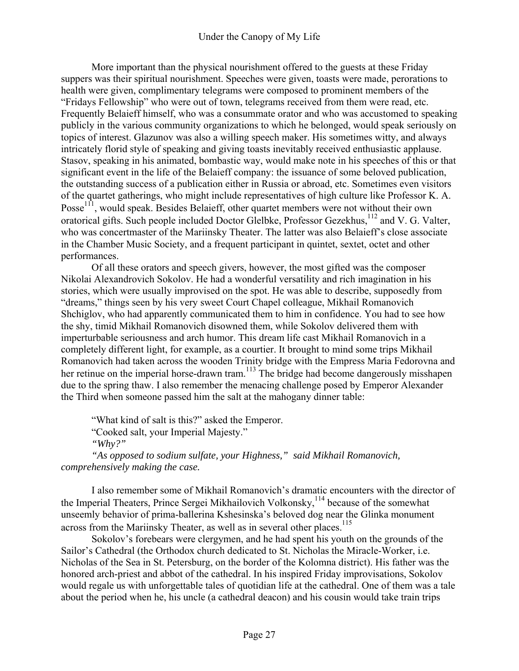More important than the physical nourishment offered to the guests at these Friday suppers was their spiritual nourishment. Speeches were given, toasts were made, perorations to health were given, complimentary telegrams were composed to prominent members of the "Fridays Fellowship" who were out of town, telegrams received from them were read, etc. Frequently Belaieff himself, who was a consummate orator and who was accustomed to speaking publicly in the various community organizations to which he belonged, would speak seriously on topics of interest. Glazunov was also a willing speech maker. His sometimes witty, and always intricately florid style of speaking and giving toasts inevitably received enthusiastic applause. Stasov, speaking in his animated, bombastic way, would make note in his speeches of this or that significant event in the life of the Belaieff company: the issuance of some beloved publication, the outstanding success of a publication either in Russia or abroad, etc. Sometimes even visitors of the quartet gatherings, who might include representatives of high culture like Professor K. A. Posse<sup>111</sup>, would speak. Besides Belaieff, other quartet members were not without their own oratorical gifts. Such people included Doctor Glelbke, Professor Gezekhus,<sup>112</sup> and V. G. Valter, who was concertmaster of the Mariinsky Theater. The latter was also Belaieff's close associate in the Chamber Music Society, and a frequent participant in quintet, sextet, octet and other performances.

Of all these orators and speech givers, however, the most gifted was the composer Nikolai Alexandrovich Sokolov. He had a wonderful versatility and rich imagination in his stories, which were usually improvised on the spot. He was able to describe, supposedly from "dreams," things seen by his very sweet Court Chapel colleague, Mikhail Romanovich Shchiglov, who had apparently communicated them to him in confidence. You had to see how the shy, timid Mikhail Romanovich disowned them, while Sokolov delivered them with imperturbable seriousness and arch humor. This dream life cast Mikhail Romanovich in a completely different light, for example, as a courtier. It brought to mind some trips Mikhail Romanovich had taken across the wooden Trinity bridge with the Empress Maria Fedorovna and her retinue on the imperial horse-drawn tram.<sup>113</sup> The bridge had become dangerously misshapen due to the spring thaw. I also remember the menacing challenge posed by Emperor Alexander the Third when someone passed him the salt at the mahogany dinner table:

"What kind of salt is this?" asked the Emperor. "Cooked salt, your Imperial Majesty." *"Why?"* 

*"As opposed to sodium sulfate, your Highness," said Mikhail Romanovich, comprehensively making the case.* 

I also remember some of Mikhail Romanovich's dramatic encounters with the director of the Imperial Theaters, Prince Sergei Mikhailovich Volkonsky,<sup>114</sup> because of the somewhat unseemly behavior of prima-ballerina Kshesinska's beloved dog near the Glinka monument across from the Mariinsky Theater, as well as in several other places.<sup>115</sup>

Sokolov's forebears were clergymen, and he had spent his youth on the grounds of the Sailor's Cathedral (the Orthodox church dedicated to St. Nicholas the Miracle-Worker, i.e. Nicholas of the Sea in St. Petersburg, on the border of the Kolomna district). His father was the honored arch-priest and abbot of the cathedral. In his inspired Friday improvisations, Sokolov would regale us with unforgettable tales of quotidian life at the cathedral. One of them was a tale about the period when he, his uncle (a cathedral deacon) and his cousin would take train trips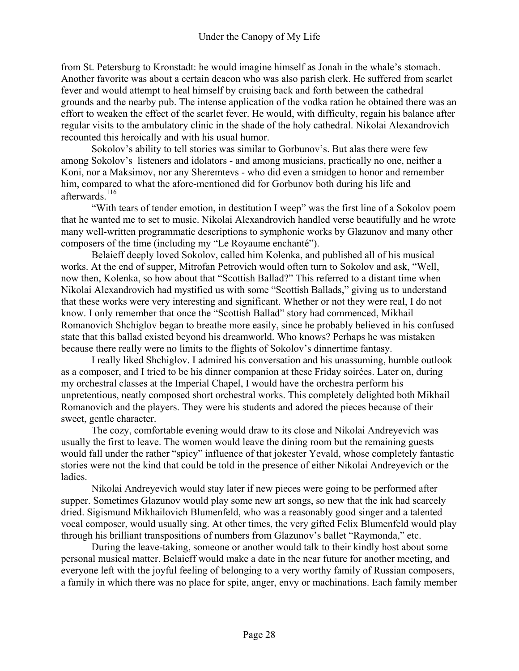from St. Petersburg to Kronstadt: he would imagine himself as Jonah in the whale's stomach. Another favorite was about a certain deacon who was also parish clerk. He suffered from scarlet fever and would attempt to heal himself by cruising back and forth between the cathedral grounds and the nearby pub. The intense application of the vodka ration he obtained there was an effort to weaken the effect of the scarlet fever. He would, with difficulty, regain his balance after regular visits to the ambulatory clinic in the shade of the holy cathedral. Nikolai Alexandrovich recounted this heroically and with his usual humor.

Sokolov's ability to tell stories was similar to Gorbunov's. But alas there were few among Sokolov's listeners and idolators - and among musicians, practically no one, neither a Koni, nor a Maksimov, nor any Sheremtevs - who did even a smidgen to honor and remember him, compared to what the afore-mentioned did for Gorbunov both during his life and afterwards<sup>116</sup>

"With tears of tender emotion, in destitution I weep" was the first line of a Sokolov poem that he wanted me to set to music. Nikolai Alexandrovich handled verse beautifully and he wrote many well-written programmatic descriptions to symphonic works by Glazunov and many other composers of the time (including my "Le Royaume enchanté").

Belaieff deeply loved Sokolov, called him Kolenka, and published all of his musical works. At the end of supper, Mitrofan Petrovich would often turn to Sokolov and ask, "Well, now then, Kolenka, so how about that "Scottish Ballad?" This referred to a distant time when Nikolai Alexandrovich had mystified us with some "Scottish Ballads," giving us to understand that these works were very interesting and significant. Whether or not they were real, I do not know. I only remember that once the "Scottish Ballad" story had commenced, Mikhail Romanovich Shchiglov began to breathe more easily, since he probably believed in his confused state that this ballad existed beyond his dreamworld. Who knows? Perhaps he was mistaken because there really were no limits to the flights of Sokolov's dinnertime fantasy.

I really liked Shchiglov. I admired his conversation and his unassuming, humble outlook as a composer, and I tried to be his dinner companion at these Friday soirées. Later on, during my orchestral classes at the Imperial Chapel, I would have the orchestra perform his unpretentious, neatly composed short orchestral works. This completely delighted both Mikhail Romanovich and the players. They were his students and adored the pieces because of their sweet, gentle character.

The cozy, comfortable evening would draw to its close and Nikolai Andreyevich was usually the first to leave. The women would leave the dining room but the remaining guests would fall under the rather "spicy" influence of that jokester Yevald, whose completely fantastic stories were not the kind that could be told in the presence of either Nikolai Andreyevich or the **ladies** 

Nikolai Andreyevich would stay later if new pieces were going to be performed after supper. Sometimes Glazunov would play some new art songs, so new that the ink had scarcely dried. Sigismund Mikhailovich Blumenfeld, who was a reasonably good singer and a talented vocal composer, would usually sing. At other times, the very gifted Felix Blumenfeld would play through his brilliant transpositions of numbers from Glazunov's ballet "Raymonda," etc.

During the leave-taking, someone or another would talk to their kindly host about some personal musical matter. Belaieff would make a date in the near future for another meeting, and everyone left with the joyful feeling of belonging to a very worthy family of Russian composers, a family in which there was no place for spite, anger, envy or machinations. Each family member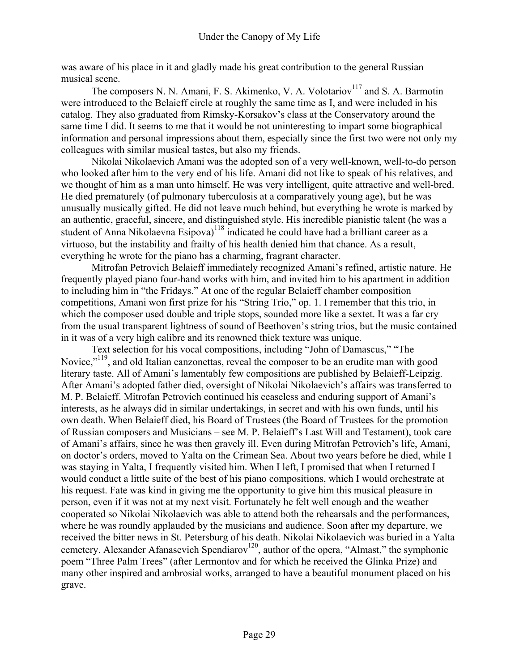was aware of his place in it and gladly made his great contribution to the general Russian musical scene.

The composers N. N. Amani, F. S. Akimenko, V. A. Volotariov<sup>117</sup> and S. A. Barmotin were introduced to the Belaieff circle at roughly the same time as I, and were included in his catalog. They also graduated from Rimsky-Korsakov's class at the Conservatory around the same time I did. It seems to me that it would be not uninteresting to impart some biographical information and personal impressions about them, especially since the first two were not only my colleagues with similar musical tastes, but also my friends.

Nikolai Nikolaevich Amani was the adopted son of a very well-known, well-to-do person who looked after him to the very end of his life. Amani did not like to speak of his relatives, and we thought of him as a man unto himself. He was very intelligent, quite attractive and well-bred. He died prematurely (of pulmonary tuberculosis at a comparatively young age), but he was unusually musically gifted. He did not leave much behind, but everything he wrote is marked by an authentic, graceful, sincere, and distinguished style. His incredible pianistic talent (he was a student of Anna Nikolaevna Esipova)<sup>118</sup> indicated he could have had a brilliant career as a virtuoso, but the instability and frailty of his health denied him that chance. As a result, everything he wrote for the piano has a charming, fragrant character.

Mitrofan Petrovich Belaieff immediately recognized Amani's refined, artistic nature. He frequently played piano four-hand works with him, and invited him to his apartment in addition to including him in "the Fridays." At one of the regular Belaieff chamber composition competitions, Amani won first prize for his "String Trio," op. 1. I remember that this trio, in which the composer used double and triple stops, sounded more like a sextet. It was a far cry from the usual transparent lightness of sound of Beethoven's string trios, but the music contained in it was of a very high calibre and its renowned thick texture was unique.

Text selection for his vocal compositions, including "John of Damascus," "The Novice,"119, and old Italian canzonettas, reveal the composer to be an erudite man with good literary taste. All of Amani's lamentably few compositions are published by Belaieff-Leipzig. After Amani's adopted father died, oversight of Nikolai Nikolaevich's affairs was transferred to M. P. Belaieff. Mitrofan Petrovich continued his ceaseless and enduring support of Amani's interests, as he always did in similar undertakings, in secret and with his own funds, until his own death. When Belaieff died, his Board of Trustees (the Board of Trustees for the promotion of Russian composers and Musicians – see M. P. Belaieff's Last Will and Testament), took care of Amani's affairs, since he was then gravely ill. Even during Mitrofan Petrovich's life, Amani, on doctor's orders, moved to Yalta on the Crimean Sea. About two years before he died, while I was staying in Yalta, I frequently visited him. When I left, I promised that when I returned I would conduct a little suite of the best of his piano compositions, which I would orchestrate at his request. Fate was kind in giving me the opportunity to give him this musical pleasure in person, even if it was not at my next visit. Fortunately he felt well enough and the weather cooperated so Nikolai Nikolaevich was able to attend both the rehearsals and the performances, where he was roundly applauded by the musicians and audience. Soon after my departure, we received the bitter news in St. Petersburg of his death. Nikolai Nikolaevich was buried in a Yalta cemetery. Alexander Afanasevich Spendiarov<sup>120</sup>, author of the opera, "Almast," the symphonic poem "Three Palm Trees" (after Lermontov and for which he received the Glinka Prize) and many other inspired and ambrosial works, arranged to have a beautiful monument placed on his grave.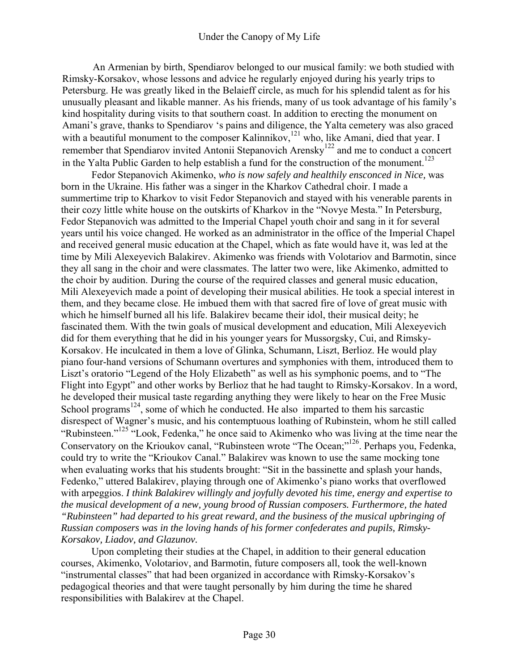An Armenian by birth, Spendiarov belonged to our musical family: we both studied with Rimsky-Korsakov, whose lessons and advice he regularly enjoyed during his yearly trips to Petersburg. He was greatly liked in the Belaieff circle, as much for his splendid talent as for his unusually pleasant and likable manner. As his friends, many of us took advantage of his family's kind hospitality during visits to that southern coast. In addition to erecting the monument on Amani's grave, thanks to Spendiarov 's pains and diligence, the Yalta cemetery was also graced with a beautiful monument to the composer Kalinnikov,<sup>121</sup> who, like Amani, died that year. I remember that Spendiarov invited Antonii Stepanovich Arensky<sup>122</sup> and me to conduct a concert in the Yalta Public Garden to help establish a fund for the construction of the monument.<sup>123</sup>

Fedor Stepanovich Akimenko, *who is now safely and healthily ensconced in Nice,* was born in the Ukraine. His father was a singer in the Kharkov Cathedral choir. I made a summertime trip to Kharkov to visit Fedor Stepanovich and stayed with his venerable parents in their cozy little white house on the outskirts of Kharkov in the "Novye Mesta." In Petersburg, Fedor Stepanovich was admitted to the Imperial Chapel youth choir and sang in it for several years until his voice changed. He worked as an administrator in the office of the Imperial Chapel and received general music education at the Chapel, which as fate would have it, was led at the time by Mili Alexeyevich Balakirev. Akimenko was friends with Volotariov and Barmotin, since they all sang in the choir and were classmates. The latter two were, like Akimenko, admitted to the choir by audition. During the course of the required classes and general music education, Mili Alexeyevich made a point of developing their musical abilities. He took a special interest in them, and they became close. He imbued them with that sacred fire of love of great music with which he himself burned all his life. Balakirev became their idol, their musical deity; he fascinated them. With the twin goals of musical development and education, Mili Alexeyevich did for them everything that he did in his younger years for Mussorgsky, Cui, and Rimsky-Korsakov. He inculcated in them a love of Glinka, Schumann, Liszt, Berlioz. He would play piano four-hand versions of Schumann overtures and symphonies with them, introduced them to Liszt's oratorio "Legend of the Holy Elizabeth" as well as his symphonic poems, and to "The Flight into Egypt" and other works by Berlioz that he had taught to Rimsky-Korsakov. In a word, he developed their musical taste regarding anything they were likely to hear on the Free Music School programs<sup>124</sup>, some of which he conducted. He also imparted to them his sarcastic disrespect of Wagner's music, and his contemptuous loathing of Rubinstein, whom he still called "Rubinsteen."125 "Look, Fedenka," he once said to Akimenko who was living at the time near the Conservatory on the Krioukov canal, "Rubinsteen wrote "The Ocean;"<sup>126</sup>. Perhaps you, Fedenka, could try to write the "Krioukov Canal." Balakirev was known to use the same mocking tone when evaluating works that his students brought: "Sit in the bassinette and splash your hands, Fedenko," uttered Balakirev, playing through one of Akimenko's piano works that overflowed with arpeggios. *I think Balakirev willingly and joyfully devoted his time, energy and expertise to the musical development of a new, young brood of Russian composers. Furthermore, the hated "Rubinsteen" had departed to his great reward, and the business of the musical upbringing of Russian composers was in the loving hands of his former confederates and pupils, Rimsky-Korsakov, Liadov, and Glazunov.* 

Upon completing their studies at the Chapel, in addition to their general education courses, Akimenko, Volotariov, and Barmotin, future composers all, took the well-known "instrumental classes" that had been organized in accordance with Rimsky-Korsakov's pedagogical theories and that were taught personally by him during the time he shared responsibilities with Balakirev at the Chapel.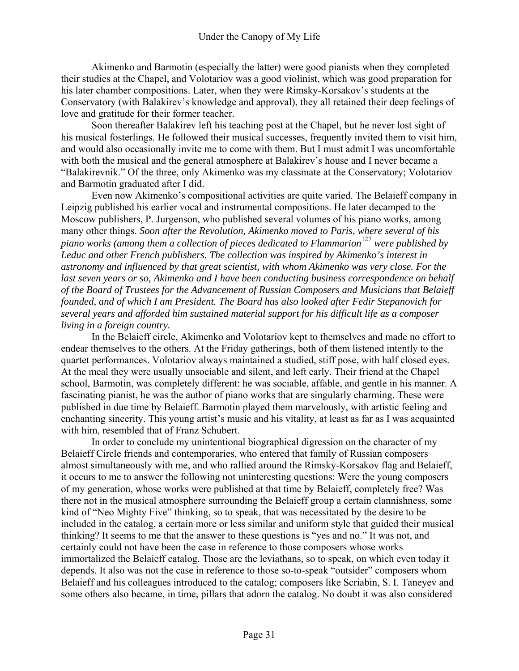Akimenko and Barmotin (especially the latter) were good pianists when they completed their studies at the Chapel, and Volotariov was a good violinist, which was good preparation for his later chamber compositions. Later, when they were Rimsky-Korsakov's students at the Conservatory (with Balakirev's knowledge and approval), they all retained their deep feelings of love and gratitude for their former teacher.

Soon thereafter Balakirev left his teaching post at the Chapel, but he never lost sight of his musical fosterlings. He followed their musical successes, frequently invited them to visit him, and would also occasionally invite me to come with them. But I must admit I was uncomfortable with both the musical and the general atmosphere at Balakirev's house and I never became a "Balakirevnik." Of the three, only Akimenko was my classmate at the Conservatory; Volotariov and Barmotin graduated after I did.

Even now Akimenko's compositional activities are quite varied. The Belaieff company in Leipzig published his earlier vocal and instrumental compositions. He later decamped to the Moscow publishers, P. Jurgenson, who published several volumes of his piano works, among many other things. *Soon after the Revolution, Akimenko moved to Paris, where several of his piano works (among them a collection of pieces dedicated to Flammarion*<sup>127</sup> *were published by Leduc and other French publishers. The collection was inspired by Akimenko's interest in astronomy and influenced by that great scientist, with whom Akimenko was very close. For the last seven years or so, Akimenko and I have been conducting business correspondence on behalf of the Board of Trustees for the Advancement of Russian Composers and Musicians that Belaieff founded, and of which I am President. The Board has also looked after Fedir Stepanovich for several years and afforded him sustained material support for his difficult life as a composer living in a foreign country.* 

In the Belaieff circle, Akimenko and Volotariov kept to themselves and made no effort to endear themselves to the others. At the Friday gatherings, both of them listened intently to the quartet performances. Volotariov always maintained a studied, stiff pose, with half closed eyes. At the meal they were usually unsociable and silent, and left early. Their friend at the Chapel school, Barmotin, was completely different: he was sociable, affable, and gentle in his manner. A fascinating pianist, he was the author of piano works that are singularly charming. These were published in due time by Belaieff. Barmotin played them marvelously, with artistic feeling and enchanting sincerity. This young artist's music and his vitality, at least as far as I was acquainted with him, resembled that of Franz Schubert.

In order to conclude my unintentional biographical digression on the character of my Belaieff Circle friends and contemporaries, who entered that family of Russian composers almost simultaneously with me, and who rallied around the Rimsky-Korsakov flag and Belaieff, it occurs to me to answer the following not uninteresting questions: Were the young composers of my generation, whose works were published at that time by Belaieff, completely free? Was there not in the musical atmosphere surrounding the Belaieff group a certain clannishness, some kind of "Neo Mighty Five" thinking, so to speak, that was necessitated by the desire to be included in the catalog, a certain more or less similar and uniform style that guided their musical thinking? It seems to me that the answer to these questions is "yes and no." It was not, and certainly could not have been the case in reference to those composers whose works immortalized the Belaieff catalog. Those are the leviathans, so to speak, on which even today it depends. It also was not the case in reference to those so-to-speak "outsider" composers whom Belaieff and his colleagues introduced to the catalog; composers like Scriabin, S. I. Taneyev and some others also became, in time, pillars that adorn the catalog. No doubt it was also considered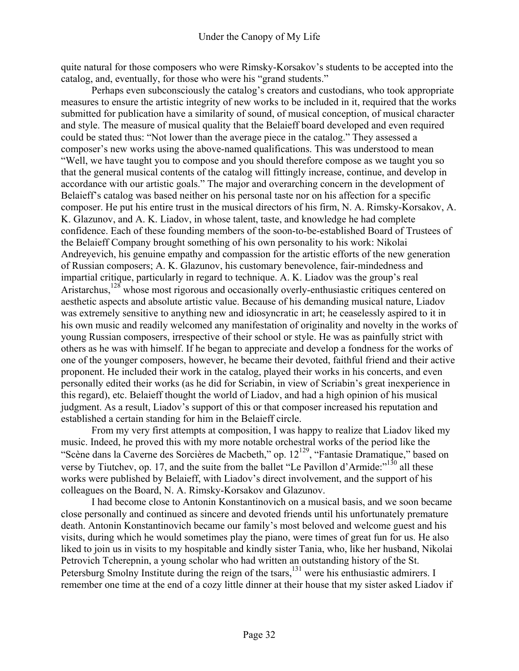quite natural for those composers who were Rimsky-Korsakov's students to be accepted into the catalog, and, eventually, for those who were his "grand students."

Perhaps even subconsciously the catalog's creators and custodians, who took appropriate measures to ensure the artistic integrity of new works to be included in it, required that the works submitted for publication have a similarity of sound, of musical conception, of musical character and style. The measure of musical quality that the Belaieff board developed and even required could be stated thus: "Not lower than the average piece in the catalog." They assessed a composer's new works using the above-named qualifications. This was understood to mean "Well, we have taught you to compose and you should therefore compose as we taught you so that the general musical contents of the catalog will fittingly increase, continue, and develop in accordance with our artistic goals." The major and overarching concern in the development of Belaieff's catalog was based neither on his personal taste nor on his affection for a specific composer. He put his entire trust in the musical directors of his firm, N. A. Rimsky-Korsakov, A. K. Glazunov, and A. K. Liadov, in whose talent, taste, and knowledge he had complete confidence. Each of these founding members of the soon-to-be-established Board of Trustees of the Belaieff Company brought something of his own personality to his work: Nikolai Andreyevich, his genuine empathy and compassion for the artistic efforts of the new generation of Russian composers; A. K. Glazunov, his customary benevolence, fair-mindedness and impartial critique, particularly in regard to technique. A. K. Liadov was the group's real Aristarchus,<sup>128</sup> whose most rigorous and occasionally overly-enthusiastic critiques centered on aesthetic aspects and absolute artistic value. Because of his demanding musical nature, Liadov was extremely sensitive to anything new and idiosyncratic in art; he ceaselessly aspired to it in his own music and readily welcomed any manifestation of originality and novelty in the works of young Russian composers, irrespective of their school or style. He was as painfully strict with others as he was with himself. If he began to appreciate and develop a fondness for the works of one of the younger composers, however, he became their devoted, faithful friend and their active proponent. He included their work in the catalog, played their works in his concerts, and even personally edited their works (as he did for Scriabin, in view of Scriabin's great inexperience in this regard), etc. Belaieff thought the world of Liadov, and had a high opinion of his musical judgment. As a result, Liadov's support of this or that composer increased his reputation and established a certain standing for him in the Belaieff circle.

From my very first attempts at composition, I was happy to realize that Liadov liked my music. Indeed, he proved this with my more notable orchestral works of the period like the "Scène dans la Caverne des Sorcières de Macbeth," op. 12<sup>129</sup>, "Fantasie Dramatique," based on verse by Tiutchev, op. 17, and the suite from the ballet "Le Pavillon d'Armide:"<sup>130</sup> all these works were published by Belaieff, with Liadov's direct involvement, and the support of his colleagues on the Board, N. A. Rimsky-Korsakov and Glazunov.

I had become close to Antonin Konstantinovich on a musical basis, and we soon became close personally and continued as sincere and devoted friends until his unfortunately premature death. Antonin Konstantinovich became our family's most beloved and welcome guest and his visits, during which he would sometimes play the piano, were times of great fun for us. He also liked to join us in visits to my hospitable and kindly sister Tania, who, like her husband, Nikolai Petrovich Tcherepnin, a young scholar who had written an outstanding history of the St. Petersburg Smolny Institute during the reign of the tsars,<sup>131</sup> were his enthusiastic admirers. I remember one time at the end of a cozy little dinner at their house that my sister asked Liadov if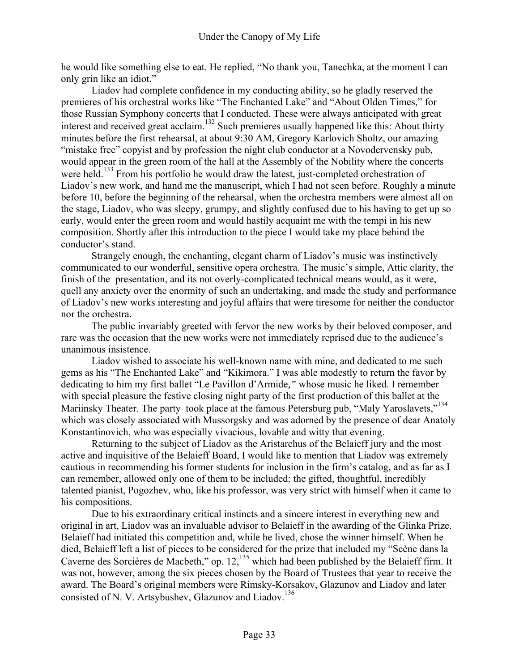he would like something else to eat. He replied, "No thank you, Tanechka, at the moment I can only grin like an idiot."

Liadov had complete confidence in my conducting ability, so he gladly reserved the premieres of his orchestral works like "The Enchanted Lake" and "About Olden Times," for those Russian Symphony concerts that I conducted. These were always anticipated with great interest and received great acclaim.132 Such premieres usually happened like this: About thirty minutes before the first rehearsal, at about 9:30 AM, Gregory Karlovich Sholtz, our amazing "mistake free" copyist and by profession the night club conductor at a Novodervensky pub, would appear in the green room of the hall at the Assembly of the Nobility where the concerts were held.<sup>133</sup> From his portfolio he would draw the latest, just-completed orchestration of Liadov's new work, and hand me the manuscript, which I had not seen before. Roughly a minute before 10, before the beginning of the rehearsal, when the orchestra members were almost all on the stage, Liadov, who was sleepy, grumpy, and slightly confused due to his having to get up so early, would enter the green room and would hastily acquaint me with the tempi in his new composition. Shortly after this introduction to the piece I would take my place behind the conductor's stand.

Strangely enough, the enchanting, elegant charm of Liadov's music was instinctively communicated to our wonderful, sensitive opera orchestra. The music's simple, Attic clarity, the finish of the presentation, and its not overly-complicated technical means would, as it were, quell any anxiety over the enormity of such an undertaking, and made the study and performance of Liadov's new works interesting and joyful affairs that were tiresome for neither the conductor nor the orchestra.

The public invariably greeted with fervor the new works by their beloved composer, and rare was the occasion that the new works were not immediately reprised due to the audience's unanimous insistence.

Liadov wished to associate his well-known name with mine, and dedicated to me such gems as his "The Enchanted Lake" and "Kikimora." I was able modestly to return the favor by dedicating to him my first ballet "Le Pavillon d'Armide*,"* whose music he liked. I remember with special pleasure the festive closing night party of the first production of this ballet at the Mariinsky Theater. The party took place at the famous Petersburg pub, "Maly Yaroslavets,"<sup>134</sup> which was closely associated with Mussorgsky and was adorned by the presence of dear Anatoly Konstantinovich, who was especially vivacious, lovable and witty that evening.

Returning to the subject of Liadov as the Aristarchus of the Belaieff jury and the most active and inquisitive of the Belaieff Board, I would like to mention that Liadov was extremely cautious in recommending his former students for inclusion in the firm's catalog, and as far as I can remember, allowed only one of them to be included: the gifted, thoughtful, incredibly talented pianist, Pogozhev, who, like his professor, was very strict with himself when it came to his compositions.

Due to his extraordinary critical instincts and a sincere interest in everything new and original in art, Liadov was an invaluable advisor to Belaieff in the awarding of the Glinka Prize. Belaieff had initiated this competition and, while he lived, chose the winner himself. When he died, Belaieff left a list of pieces to be considered for the prize that included my "Scène dans la Caverne des Sorcières de Macbeth," op. 12,<sup>135</sup> which had been published by the Belaieff firm. It was not, however, among the six pieces chosen by the Board of Trustees that year to receive the award. The Board's original members were Rimsky-Korsakov, Glazunov and Liadov and later consisted of N. V. Artsybushev, Glazunov and Liadov.<sup>136</sup>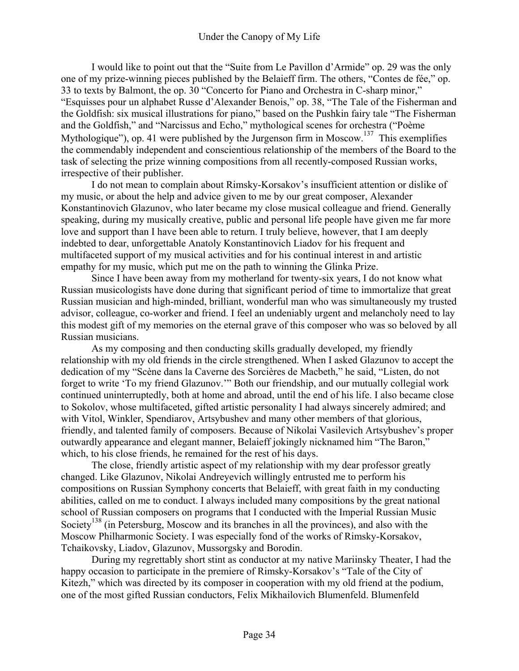I would like to point out that the "Suite from Le Pavillon d'Armide" op. 29 was the only one of my prize-winning pieces published by the Belaieff firm. The others, "Contes de fée," op. 33 to texts by Balmont, the op. 30 "Concerto for Piano and Orchestra in C-sharp minor," "Esquisses pour un alphabet Russe d'Alexander Benois," op. 38, "The Tale of the Fisherman and the Goldfish: six musical illustrations for piano," based on the Pushkin fairy tale "The Fisherman and the Goldfish," and "Narcissus and Echo," mythological scenes for orchestra ("Poème Mythologique"), op. 41 were published by the Jurgenson firm in Moscow.<sup>137</sup> This exemplifies the commendably independent and conscientious relationship of the members of the Board to the task of selecting the prize winning compositions from all recently-composed Russian works, irrespective of their publisher.

I do not mean to complain about Rimsky-Korsakov's insufficient attention or dislike of my music, or about the help and advice given to me by our great composer, Alexander Konstantinovich Glazunov, who later became my close musical colleague and friend. Generally speaking, during my musically creative, public and personal life people have given me far more love and support than I have been able to return. I truly believe, however, that I am deeply indebted to dear, unforgettable Anatoly Konstantinovich Liadov for his frequent and multifaceted support of my musical activities and for his continual interest in and artistic empathy for my music, which put me on the path to winning the Glinka Prize.

Since I have been away from my motherland for twenty-six years, I do not know what Russian musicologists have done during that significant period of time to immortalize that great Russian musician and high-minded, brilliant, wonderful man who was simultaneously my trusted advisor, colleague, co-worker and friend. I feel an undeniably urgent and melancholy need to lay this modest gift of my memories on the eternal grave of this composer who was so beloved by all Russian musicians.

As my composing and then conducting skills gradually developed, my friendly relationship with my old friends in the circle strengthened. When I asked Glazunov to accept the dedication of my "Scène dans la Caverne des Sorcières de Macbeth," he said, "Listen, do not forget to write 'To my friend Glazunov.'" Both our friendship, and our mutually collegial work continued uninterruptedly, both at home and abroad, until the end of his life. I also became close to Sokolov, whose multifaceted, gifted artistic personality I had always sincerely admired; and with Vitol, Winkler, Spendiarov, Artsybushev and many other members of that glorious, friendly, and talented family of composers. Because of Nikolai Vasilevich Artsybushev's proper outwardly appearance and elegant manner, Belaieff jokingly nicknamed him "The Baron," which, to his close friends, he remained for the rest of his days.

The close, friendly artistic aspect of my relationship with my dear professor greatly changed. Like Glazunov, Nikolai Andreyevich willingly entrusted me to perform his compositions on Russian Symphony concerts that Belaieff, with great faith in my conducting abilities, called on me to conduct. I always included many compositions by the great national school of Russian composers on programs that I conducted with the Imperial Russian Music Society<sup>138</sup> (in Petersburg, Moscow and its branches in all the provinces), and also with the Moscow Philharmonic Society. I was especially fond of the works of Rimsky-Korsakov, Tchaikovsky, Liadov, Glazunov, Mussorgsky and Borodin.

During my regrettably short stint as conductor at my native Mariinsky Theater, I had the happy occasion to participate in the premiere of Rimsky-Korsakov's "Tale of the City of Kitezh," which was directed by its composer in cooperation with my old friend at the podium, one of the most gifted Russian conductors, Felix Mikhailovich Blumenfeld. Blumenfeld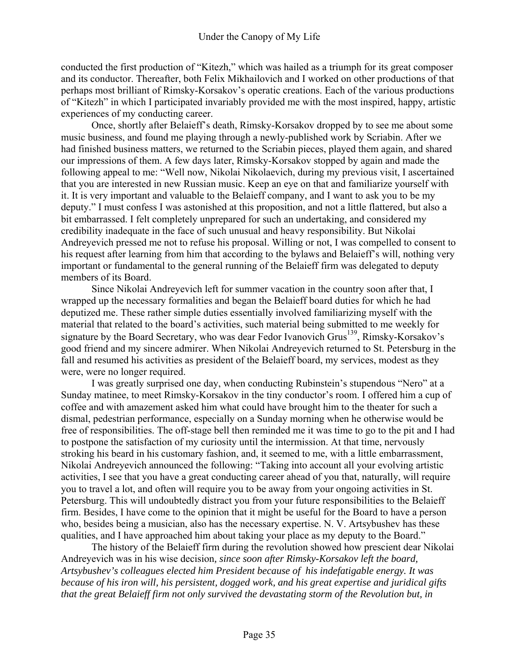conducted the first production of "Kitezh," which was hailed as a triumph for its great composer and its conductor. Thereafter, both Felix Mikhailovich and I worked on other productions of that perhaps most brilliant of Rimsky-Korsakov's operatic creations. Each of the various productions of "Kitezh" in which I participated invariably provided me with the most inspired, happy, artistic experiences of my conducting career.

Once, shortly after Belaieff's death, Rimsky-Korsakov dropped by to see me about some music business, and found me playing through a newly-published work by Scriabin. After we had finished business matters, we returned to the Scriabin pieces, played them again, and shared our impressions of them. A few days later, Rimsky-Korsakov stopped by again and made the following appeal to me: "Well now, Nikolai Nikolaevich, during my previous visit, I ascertained that you are interested in new Russian music. Keep an eye on that and familiarize yourself with it. It is very important and valuable to the Belaieff company, and I want to ask you to be my deputy." I must confess I was astonished at this proposition, and not a little flattered, but also a bit embarrassed. I felt completely unprepared for such an undertaking, and considered my credibility inadequate in the face of such unusual and heavy responsibility. But Nikolai Andreyevich pressed me not to refuse his proposal. Willing or not, I was compelled to consent to his request after learning from him that according to the bylaws and Belaieff's will, nothing very important or fundamental to the general running of the Belaieff firm was delegated to deputy members of its Board.

Since Nikolai Andreyevich left for summer vacation in the country soon after that, I wrapped up the necessary formalities and began the Belaieff board duties for which he had deputized me. These rather simple duties essentially involved familiarizing myself with the material that related to the board's activities, such material being submitted to me weekly for signature by the Board Secretary, who was dear Fedor Ivanovich Grus<sup>139</sup>, Rimsky-Korsakov's good friend and my sincere admirer. When Nikolai Andreyevich returned to St. Petersburg in the fall and resumed his activities as president of the Belaieff board, my services, modest as they were, were no longer required.

I was greatly surprised one day, when conducting Rubinstein's stupendous "Nero" at a Sunday matinee, to meet Rimsky-Korsakov in the tiny conductor's room. I offered him a cup of coffee and with amazement asked him what could have brought him to the theater for such a dismal, pedestrian performance, especially on a Sunday morning when he otherwise would be free of responsibilities. The off-stage bell then reminded me it was time to go to the pit and I had to postpone the satisfaction of my curiosity until the intermission. At that time, nervously stroking his beard in his customary fashion, and, it seemed to me, with a little embarrassment, Nikolai Andreyevich announced the following: "Taking into account all your evolving artistic activities, I see that you have a great conducting career ahead of you that, naturally, will require you to travel a lot, and often will require you to be away from your ongoing activities in St. Petersburg. This will undoubtedly distract you from your future responsibilities to the Belaieff firm. Besides, I have come to the opinion that it might be useful for the Board to have a person who, besides being a musician, also has the necessary expertise. N. V. Artsybushev has these qualities, and I have approached him about taking your place as my deputy to the Board."

The history of the Belaieff firm during the revolution showed how prescient dear Nikolai Andreyevich was in his wise decision*, since soon after Rimsky-Korsakov left the board, Artsybushev's colleagues elected him President because of his indefatigable energy. It was because of his iron will, his persistent, dogged work, and his great expertise and juridical gifts that the great Belaieff firm not only survived the devastating storm of the Revolution but, in*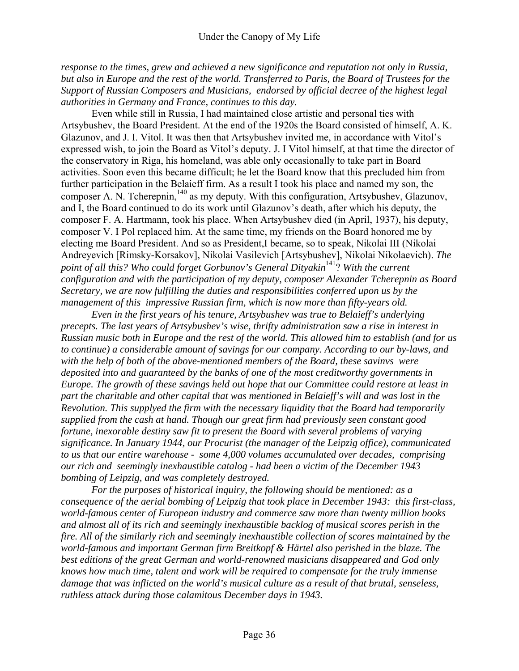*response to the times, grew and achieved a new significance and reputation not only in Russia, but also in Europe and the rest of the world. Transferred to Paris, the Board of Trustees for the Support of Russian Composers and Musicians, endorsed by official decree of the highest legal authorities in Germany and France, continues to this day.* 

Even while still in Russia, I had maintained close artistic and personal ties with Artsybushev, the Board President. At the end of the 1920s the Board consisted of himself, A. K. Glazunov, and J. I. Vitol. It was then that Artsybushev invited me, in accordance with Vitol's expressed wish, to join the Board as Vitol's deputy. J. I Vitol himself, at that time the director of the conservatory in Riga, his homeland, was able only occasionally to take part in Board activities. Soon even this became difficult; he let the Board know that this precluded him from further participation in the Belaieff firm. As a result I took his place and named my son, the composer A. N. Tcherepnin, $140$  as my deputy. With this configuration, Artsybushev, Glazunov, and I, the Board continued to do its work until Glazunov's death, after which his deputy, the composer F. A. Hartmann, took his place. When Artsybushev died (in April, 1937), his deputy, composer V. I Pol replaced him. At the same time, my friends on the Board honored me by electing me Board President. And so as President,I became, so to speak, Nikolai III (Nikolai Andreyevich [Rimsky-Korsakov], Nikolai Vasilevich [Artsybushev], Nikolai Nikolaevich). *The point of all this? Who could forget Gorbunov's General Dityakin*<sup>141</sup>? *With the current configuration and with the participation of my deputy, composer Alexander Tcherepnin as Board Secretary, we are now fulfilling the duties and responsibilities conferred upon us by the management of this impressive Russian firm, which is now more than fifty-years old.* 

*Even in the first years of his tenure, Artsybushev was true to Belaieff's underlying precepts. The last years of Artsybushev's wise, thrifty administration saw a rise in interest in Russian music both in Europe and the rest of the world. This allowed him to establish (and for us to continue) a considerable amount of savings for our company. According to our by-laws, and with the help of both of the above-mentioned members of the Board, these savinvs were deposited into and guaranteed by the banks of one of the most creditworthy governments in Europe. The growth of these savings held out hope that our Committee could restore at least in part the charitable and other capital that was mentioned in Belaieff's will and was lost in the Revolution. This supplyed the firm with the necessary liquidity that the Board had temporarily supplied from the cash at hand. Though our great firm had previously seen constant good fortune, inexorable destiny saw fit to present the Board with several problems of varying significance. In January 1944, our Procurist (the manager of the Leipzig office), communicated to us that our entire warehouse - some 4,000 volumes accumulated over decades, comprising our rich and seemingly inexhaustible catalog - had been a victim of the December 1943 bombing of Leipzig, and was completely destroyed.* 

*For the purposes of historical inquiry, the following should be mentioned: as a consequence of the aerial bombing of Leipzig that took place in December 1943: this first-class, world-famous center of European industry and commerce saw more than twenty million books and almost all of its rich and seemingly inexhaustible backlog of musical scores perish in the fire. All of the similarly rich and seemingly inexhaustible collection of scores maintained by the world-famous and important German firm Breitkopf & Härtel also perished in the blaze. The best editions of the great German and world-renowned musicians disappeared and God only knows how much time, talent and work will be required to compensate for the truly immense damage that was inflicted on the world's musical culture as a result of that brutal, senseless, ruthless attack during those calamitous December days in 1943.*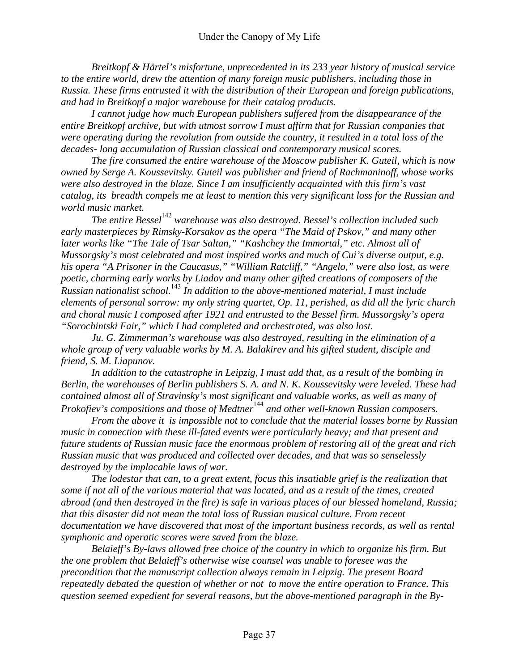*Breitkopf & Härtel's misfortune, unprecedented in its 233 year history of musical service to the entire world, drew the attention of many foreign music publishers, including those in Russia. These firms entrusted it with the distribution of their European and foreign publications, and had in Breitkopf a major warehouse for their catalog products.* 

*I cannot judge how much European publishers suffered from the disappearance of the entire Breitkopf archive, but with utmost sorrow I must affirm that for Russian companies that were operating during the revolution from outside the country, it resulted in a total loss of the decades- long accumulation of Russian classical and contemporary musical scores.* 

*The fire consumed the entire warehouse of the Moscow publisher K. Guteil, which is now owned by Serge A. Koussevitsky. Guteil was publisher and friend of Rachmaninoff, whose works were also destroyed in the blaze. Since I am insufficiently acquainted with this firm's vast catalog, its breadth compels me at least to mention this very significant loss for the Russian and world music market.* 

*The entire Bessel*<sup>142</sup> warehouse was also destroyed. Bessel's collection included such *early masterpieces by Rimsky-Korsakov as the opera "The Maid of Pskov," and many other later works like "The Tale of Tsar Saltan," "Kashchey the Immortal," etc. Almost all of Mussorgsky's most celebrated and most inspired works and much of Cui's diverse output, e.g. his opera "A Prisoner in the Caucasus," "William Ratcliff," "Angelo," were also lost, as were poetic, charming early works by Liadov and many other gifted creations of composers of the Russian nationalist school.*<sup>143</sup> *In addition to the above-mentioned material, I must include elements of personal sorrow: my only string quartet, Op. 11, perished, as did all the lyric church and choral music I composed after 1921 and entrusted to the Bessel firm. Mussorgsky's opera "Sorochintski Fair," which I had completed and orchestrated, was also lost.* 

*Ju. G. Zimmerman's warehouse was also destroyed, resulting in the elimination of a whole group of very valuable works by M. A. Balakirev and his gifted student, disciple and friend, S. M. Liapunov.* 

*In addition to the catastrophe in Leipzig, I must add that, as a result of the bombing in Berlin, the warehouses of Berlin publishers S. A. and N. K. Koussevitsky were leveled. These had contained almost all of Stravinsky's most significant and valuable works, as well as many of Prokofiev's compositions and those of Medtner*<sup>144</sup> and other well-known Russian composers.

*From the above it is impossible not to conclude that the material losses borne by Russian music in connection with these ill-fated events were particularly heavy; and that present and future students of Russian music face the enormous problem of restoring all of the great and rich Russian music that was produced and collected over decades, and that was so senselessly destroyed by the implacable laws of war.* 

*The lodestar that can, to a great extent, focus this insatiable grief is the realization that some if not all of the various material that was located, and as a result of the times, created abroad (and then destroyed in the fire) is safe in various places of our blessed homeland, Russia; that this disaster did not mean the total loss of Russian musical culture. From recent documentation we have discovered that most of the important business records, as well as rental symphonic and operatic scores were saved from the blaze.* 

*Belaieff's By-laws allowed free choice of the country in which to organize his firm. But the one problem that Belaieff's otherwise wise counsel was unable to foresee was the precondition that the manuscript collection always remain in Leipzig. The present Board repeatedly debated the question of whether or not to move the entire operation to France. This question seemed expedient for several reasons, but the above-mentioned paragraph in the By-*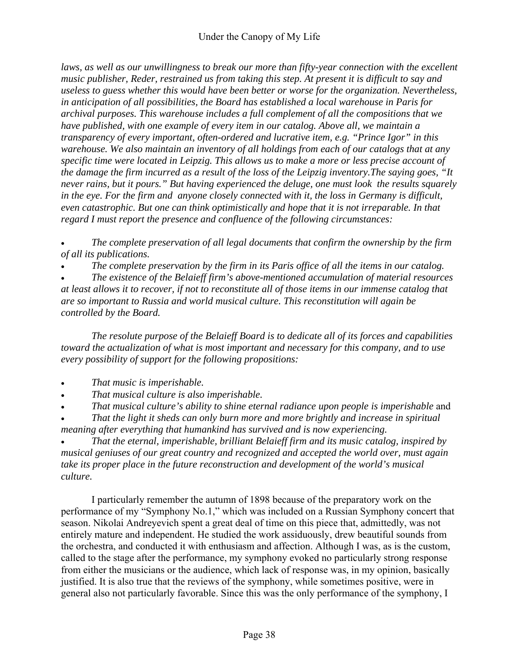laws, as well as our unwillingness to break our more than fifty-year connection with the excellent *music publisher, Reder, restrained us from taking this step. At present it is difficult to say and useless to guess whether this would have been better or worse for the organization. Nevertheless, in anticipation of all possibilities, the Board has established a local warehouse in Paris for archival purposes. This warehouse includes a full complement of all the compositions that we have published, with one example of every item in our catalog. Above all, we maintain a transparency of every important, often-ordered and lucrative item, e.g. "Prince Igor" in this warehouse. We also maintain an inventory of all holdings from each of our catalogs that at any specific time were located in Leipzig. This allows us to make a more or less precise account of the damage the firm incurred as a result of the loss of the Leipzig inventory.The saying goes, "It never rains, but it pours." But having experienced the deluge, one must look the results squarely in the eye. For the firm and anyone closely connected with it, the loss in Germany is difficult, even catastrophic. But one can think optimistically and hope that it is not irreparable. In that regard I must report the presence and confluence of the following circumstances:* 

• *The complete preservation of all legal documents that confirm the ownership by the firm of all its publications.* 

• *The complete preservation by the firm in its Paris office of all the items in our catalog.* 

• *The existence of the Belaieff firm's above-mentioned accumulation of material resources at least allows it to recover, if not to reconstitute all of those items in our immense catalog that are so important to Russia and world musical culture. This reconstitution will again be controlled by the Board.* 

*The resolute purpose of the Belaieff Board is to dedicate all of its forces and capabilities toward the actualization of what is most important and necessary for this company, and to use every possibility of support for the following propositions:* 

- *That music is imperishable.*
- *That musical culture is also imperishable.*
- *That musical culture's ability to shine eternal radiance upon people is imperishable* and

• *That the light it sheds can only burn more and more brightly and increase in spiritual meaning after everything that humankind has survived and is now experiencing.* 

• *That the eternal, imperishable, brilliant Belaieff firm and its music catalog, inspired by musical geniuses of our great country and recognized and accepted the world over, must again take its proper place in the future reconstruction and development of the world's musical culture.* 

I particularly remember the autumn of 1898 because of the preparatory work on the performance of my "Symphony No.1," which was included on a Russian Symphony concert that season. Nikolai Andreyevich spent a great deal of time on this piece that, admittedly, was not entirely mature and independent. He studied the work assiduously, drew beautiful sounds from the orchestra, and conducted it with enthusiasm and affection. Although I was, as is the custom, called to the stage after the performance, my symphony evoked no particularly strong response from either the musicians or the audience, which lack of response was, in my opinion, basically justified. It is also true that the reviews of the symphony, while sometimes positive, were in general also not particularly favorable. Since this was the only performance of the symphony, I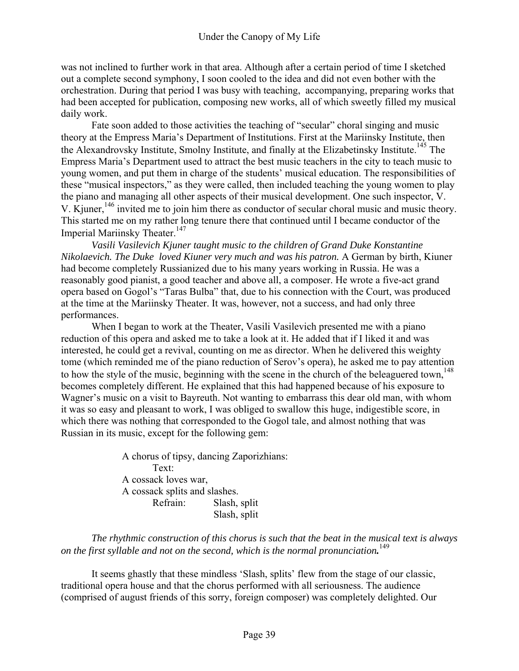was not inclined to further work in that area. Although after a certain period of time I sketched out a complete second symphony, I soon cooled to the idea and did not even bother with the orchestration. During that period I was busy with teaching, accompanying, preparing works that had been accepted for publication, composing new works, all of which sweetly filled my musical daily work.

Fate soon added to those activities the teaching of "secular" choral singing and music theory at the Empress Maria's Department of Institutions. First at the Mariinsky Institute, then the Alexandrovsky Institute, Smolny Institute, and finally at the Elizabetinsky Institute.<sup>145</sup> The Empress Maria's Department used to attract the best music teachers in the city to teach music to young women, and put them in charge of the students' musical education. The responsibilities of these "musical inspectors," as they were called, then included teaching the young women to play the piano and managing all other aspects of their musical development. One such inspector, V. V. Kjuner,<sup>146</sup> invited me to join him there as conductor of secular choral music and music theory. This started me on my rather long tenure there that continued until I became conductor of the Imperial Mariinsky Theater.<sup>147</sup>

*Vasili Vasilevich Kjuner taught music to the children of Grand Duke Konstantine Nikolaevich. The Duke loved Kiuner very much and was his patron.* A German by birth, Kiuner had become completely Russianized due to his many years working in Russia. He was a reasonably good pianist, a good teacher and above all, a composer. He wrote a five-act grand opera based on Gogol's "Taras Bulba" that, due to his connection with the Court, was produced at the time at the Mariinsky Theater. It was, however, not a success, and had only three performances.

When I began to work at the Theater, Vasili Vasilevich presented me with a piano reduction of this opera and asked me to take a look at it. He added that if I liked it and was interested, he could get a revival, counting on me as director. When he delivered this weighty tome (which reminded me of the piano reduction of Serov's opera), he asked me to pay attention to how the style of the music, beginning with the scene in the church of the beleaguered town,<sup>148</sup> becomes completely different. He explained that this had happened because of his exposure to Wagner's music on a visit to Bayreuth. Not wanting to embarrass this dear old man, with whom it was so easy and pleasant to work, I was obliged to swallow this huge, indigestible score, in which there was nothing that corresponded to the Gogol tale, and almost nothing that was Russian in its music, except for the following gem:

> A chorus of tipsy, dancing Zaporizhians: Text: A cossack loves war, A cossack splits and slashes. Refrain: Slash, split Slash, split

*The rhythmic construction of this chorus is such that the beat in the musical text is always on the first syllable and not on the second, which is the normal pronunciation.* 149

It seems ghastly that these mindless 'Slash, splits' flew from the stage of our classic, traditional opera house and that the chorus performed with all seriousness. The audience (comprised of august friends of this sorry, foreign composer) was completely delighted. Our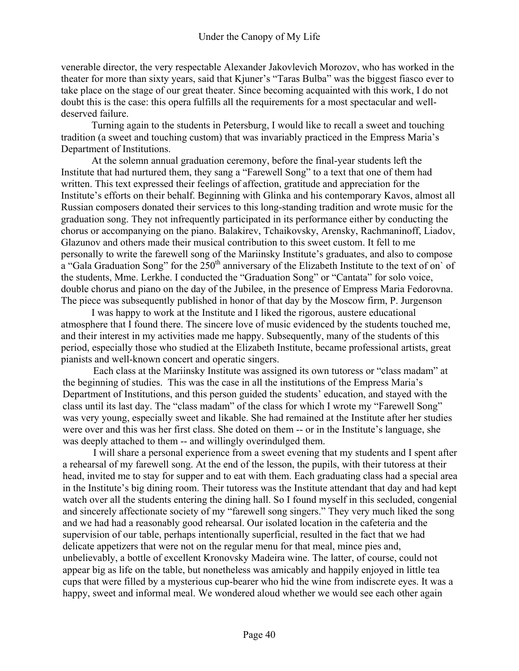venerable director, the very respectable Alexander Jakovlevich Morozov, who has worked in the theater for more than sixty years, said that Kjuner's "Taras Bulba" was the biggest fiasco ever to take place on the stage of our great theater. Since becoming acquainted with this work, I do not doubt this is the case: this opera fulfills all the requirements for a most spectacular and welldeserved failure.

Turning again to the students in Petersburg, I would like to recall a sweet and touching tradition (a sweet and touching custom) that was invariably practiced in the Empress Maria's Department of Institutions.

At the solemn annual graduation ceremony, before the final-year students left the Institute that had nurtured them, they sang a "Farewell Song" to a text that one of them had written. This text expressed their feelings of affection, gratitude and appreciation for the Institute's efforts on their behalf. Beginning with Glinka and his contemporary Kavos, almost all Russian composers donated their services to this long-standing tradition and wrote music for the graduation song. They not infrequently participated in its performance either by conducting the chorus or accompanying on the piano. Balakirev, Tchaikovsky, Arensky, Rachmaninoff, Liadov, Glazunov and others made their musical contribution to this sweet custom. It fell to me personally to write the farewell song of the Mariinsky Institute's graduates, and also to compose a "Gala Graduation Song" for the  $250<sup>th</sup>$  anniversary of the Elizabeth Institute to the text of on' of the students, Mme. Lerkhe. I conducted the "Graduation Song" or "Cantata" for solo voice, double chorus and piano on the day of the Jubilee, in the presence of Empress Maria Fedorovna. The piece was subsequently published in honor of that day by the Moscow firm, P. Jurgenson

I was happy to work at the Institute and I liked the rigorous, austere educational atmosphere that I found there. The sincere love of music evidenced by the students touched me, and their interest in my activities made me happy. Subsequently, many of the students of this period, especially those who studied at the Elizabeth Institute, became professional artists, great pianists and well-known concert and operatic singers.

Each class at the Mariinsky Institute was assigned its own tutoress or "class madam" at the beginning of studies. This was the case in all the institutions of the Empress Maria's Department of Institutions, and this person guided the students' education, and stayed with the class until its last day. The "class madam" of the class for which I wrote my "Farewell Song" was very young, especially sweet and likable. She had remained at the Institute after her studies were over and this was her first class. She doted on them -- or in the Institute's language, she was deeply attached to them -- and willingly overindulged them.

I will share a personal experience from a sweet evening that my students and I spent after a rehearsal of my farewell song. At the end of the lesson, the pupils, with their tutoress at their head, invited me to stay for supper and to eat with them. Each graduating class had a special area in the Institute's big dining room. Their tutoress was the Institute attendant that day and had kept watch over all the students entering the dining hall. So I found myself in this secluded, congenial and sincerely affectionate society of my "farewell song singers." They very much liked the song and we had had a reasonably good rehearsal. Our isolated location in the cafeteria and the supervision of our table, perhaps intentionally superficial, resulted in the fact that we had delicate appetizers that were not on the regular menu for that meal, mince pies and, unbelievably, a bottle of excellent Kronovsky Madeira wine. The latter, of course, could not appear big as life on the table, but nonetheless was amicably and happily enjoyed in little tea cups that were filled by a mysterious cup-bearer who hid the wine from indiscrete eyes. It was a happy, sweet and informal meal. We wondered aloud whether we would see each other again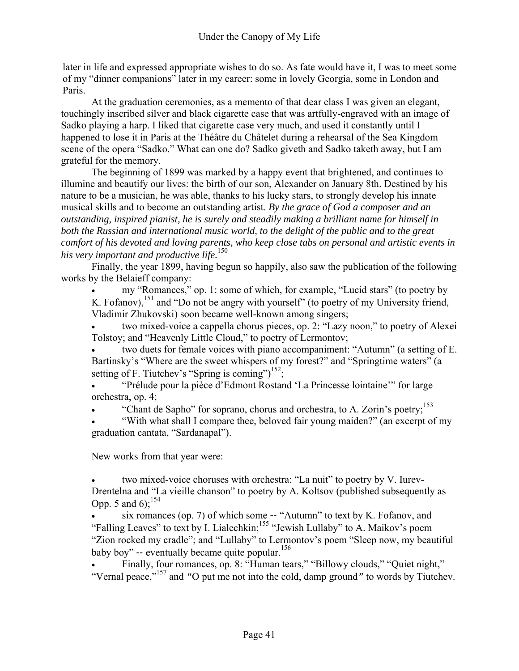later in life and expressed appropriate wishes to do so. As fate would have it, I was to meet some of my "dinner companions" later in my career: some in lovely Georgia, some in London and Paris.

At the graduation ceremonies, as a memento of that dear class I was given an elegant, touchingly inscribed silver and black cigarette case that was artfully-engraved with an image of Sadko playing a harp. I liked that cigarette case very much, and used it constantly until I happened to lose it in Paris at the Théâtre du Châtelet during a rehearsal of the Sea Kingdom scene of the opera "Sadko." What can one do? Sadko giveth and Sadko taketh away, but I am grateful for the memory.

 The beginning of 1899 was marked by a happy event that brightened, and continues to illumine and beautify our lives: the birth of our son, Alexander on January 8th. Destined by his nature to be a musician, he was able, thanks to his lucky stars, to strongly develop his innate musical skills and to become an outstanding artist. *By the grace of God a composer and an outstanding, inspired pianist, he is surely and steadily making a brilliant name for himself in both the Russian and international music world, to the delight of the public and to the great comfort of his devoted and loving parents, who keep close tabs on personal and artistic events in his very important and productive life.*<sup>150</sup>

Finally, the year 1899, having begun so happily, also saw the publication of the following works by the Belaieff company:

• my "Romances," op. 1: some of which, for example, "Lucid stars" (to poetry by K. Fofanov),  $^{151}$  and "Do not be angry with yourself" (to poetry of my University friend, Vladimir Zhukovski) soon became well-known among singers;

• two mixed-voice a cappella chorus pieces, op. 2: "Lazy noon," to poetry of Alexei Tolstoy; and "Heavenly Little Cloud," to poetry of Lermontov;

two duets for female voices with piano accompaniment: "Autumn" (a setting of E. Bartinsky's "Where are the sweet whispers of my forest?" and "Springtime waters" (a setting of F. Tiutchev's "Spring is coming")<sup>152</sup>;

• "Prélude pour la pièce d'Edmont Rostand 'La Princesse lointaine'" for large orchestra, op. 4;

"Chant de Sapho" for soprano, chorus and orchestra, to A. Zorin's poetry;<sup>153</sup>

• "With what shall I compare thee, beloved fair young maiden?" (an excerpt of my graduation cantata, "Sardanapal").

New works from that year were:

• two mixed-voice choruses with orchestra: "La nuit" to poetry by V. Iurev-Drentelna and "La vieille chanson" to poetry by A. Koltsov (published subsequently as Opp. 5 and 6);  $^{154}$ 

• six romances (op. 7) of which some -- "Autumn" to text by K. Fofanov, and "Falling Leaves" to text by I. Lialechkin;<sup>155</sup> "Jewish Lullaby" to A. Maikov's poem "Zion rocked my cradle"; and "Lullaby" to Lermontov's poem "Sleep now, my beautiful baby boy" -- eventually became quite popular.<sup>156</sup>

• Finally, four romances, op. 8: "Human tears," "Billowy clouds," "Quiet night," "Vernal peace,"157 and *"*O put me not into the cold, damp ground*"* to words by Tiutchev.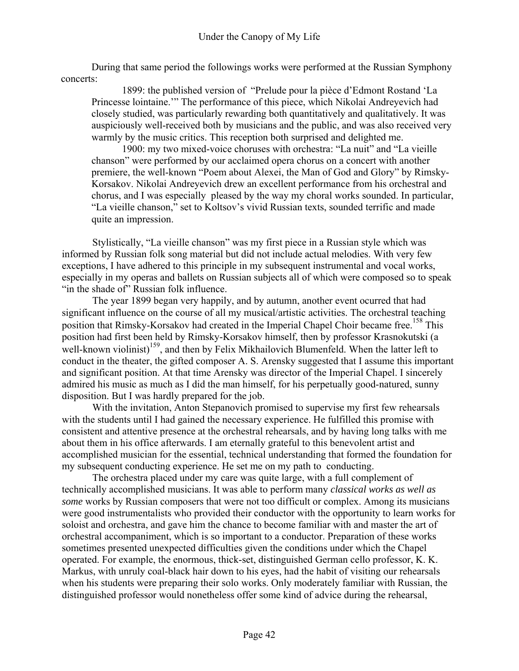During that same period the followings works were performed at the Russian Symphony concerts:

1899: the published version of "Prelude pour la pièce d'Edmont Rostand 'La Princesse lointaine.'" The performance of this piece, which Nikolai Andreyevich had closely studied, was particularly rewarding both quantitatively and qualitatively. It was auspiciously well-received both by musicians and the public, and was also received very warmly by the music critics. This reception both surprised and delighted me.

1900: my two mixed-voice choruses with orchestra: "La nuit" and "La vieille chanson" were performed by our acclaimed opera chorus on a concert with another premiere, the well-known "Poem about Alexei, the Man of God and Glory" by Rimsky-Korsakov. Nikolai Andreyevich drew an excellent performance from his orchestral and chorus, and I was especially pleased by the way my choral works sounded. In particular, "La vieille chanson," set to Koltsov's vivid Russian texts, sounded terrific and made quite an impression.

Stylistically, "La vieille chanson" was my first piece in a Russian style which was informed by Russian folk song material but did not include actual melodies. With very few exceptions, I have adhered to this principle in my subsequent instrumental and vocal works, especially in my operas and ballets on Russian subjects all of which were composed so to speak "in the shade of" Russian folk influence.

The year 1899 began very happily, and by autumn, another event ocurred that had significant influence on the course of all my musical/artistic activities. The orchestral teaching position that Rimsky-Korsakov had created in the Imperial Chapel Choir became free.<sup>158</sup> This position had first been held by Rimsky-Korsakov himself, then by professor Krasnokutski (a well-known violinist)<sup>159</sup>, and then by Felix Mikhailovich Blumenfeld. When the latter left to conduct in the theater, the gifted composer A. S. Arensky suggested that I assume this important and significant position. At that time Arensky was director of the Imperial Chapel. I sincerely admired his music as much as I did the man himself, for his perpetually good-natured, sunny disposition. But I was hardly prepared for the job.

With the invitation, Anton Stepanovich promised to supervise my first few rehearsals with the students until I had gained the necessary experience. He fulfilled this promise with consistent and attentive presence at the orchestral rehearsals, and by having long talks with me about them in his office afterwards. I am eternally grateful to this benevolent artist and accomplished musician for the essential, technical understanding that formed the foundation for my subsequent conducting experience. He set me on my path to conducting.

The orchestra placed under my care was quite large, with a full complement of technically accomplished musicians. It was able to perform many *classical works as well as some* works by Russian composers that were not too difficult or complex. Among its musicians were good instrumentalists who provided their conductor with the opportunity to learn works for soloist and orchestra, and gave him the chance to become familiar with and master the art of orchestral accompaniment, which is so important to a conductor. Preparation of these works sometimes presented unexpected difficulties given the conditions under which the Chapel operated. For example, the enormous, thick-set, distinguished German cello professor, K. K. Markus, with unruly coal-black hair down to his eyes, had the habit of visiting our rehearsals when his students were preparing their solo works. Only moderately familiar with Russian, the distinguished professor would nonetheless offer some kind of advice during the rehearsal,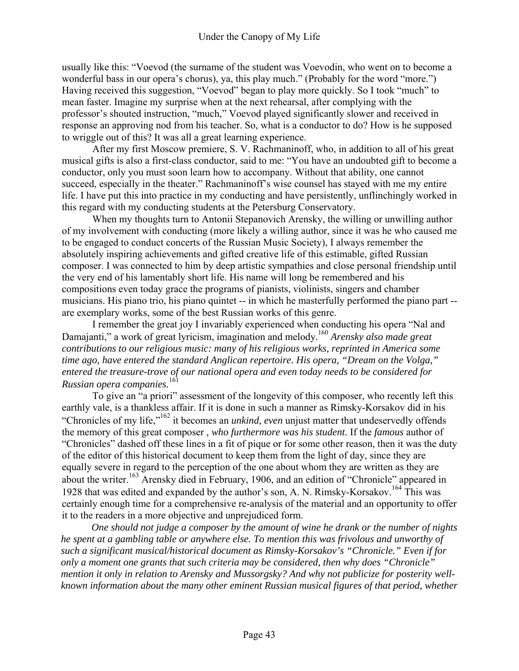usually like this: "Voevod (the surname of the student was Voevodin, who went on to become a wonderful bass in our opera's chorus), ya, this play much." (Probably for the word "more.") Having received this suggestion, "Voevod" began to play more quickly. So I took "much" to mean faster. Imagine my surprise when at the next rehearsal, after complying with the professor's shouted instruction, "much," Voevod played significantly slower and received in response an approving nod from his teacher. So, what is a conductor to do? How is he supposed to wriggle out of this? It was all a great learning experience.

After my first Moscow premiere, S. V. Rachmaninoff, who, in addition to all of his great musical gifts is also a first-class conductor, said to me: "You have an undoubted gift to become a conductor, only you must soon learn how to accompany. Without that ability, one cannot succeed, especially in the theater." Rachmaninoff's wise counsel has stayed with me my entire life. I have put this into practice in my conducting and have persistently, unflinchingly worked in this regard with my conducting students at the Petersburg Conservatory.

When my thoughts turn to Antonii Stepanovich Arensky, the willing or unwilling author of my involvement with conducting (more likely a willing author, since it was he who caused me to be engaged to conduct concerts of the Russian Music Society), I always remember the absolutely inspiring achievements and gifted creative life of this estimable, gifted Russian composer. I was connected to him by deep artistic sympathies and close personal friendship until the very end of his lamentably short life. His name will long be remembered and his compositions even today grace the programs of pianists, violinists, singers and chamber musicians. His piano trio, his piano quintet -- in which he masterfully performed the piano part - are exemplary works, some of the best Russian works of this genre.

I remember the great joy I invariably experienced when conducting his opera "Nal and Damajanti," a work of great lyricism, imagination and melody.<sup>160</sup> *Arensky also made great contributions to our religious music: many of his religious works, reprinted in America some time ago, have entered the standard Anglican repertoire. His opera, "Dream on the Volga," entered the treasure-trove of our national opera and even today needs to be considered for Russian opera companies.*<sup>161</sup>

To give an "a priori" assessment of the longevity of this composer, who recently left this earthly vale, is a thankless affair. If it is done in such a manner as Rimsky-Korsakov did in his "Chronicles of my life,"162 it becomes an *unkind, even* unjust matter that undeservedly offends the memory of this great composer *, who furthermore was his student.* If the *famous* author of "Chronicles" dashed off these lines in a fit of pique or for some other reason, then it was the duty of the editor of this historical document to keep them from the light of day, since they are equally severe in regard to the perception of the one about whom they are written as they are about the writer.<sup>163</sup> Arensky died in February, 1906, and an edition of "Chronicle" appeared in 1928 that was edited and expanded by the author's son, A. N. Rimsky-Korsakov.164 This was certainly enough time for a comprehensive re-analysis of the material and an opportunity to offer it to the readers in a more objective and unprejudiced form.

*One should not judge a composer by the amount of wine he drank or the number of nights he spent at a gambling table or anywhere else. To mention this was frivolous and unworthy of such a significant musical/historical document as Rimsky-Korsakov's "Chronicle." Even if for only a moment one grants that such criteria may be considered, then why does "Chronicle" mention it only in relation to Arensky and Mussorgsky? And why not publicize for posterity wellknown information about the many other eminent Russian musical figures of that period, whether*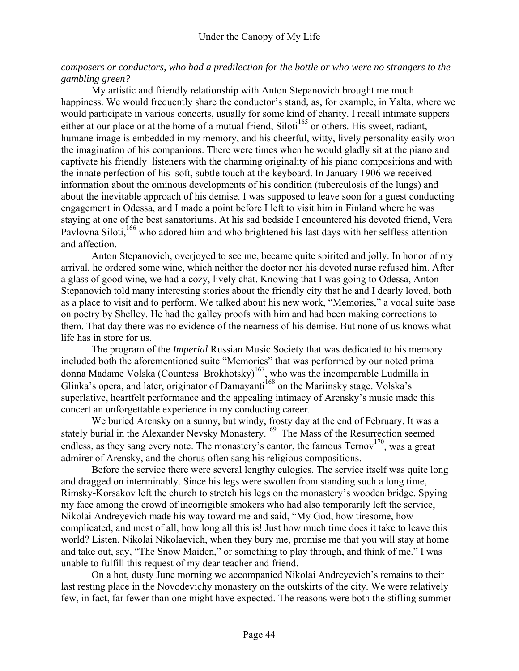## *composers or conductors, who had a predilection for the bottle or who were no strangers to the gambling green?*

My artistic and friendly relationship with Anton Stepanovich brought me much happiness. We would frequently share the conductor's stand, as, for example, in Yalta, where we would participate in various concerts, usually for some kind of charity. I recall intimate suppers either at our place or at the home of a mutual friend, Siloti<sup>165</sup> or others. His sweet, radiant, humane image is embedded in my memory, and his cheerful, witty, lively personality easily won the imagination of his companions. There were times when he would gladly sit at the piano and captivate his friendly listeners with the charming originality of his piano compositions and with the innate perfection of his soft, subtle touch at the keyboard. In January 1906 we received information about the ominous developments of his condition (tuberculosis of the lungs) and about the inevitable approach of his demise. I was supposed to leave soon for a guest conducting engagement in Odessa, and I made a point before I left to visit him in Finland where he was staying at one of the best sanatoriums. At his sad bedside I encountered his devoted friend, Vera Pavlovna Siloti,<sup>166</sup> who adored him and who brightened his last days with her selfless attention and affection.

Anton Stepanovich, overjoyed to see me, became quite spirited and jolly. In honor of my arrival, he ordered some wine, which neither the doctor nor his devoted nurse refused him. After a glass of good wine, we had a cozy, lively chat. Knowing that I was going to Odessa, Anton Stepanovich told many interesting stories about the friendly city that he and I dearly loved, both as a place to visit and to perform. We talked about his new work, "Memories," a vocal suite base on poetry by Shelley. He had the galley proofs with him and had been making corrections to them. That day there was no evidence of the nearness of his demise. But none of us knows what life has in store for us.

The program of the *Imperial* Russian Music Society that was dedicated to his memory included both the aforementioned suite "Memories" that was performed by our noted prima donna Madame Volska (Countess Brokhotsky)<sup>167</sup>, who was the incomparable Ludmilla in Glinka's opera, and later, originator of Damayanti<sup>168</sup> on the Mariinsky stage. Volska's superlative, heartfelt performance and the appealing intimacy of Arensky's music made this concert an unforgettable experience in my conducting career.

We buried Arensky on a sunny, but windy, frosty day at the end of February. It was a stately burial in the Alexander Nevsky Monastery.<sup>169</sup> The Mass of the Resurrection seemed endless, as they sang every note. The monastery's cantor, the famous  $Termv<sup>170</sup>$ , was a great admirer of Arensky, and the chorus often sang his religious compositions.

Before the service there were several lengthy eulogies. The service itself was quite long and dragged on interminably. Since his legs were swollen from standing such a long time, Rimsky-Korsakov left the church to stretch his legs on the monastery's wooden bridge. Spying my face among the crowd of incorrigible smokers who had also temporarily left the service, Nikolai Andreyevich made his way toward me and said, "My God, how tiresome, how complicated, and most of all, how long all this is! Just how much time does it take to leave this world? Listen, Nikolai Nikolaevich, when they bury me, promise me that you will stay at home and take out, say, "The Snow Maiden," or something to play through, and think of me." I was unable to fulfill this request of my dear teacher and friend.

On a hot, dusty June morning we accompanied Nikolai Andreyevich's remains to their last resting place in the Novodevichy monastery on the outskirts of the city. We were relatively few, in fact, far fewer than one might have expected. The reasons were both the stifling summer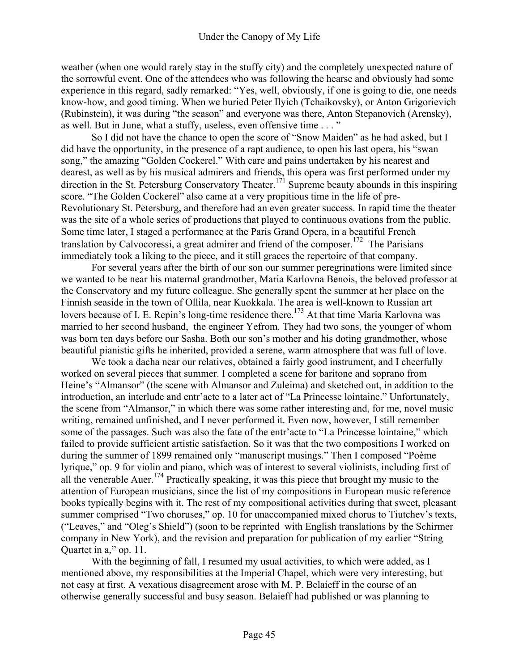weather (when one would rarely stay in the stuffy city) and the completely unexpected nature of the sorrowful event. One of the attendees who was following the hearse and obviously had some experience in this regard, sadly remarked: "Yes, well, obviously, if one is going to die, one needs know-how, and good timing. When we buried Peter Ilyich (Tchaikovsky), or Anton Grigorievich (Rubinstein), it was during "the season" and everyone was there, Anton Stepanovich (Arensky), as well. But in June, what a stuffy, useless, even offensive time . . . "

So I did not have the chance to open the score of "Snow Maiden" as he had asked, but I did have the opportunity, in the presence of a rapt audience, to open his last opera, his "swan song," the amazing "Golden Cockerel." With care and pains undertaken by his nearest and dearest, as well as by his musical admirers and friends, this opera was first performed under my direction in the St. Petersburg Conservatory Theater.<sup>171</sup> Supreme beauty abounds in this inspiring score. "The Golden Cockerel" also came at a very propitious time in the life of pre-Revolutionary St. Petersburg, and therefore had an even greater success. In rapid time the theater was the site of a whole series of productions that played to continuous ovations from the public. Some time later, I staged a performance at the Paris Grand Opera, in a beautiful French translation by Calvocoressi, a great admirer and friend of the composer.<sup>172</sup> The Parisians immediately took a liking to the piece, and it still graces the repertoire of that company.

For several years after the birth of our son our summer peregrinations were limited since we wanted to be near his maternal grandmother, Maria Karlovna Benois, the beloved professor at the Conservatory and my future colleague. She generally spent the summer at her place on the Finnish seaside in the town of Ollila, near Kuokkala. The area is well-known to Russian art lovers because of I. E. Repin's long-time residence there.<sup>173</sup> At that time Maria Karlovna was married to her second husband, the engineer Yefrom. They had two sons, the younger of whom was born ten days before our Sasha. Both our son's mother and his doting grandmother, whose beautiful pianistic gifts he inherited, provided a serene, warm atmosphere that was full of love.

We took a dacha near our relatives, obtained a fairly good instrument, and I cheerfully worked on several pieces that summer. I completed a scene for baritone and soprano from Heine's "Almansor" (the scene with Almansor and Zuleima) and sketched out, in addition to the introduction, an interlude and entr'acte to a later act of "La Princesse lointaine." Unfortunately, the scene from "Almansor," in which there was some rather interesting and, for me, novel music writing, remained unfinished, and I never performed it. Even now, however, I still remember some of the passages. Such was also the fate of the entr'acte to "La Princesse lointaine," which failed to provide sufficient artistic satisfaction. So it was that the two compositions I worked on during the summer of 1899 remained only "manuscript musings." Then I composed "Poème lyrique," op. 9 for violin and piano, which was of interest to several violinists, including first of all the venerable Auer.<sup>174</sup> Practically speaking, it was this piece that brought my music to the attention of European musicians, since the list of my compositions in European music reference books typically begins with it. The rest of my compositional activities during that sweet, pleasant summer comprised "Two choruses," op. 10 for unaccompanied mixed chorus to Tiutchev's texts, ("Leaves," and "Oleg's Shield") (soon to be reprinted with English translations by the Schirmer company in New York), and the revision and preparation for publication of my earlier "String Quartet in a," op. 11.

With the beginning of fall, I resumed my usual activities, to which were added, as I mentioned above, my responsibilities at the Imperial Chapel, which were very interesting, but not easy at first. A vexatious disagreement arose with M. P. Belaieff in the course of an otherwise generally successful and busy season. Belaieff had published or was planning to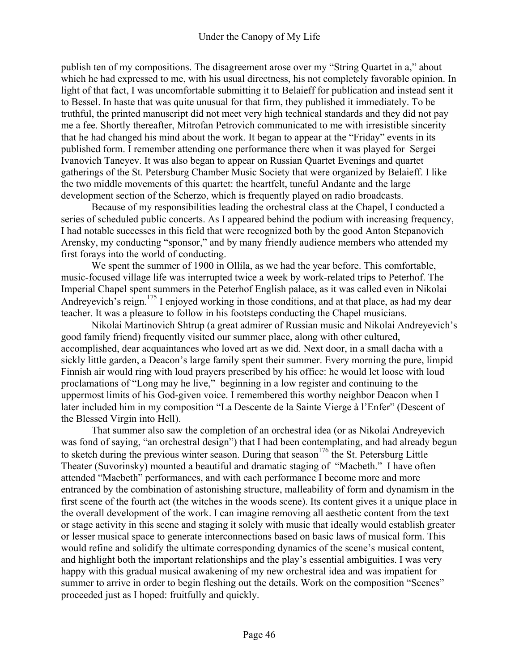publish ten of my compositions. The disagreement arose over my "String Quartet in a," about which he had expressed to me, with his usual directness, his not completely favorable opinion. In light of that fact, I was uncomfortable submitting it to Belaieff for publication and instead sent it to Bessel. In haste that was quite unusual for that firm, they published it immediately. To be truthful, the printed manuscript did not meet very high technical standards and they did not pay me a fee. Shortly thereafter, Mitrofan Petrovich communicated to me with irresistible sincerity that he had changed his mind about the work. It began to appear at the "Friday" events in its published form. I remember attending one performance there when it was played for Sergei Ivanovich Taneyev. It was also began to appear on Russian Quartet Evenings and quartet gatherings of the St. Petersburg Chamber Music Society that were organized by Belaieff. I like the two middle movements of this quartet: the heartfelt, tuneful Andante and the large development section of the Scherzo, which is frequently played on radio broadcasts.

Because of my responsibilities leading the orchestral class at the Chapel, I conducted a series of scheduled public concerts. As I appeared behind the podium with increasing frequency, I had notable successes in this field that were recognized both by the good Anton Stepanovich Arensky, my conducting "sponsor," and by many friendly audience members who attended my first forays into the world of conducting.

We spent the summer of 1900 in Ollila, as we had the year before. This comfortable, music-focused village life was interrupted twice a week by work-related trips to Peterhof. The Imperial Chapel spent summers in the Peterhof English palace, as it was called even in Nikolai Andreyevich's reign.<sup>175</sup> I enjoyed working in those conditions, and at that place, as had my dear teacher. It was a pleasure to follow in his footsteps conducting the Chapel musicians.

Nikolai Martinovich Shtrup (a great admirer of Russian music and Nikolai Andreyevich's good family friend) frequently visited our summer place, along with other cultured, accomplished, dear acquaintances who loved art as we did. Next door, in a small dacha with a sickly little garden, a Deacon's large family spent their summer. Every morning the pure, limpid Finnish air would ring with loud prayers prescribed by his office: he would let loose with loud proclamations of "Long may he live," beginning in a low register and continuing to the uppermost limits of his God-given voice. I remembered this worthy neighbor Deacon when I later included him in my composition "La Descente de la Sainte Vierge à l'Enfer" (Descent of the Blessed Virgin into Hell).

That summer also saw the completion of an orchestral idea (or as Nikolai Andreyevich was fond of saying, "an orchestral design") that I had been contemplating, and had already begun to sketch during the previous winter season. During that season  $176$  the St. Petersburg Little Theater (Suvorinsky) mounted a beautiful and dramatic staging of "Macbeth." I have often attended "Macbeth" performances, and with each performance I become more and more entranced by the combination of astonishing structure, malleability of form and dynamism in the first scene of the fourth act (the witches in the woods scene). Its content gives it a unique place in the overall development of the work. I can imagine removing all aesthetic content from the text or stage activity in this scene and staging it solely with music that ideally would establish greater or lesser musical space to generate interconnections based on basic laws of musical form. This would refine and solidify the ultimate corresponding dynamics of the scene's musical content, and highlight both the important relationships and the play's essential ambiguities. I was very happy with this gradual musical awakening of my new orchestral idea and was impatient for summer to arrive in order to begin fleshing out the details. Work on the composition "Scenes" proceeded just as I hoped: fruitfully and quickly.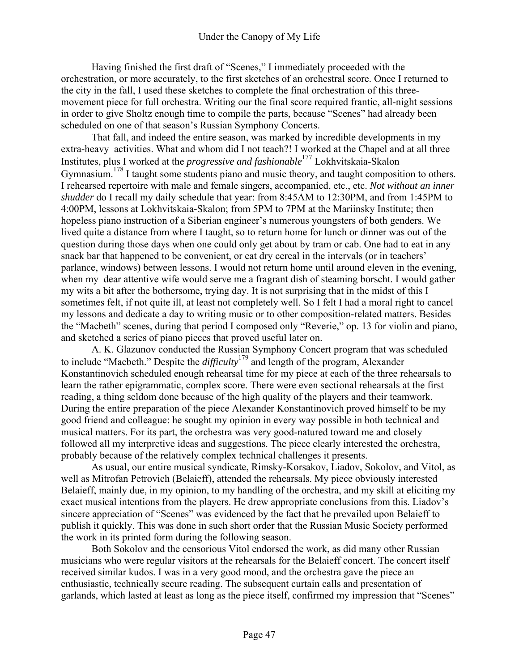Having finished the first draft of "Scenes," I immediately proceeded with the orchestration, or more accurately, to the first sketches of an orchestral score. Once I returned to the city in the fall, I used these sketches to complete the final orchestration of this threemovement piece for full orchestra. Writing our the final score required frantic, all-night sessions in order to give Sholtz enough time to compile the parts, because "Scenes" had already been scheduled on one of that season's Russian Symphony Concerts.

That fall, and indeed the entire season, was marked by incredible developments in my extra-heavy activities. What and whom did I not teach?! I worked at the Chapel and at all three Institutes, plus I worked at the *progressive and fashionable*177 Lokhvitskaia-Skalon Gymnasium.<sup>178</sup> I taught some students piano and music theory, and taught composition to others. I rehearsed repertoire with male and female singers, accompanied, etc., etc. *Not without an inner shudder* do I recall my daily schedule that year: from 8:45AM to 12:30PM, and from 1:45PM to 4:00PM, lessons at Lokhvitskaia-Skalon; from 5PM to 7PM at the Mariinsky Institute; then hopeless piano instruction of a Siberian engineer's numerous youngsters of both genders. We lived quite a distance from where I taught, so to return home for lunch or dinner was out of the question during those days when one could only get about by tram or cab. One had to eat in any snack bar that happened to be convenient, or eat dry cereal in the intervals (or in teachers' parlance, windows) between lessons. I would not return home until around eleven in the evening, when my dear attentive wife would serve me a fragrant dish of steaming borscht. I would gather my wits a bit after the bothersome, trying day. It is not surprising that in the midst of this I sometimes felt, if not quite ill, at least not completely well. So I felt I had a moral right to cancel my lessons and dedicate a day to writing music or to other composition-related matters. Besides the "Macbeth" scenes, during that period I composed only "Reverie," op. 13 for violin and piano, and sketched a series of piano pieces that proved useful later on.

A. K. Glazunov conducted the Russian Symphony Concert program that was scheduled to include "Macbeth." Despite the *difficulty*179 and length of the program, Alexander Konstantinovich scheduled enough rehearsal time for my piece at each of the three rehearsals to learn the rather epigrammatic, complex score. There were even sectional rehearsals at the first reading, a thing seldom done because of the high quality of the players and their teamwork. During the entire preparation of the piece Alexander Konstantinovich proved himself to be my good friend and colleague: he sought my opinion in every way possible in both technical and musical matters. For its part, the orchestra was very good-natured toward me and closely followed all my interpretive ideas and suggestions. The piece clearly interested the orchestra, probably because of the relatively complex technical challenges it presents.

As usual, our entire musical syndicate, Rimsky-Korsakov, Liadov, Sokolov, and Vitol, as well as Mitrofan Petrovich (Belaieff), attended the rehearsals. My piece obviously interested Belaieff, mainly due, in my opinion, to my handling of the orchestra, and my skill at eliciting my exact musical intentions from the players. He drew appropriate conclusions from this. Liadov's sincere appreciation of "Scenes" was evidenced by the fact that he prevailed upon Belaieff to publish it quickly. This was done in such short order that the Russian Music Society performed the work in its printed form during the following season.

Both Sokolov and the censorious Vitol endorsed the work, as did many other Russian musicians who were regular visitors at the rehearsals for the Belaieff concert. The concert itself received similar kudos. I was in a very good mood, and the orchestra gave the piece an enthusiastic, technically secure reading. The subsequent curtain calls and presentation of garlands, which lasted at least as long as the piece itself, confirmed my impression that "Scenes"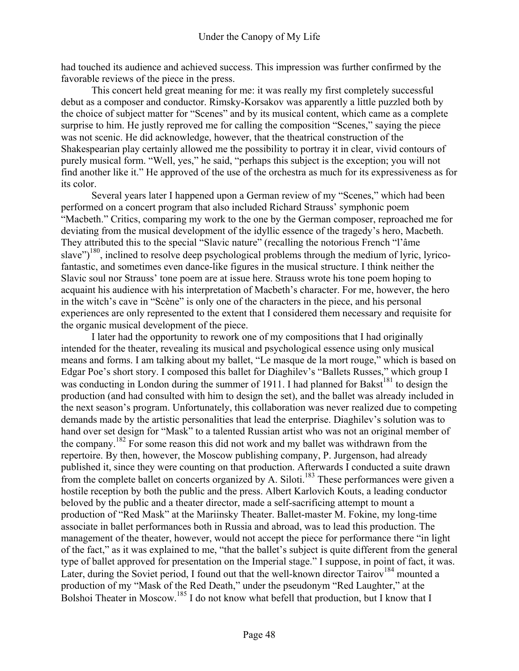had touched its audience and achieved success. This impression was further confirmed by the favorable reviews of the piece in the press.

This concert held great meaning for me: it was really my first completely successful debut as a composer and conductor. Rimsky-Korsakov was apparently a little puzzled both by the choice of subject matter for "Scenes" and by its musical content, which came as a complete surprise to him. He justly reproved me for calling the composition "Scenes," saying the piece was not scenic. He did acknowledge, however, that the theatrical construction of the Shakespearian play certainly allowed me the possibility to portray it in clear, vivid contours of purely musical form. "Well, yes," he said, "perhaps this subject is the exception; you will not find another like it." He approved of the use of the orchestra as much for its expressiveness as for its color.

Several years later I happened upon a German review of my "Scenes," which had been performed on a concert program that also included Richard Strauss' symphonic poem "Macbeth." Critics, comparing my work to the one by the German composer, reproached me for deviating from the musical development of the idyllic essence of the tragedy's hero, Macbeth. They attributed this to the special "Slavic nature" (recalling the notorious French "l'âme slave")<sup>180</sup>, inclined to resolve deep psychological problems through the medium of lyric, lyricofantastic, and sometimes even dance-like figures in the musical structure. I think neither the Slavic soul nor Strauss' tone poem are at issue here. Strauss wrote his tone poem hoping to acquaint his audience with his interpretation of Macbeth's character. For me, however, the hero in the witch's cave in "Scène" is only one of the characters in the piece, and his personal experiences are only represented to the extent that I considered them necessary and requisite for the organic musical development of the piece.

I later had the opportunity to rework one of my compositions that I had originally intended for the theater, revealing its musical and psychological essence using only musical means and forms. I am talking about my ballet, "Le masque de la mort rouge," which is based on Edgar Poe's short story. I composed this ballet for Diaghilev's "Ballets Russes," which group I was conducting in London during the summer of 1911. I had planned for Bakst<sup>181</sup> to design the production (and had consulted with him to design the set), and the ballet was already included in the next season's program. Unfortunately, this collaboration was never realized due to competing demands made by the artistic personalities that lead the enterprise. Diaghilev's solution was to hand over set design for "Mask" to a talented Russian artist who was not an original member of the company.<sup>182</sup> For some reason this did not work and my ballet was withdrawn from the repertoire. By then, however, the Moscow publishing company, P. Jurgenson, had already published it, since they were counting on that production. Afterwards I conducted a suite drawn from the complete ballet on concerts organized by A. Siloti.<sup>183</sup> These performances were given a hostile reception by both the public and the press. Albert Karlovich Kouts, a leading conductor beloved by the public and a theater director, made a self-sacrificing attempt to mount a production of "Red Mask" at the Mariinsky Theater. Ballet-master M. Fokine, my long-time associate in ballet performances both in Russia and abroad, was to lead this production. The management of the theater, however, would not accept the piece for performance there "in light of the fact," as it was explained to me, "that the ballet's subject is quite different from the general type of ballet approved for presentation on the Imperial stage." I suppose, in point of fact, it was. Later, during the Soviet period, I found out that the well-known director Tairov<sup>184</sup> mounted a production of my "Mask of the Red Death," under the pseudonym "Red Laughter," at the Bolshoi Theater in Moscow.<sup>185</sup> I do not know what befell that production, but I know that I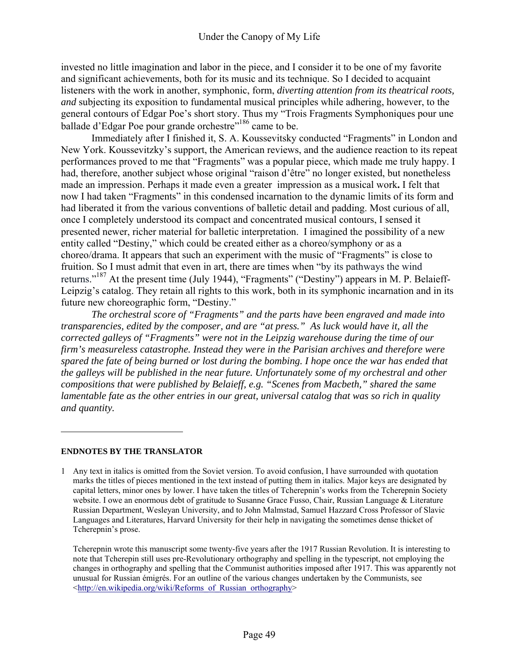invested no little imagination and labor in the piece, and I consider it to be one of my favorite and significant achievements, both for its music and its technique. So I decided to acquaint listeners with the work in another, symphonic, form, *diverting attention from its theatrical roots, and* subjecting its exposition to fundamental musical principles while adhering, however, to the general contours of Edgar Poe's short story. Thus my "Trois Fragments Symphoniques pour une ballade d'Edgar Poe pour grande orchestre<sup>"186</sup> came to be.

Immediately after I finished it, S. A. Koussevitsky conducted "Fragments" in London and New York. Koussevitzky's support, the American reviews, and the audience reaction to its repeat performances proved to me that "Fragments" was a popular piece, which made me truly happy. I had, therefore, another subject whose original "raison d'être" no longer existed, but nonetheless made an impression. Perhaps it made even a greater impression as a musical work**.** I felt that now I had taken "Fragments" in this condensed incarnation to the dynamic limits of its form and had liberated it from the various conventions of balletic detail and padding. Most curious of all, once I completely understood its compact and concentrated musical contours, I sensed it presented newer, richer material for balletic interpretation. I imagined the possibility of a new entity called "Destiny," which could be created either as a choreo/symphony or as a choreo/drama. It appears that such an experiment with the music of "Fragments" is close to fruition. So I must admit that even in art, there are times when "by its pathways the wind returns."<sup>187</sup> At the present time (July 1944), "Fragments" ("Destiny") appears in M. P. Belaieff-Leipzig's catalog. They retain all rights to this work, both in its symphonic incarnation and in its future new choreographic form, "Destiny."

*The orchestral score of "Fragments" and the parts have been engraved and made into transparencies, edited by the composer, and are "at press." As luck would have it, all the corrected galleys of "Fragments" were not in the Leipzig warehouse during the time of our firm's measureless catastrophe. Instead they were in the Parisian archives and therefore were spared the fate of being burned or lost during the bombing. I hope once the war has ended that the galleys will be published in the near future. Unfortunately some of my orchestral and other compositions that were published by Belaieff, e.g. "Scenes from Macbeth," shared the same lamentable fate as the other entries in our great, universal catalog that was so rich in quality and quantity.* 

#### **ENDNOTES BY THE TRANSLATOR**

 $\overline{a}$ 

1 Any text in italics is omitted from the Soviet version. To avoid confusion, I have surrounded with quotation marks the titles of pieces mentioned in the text instead of putting them in italics. Major keys are designated by capital letters, minor ones by lower. I have taken the titles of Tcherepnin's works from the Tcherepnin Society website. I owe an enormous debt of gratitude to Susanne Grace Fusso, Chair, Russian Language & Literature Russian Department, Wesleyan University, and to John Malmstad, Samuel Hazzard Cross Professor of Slavic Languages and Literatures, Harvard University for their help in navigating the sometimes dense thicket of Tcherepnin's prose.

 Tcherepnin wrote this manuscript some twenty-five years after the 1917 Russian Revolution. It is interesting to note that Tcherepin still uses pre-Revolutionary orthography and spelling in the typescript, not employing the changes in orthography and spelling that the Communist authorities imposed after 1917. This was apparently not unusual for Russian émigrés. For an outline of the various changes undertaken by the Communists, see <http://en.wikipedia.org/wiki/Reforms\_of\_Russian\_orthography>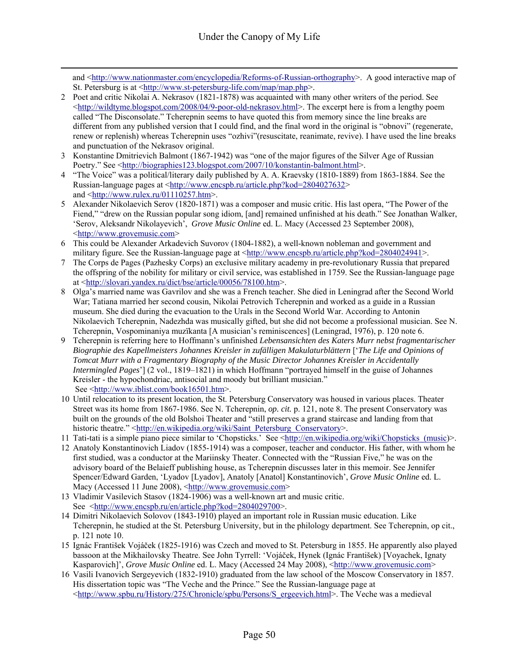and <http://www.nationmaster.com/encyclopedia/Reforms-of-Russian-orthography>. A good interactive map of St. Petersburg is at <http://www.st-petersburg-life.com/map/map.php>.

- 2 Poet and critic Nikolai A. Nekrasov (1821-1878) was acquainted with many other writers of the period. See <http://wildtyme.blogspot.com/2008/04/9-poor-old-nekrasov.html>. The excerpt here is from a lengthy poem called "The Disconsolate." Tcherepnin seems to have quoted this from memory since the line breaks are different from any published version that I could find, and the final word in the original is "obnovi" (regenerate, renew or replenish) whereas Tcherepnin uses "ozhivi"(resuscitate, reanimate, revive). I have used the line breaks and punctuation of the Nekrasov original.
- 3 Konstantine Dmitrievich Balmont (1867-1942) was "one of the major figures of the Silver Age of Russian Poetry." See <http://biographies123.blogspot.com/2007/10/konstantin-balmont.html>.
- 4 "The Voice" was a political/literary daily published by A. A. Kraevsky (1810-1889) from 1863-1884. See the Russian-language pages at <http://www.encspb.ru/article.php?kod=2804027632> and <http://www.rulex.ru/01110257.htm>.
- 5 Alexander Nikolaevich Serov (1820-1871) was a composer and music critic. His last opera, "The Power of the Fiend," "drew on the Russian popular song idiom, [and] remained unfinished at his death." See Jonathan Walker, 'Serov, Aleksandr Nikolayevich', *Grove Music Online* ed. L. Macy (Accessed 23 September 2008), <http://www.grovemusic.com>
- 6 This could be Alexander Arkadevich Suvorov (1804-1882), a well-known nobleman and government and military figure. See the Russian-language page at <http://www.encspb.ru/article.php?kod=2804024941>.
- 7 The Corps de Pages (Pazhesky Corps) an exclusive military academy in pre-revolutionary Russia that prepared the offspring of the nobility for military or civil service, was established in 1759. See the Russian-language page at <http://slovari.yandex.ru/dict/bse/article/00056/78100.htm>.
- 8 Olga's married name was Gavrilov and she was a French teacher. She died in Leningrad after the Second World War; Tatiana married her second cousin, Nikolai Petrovich Tcherepnin and worked as a guide in a Russian museum. She died during the evacuation to the Urals in the Second World War. According to Antonin Nikolaevich Tcherepnin, Nadezhda was musically gifted, but she did not become a professional musician. See N. Tcherepnin, Vospominaniya muzïkanta [A musician's reminiscences] (Leningrad, 1976), p. 120 note 6.
- 9 Tcherepnin is referring here to Hoffmann's unfinished *Lebensansichten des Katers Murr nebst fragmentarischer Biographie des Kapellmeisters Johannes Kreisler in zufälligen Makulaturblättern* ['*The Life and Opinions of Tomcat Murr with a Fragmentary Biography of the Music Director Johannes Kreisler in Accidentally Intermingled Pages*'] (2 vol., 1819–1821) in which Hoffmann "portrayed himself in the guise of Johannes Kreisler - the hypochondriac, antisocial and moody but brilliant musician." See <http://www.iblist.com/book16501.htm>.
- 10 Until relocation to its present location, the St. Petersburg Conservatory was housed in various places. Theater Street was its home from 1867-1986. See N. Tcherepnin, *op. cit.* p. 121, note 8. The present Conservatory was built on the grounds of the old Bolshoi Theater and "still preserves a grand staircase and landing from that historic theatre." <http://en.wikipedia.org/wiki/Saint\_Petersburg\_Conservatory>.
- 11 Tati-tati is a simple piano piece similar to 'Chopsticks.' See <http://en.wikipedia.org/wiki/Chopsticks (music)>.
- 12 Anatoly Konstantinovich Liadov (1855-1914) was a composer, teacher and conductor. His father, with whom he first studied, was a conductor at the Mariinsky Theater. Connected with the "Russian Five," he was on the advisory board of the Belaieff publishing house, as Tcherepnin discusses later in this memoir. See Jennifer Spencer/Edward Garden, 'Lyadov [Lyadov], Anatoly [Anatol] Konstantinovich', *Grove Music Online* ed. L. Macy (Accessed 11 June 2008), <http://www.grovemusic.com>
- 13 Vladimir Vasilevich Stasov (1824-1906) was a well-known art and music critic. See <http://www.encspb.ru/en/article.php?kod=2804029700>.
- 14 Dimitri Nikolaevich Solovov (1843-1910) played an important role in Russian music education. Like Tcherepnin, he studied at the St. Petersburg University, but in the philology department. See Tcherepnin, op cit., p. 121 note 10.
- 15 Ignác František Vojáček (1825-1916) was Czech and moved to St. Petersburg in 1855. He apparently also played bassoon at the Mikhailovsky Theatre. See John Tyrrell: 'Vojáček, Hynek (Ignác František) [Voyachek, Ignaty Kasparovich]', *Grove Music Online* ed. L. Macy (Accessed 24 May 2008), <http://www.grovemusic.com>
- 16 Vasili Ivanovich Sergeyevich (1832-1910) graduated from the law school of the Moscow Conservatory in 1857. His dissertation topic was "The Veche and the Prince." See the Russian-language page at <http://www.spbu.ru/History/275/Chronicle/spbu/Persons/S\_ergeevich.html>. The Veche was a medieval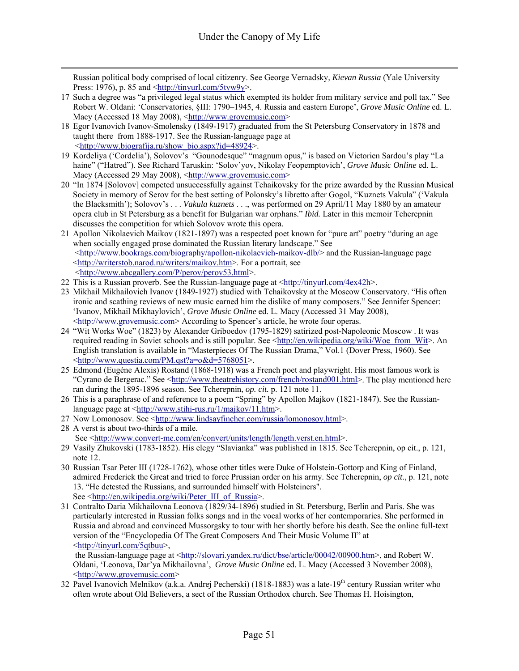Russian political body comprised of local citizenry. See George Vernadsky*, Kievan Russia* (Yale University Press: 1976), p. 85 and  $\frac{\text{th}}{\text{tpp}}$ ://tinyurl.com/5tyw9y>.

- 17 Such a degree was "a privileged legal status which exempted its holder from military service and poll tax." See Robert W. Oldani: 'Conservatories, §III: 1790–1945, 4. Russia and eastern Europe', *Grove Music Online* ed. L. Macy (Accessed 18 May 2008), <http://www.grovemusic.com>
- 18 Egor Ivanovich Ivanov-Smolensky (1849-1917) graduated from the St Petersburg Conservatory in 1878 and taught there from 1888-1917. See the Russian-language page at <http://www.biografija.ru/show\_bio.aspx?id=48924>.
- 19 Kordeliya ('Cordelia'), Solovov's "Gounodesque" "magnum opus," is based on Victorien Sardou's play "La haine" ("Hatred"). See Richard Taruskin: 'Solov'yov, Nikolay Feopemptovich', *Grove Music Online* ed. L. Macy (Accessed 29 May 2008), <http://www.grovemusic.com>
- 20 "In 1874 [Solovov] competed unsuccessfully against Tchaikovsky for the prize awarded by the Russian Musical Society in memory of Serov for the best setting of Polonsky's libretto after Gogol, "Kuznets Vakula" ('Vakula the Blacksmith'); Solovov's . . . *Vakula kuznets* . . ., was performed on 29 April/11 May 1880 by an amateur opera club in St Petersburg as a benefit for Bulgarian war orphans." *Ibid.* Later in this memoir Tcherepnin discusses the competition for which Solovov wrote this opera.
- 21 Apollon Nikolaevich Maikov (1821-1897) was a respected poet known for "pure art" poetry "during an age when socially engaged prose dominated the Russian literary landscape." See  $\langle$ http://www.bookrags.com/biography/apollon-nikolaevich-maikov-dlb/ $>$  and the Russian-language page <http://writerstob.narod.ru/writers/maikov.htm>. For a portrait, see <http://www.abcgallery.com/P/perov/perov53.html>.
- 22 This is a Russian proverb. See the Russian-language page at  $\frac{\text{http://tiny.l.com/4ex42h>}}{\text{http://tiny.l.com/4ex42h>}}$ .
- 23 Mikhail Mikhailovich Ivanov (1849-1927) studied with Tchaikovsky at the Moscow Conservatory. "His often ironic and scathing reviews of new music earned him the dislike of many composers." See Jennifer Spencer: 'Ivanov, Mikhail Mikhaylovich', *Grove Music Online* ed. L. Macy (Accessed 31 May 2008), <http://www.grovemusic.com> According to Spencer's article, he wrote four operas.
- 24 "Wit Works Woe" (1823) by Alexander Griboedov (1795-1829) satirized post-Napoleonic Moscow . It was required reading in Soviet schools and is still popular. See <http://en.wikipedia.org/wiki/Woe\_from\_Wit>. An English translation is available in "Masterpieces Of The Russian Drama," Vol.1 (Dover Press, 1960). See <http://www.questia.com/PM.qst?a=o&d=5768051>.
- 25 Edmond (Eugène Alexis) Rostand (1868-1918) was a French poet and playwright. His most famous work is "Cyrano de Bergerac." See <http://www.theatrehistory.com/french/rostand001.html>. The play mentioned here ran during the 1895-1896 season. See Tcherepnin, *op. cit.* p. 121 note 11.
- 26 This is a paraphrase of and reference to a poem "Spring" by Apollon Majkov (1821-1847). See the Russianlanguage page at <http://www.stihi-rus.ru/1/majkov/11.htm>.
- 27 Now Lomonosov. See <http://www.lindsayfincher.com/russia/lomonosov.html>.
- 28 A verst is about two-thirds of a mile. See <http://www.convert-me.com/en/convert/units/length/length.verst.en.html>.
- 29 Vasily Zhukovski (1783-1852). His elegy "Slavianka" was published in 1815. See Tcherepnin, op cit., p. 121, note 12.
- 30 Russian Tsar Peter III (1728-1762), whose other titles were Duke of Holstein-Gottorp and King of Finland, admired Frederick the Great and tried to force Prussian order on his army. See Tcherepnin, *op cit*., p. 121, note 13. "He detested the Russians, and surrounded himself with Holsteiners". See <http://en.wikipedia.org/wiki/Peter\_III\_of\_Russia>.
- 31 Contralto Daria Mikhailovna Leonova (1829/34-1896) studied in St. Petersburg, Berlin and Paris. She was particularly interested in Russian folks songs and in the vocal works of her contemporaries. She performed in Russia and abroad and convinced Mussorgsky to tour with her shortly before his death. See the online full-text version of the "Encyclopedia Of The Great Composers And Their Music Volume II" at <http://tinyurl.com/5qtbuu>,

the Russian-language page at <http://slovari.yandex.ru/dict/bse/article/00042/00900.htm>, and Robert W. Oldani, 'Leonova, Dar'ya Mikhailovna', *Grove Music Online* ed. L. Macy (Accessed 3 November 2008), <http://www.grovemusic.com>

32 Pavel Ivanovich Melnikov (a.k.a. Andrej Pecherski) (1818-1883) was a late-19th century Russian writer who often wrote about Old Believers, a sect of the Russian Orthodox church. See Thomas H. Hoisington,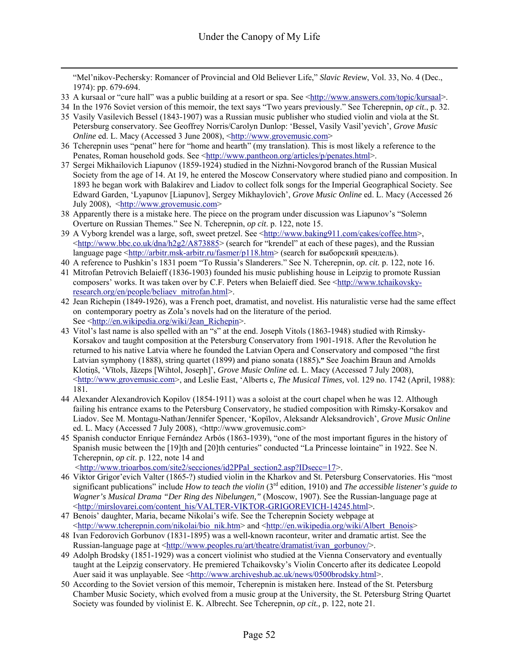"Mel'nikov-Pechersky: Romancer of Provincial and Old Believer Life," *Slavic Review*, Vol. 33, No. 4 (Dec., 1974): pp. 679-694.

33 A kursaal or "cure hall" was a public building at a resort or spa. See <http://www.answers.com/topic/kursaal>.

- 35 Vasily Vasilevich Bessel (1843-1907) was a Russian music publisher who studied violin and viola at the St. Petersburg conservatory. See Geoffrey Norris/Carolyn Dunlop: 'Bessel, Vasily Vasil'yevich', *Grove Music Online* ed. L. Macy (Accessed 3 June 2008), <http://www.grovemusic.com>
- 36 Tcherepnin uses "penat" here for "home and hearth" (my translation). This is most likely a reference to the Penates, Roman household gods. See <http://www.pantheon.org/articles/p/penates.html>.
- 37 Sergei Mikhailovich Liapunov (1859-1924) studied in the Nizhni-Novgorod branch of the Russian Musical Society from the age of 14. At 19, he entered the Moscow Conservatory where studied piano and composition. In 1893 he began work with Balakirev and Liadov to collect folk songs for the Imperial Geographical Society. See Edward Garden, 'Lyapunov [Liapunov], Sergey Mikhaylovich', *Grove Music Online* ed. L. Macy (Accessed 26 July 2008), <http://www.grovemusic.com>
- 38 Apparently there is a mistake here. The piece on the program under discussion was Liapunov's "Solemn Overture on Russian Themes." See N. Tcherepnin, *op cit*. p. 122, note 15.
- 39 A Vyborg krendel was a large, soft, sweet pretzel. See <http://www.baking911.com/cakes/coffee.htm>,  $\text{6}$  -thtp://www.bbc.co.uk/dna/h2g2/A873885> (search for "krendel" at each of these pages), and the Russian language page <http://arbitr.msk-arbitr.ru/fasmer/p118.htm> (search for выборский крендель).
- 40 A reference to Pushkin's 1831 poem "To Russia's Slanderers." See N. Tcherepnin, *op. cit.* p. 122, note 16.
- 41 Mitrofan Petrovich Belaieff (1836-1903) founded his music publishing house in Leipzig to promote Russian composers' works. It was taken over by C.F. Peters when Belaieff died. See <http://www.tchaikovskyresearch.org/en/people/beliaev\_mitrofan.html>.
- 42 Jean Richepin (1849-1926), was a French poet, dramatist, and novelist. His naturalistic verse had the same effect on contemporary poetry as Zola's novels had on the literature of the period. See <http://en.wikipedia.org/wiki/Jean\_Richepin>.
- 43 Vitol's last name is also spelled with an "s" at the end. Joseph Vitols (1863-1948) studied with Rimsky-Korsakov and taught composition at the Petersburg Conservatory from 1901-1918. After the Revolution he returned to his native Latvia where he founded the Latvian Opera and Conservatory and composed "the first Latvian symphony (1888), string quartet (1899) and piano sonata (1885)**."** See Joachim Braun and Arnolds Klotiņš, 'Vītols, Jāzeps [Wihtol, Joseph]', *Grove Music Online* ed. L. Macy (Accessed 7 July 2008),  $\langle$ http://www.grovemusic.com>, and Leslie East, 'Alberts c, *The Musical Times*, vol. 129 no. 1742 (April, 1988): 181*.*
- 44 Alexander Alexandrovich Kopilov (1854-1911) was a soloist at the court chapel when he was 12. Although failing his entrance exams to the Petersburg Conservatory, he studied composition with Rimsky-Korsakov and Liadov. See M. Montagu-Nathan/Jennifer Spencer, 'Kopïlov, Aleksandr Aleksandrovich', *Grove Music Online* ed. L. Macy (Accessed 7 July 2008), <http://www.grovemusic.com>
- 45 Spanish conductor Enrique Fernández Arbós (1863-1939), "one of the most important figures in the history of Spanish music between the [19]th and [20]th centuries" conducted "La Princesse lointaine" in 1922. See N. Tcherepnin, *op cit*. p. 122, note 14 and <http://www.trioarbos.com/site2/secciones/id2PPal\_section2.asp?IDsecc=17>.

46 Viktor Grigor'evich Valter (1865-?) studied violin in the Kharkov and St. Petersburg Conservatories. His "most

- significant publications" include *How to teach the violin* (3rd edition, 1910) and *The accessible listener's guide to Wagner's Musical Drama "Der Ring des Nibelungen,"* (Moscow, 1907). See the Russian-language page at <http://mirslovarei.com/content\_his/VALTER-VIKTOR-GRIGOREVICH-14245.html>.
- 47 Benois' daughter, Maria, became Nikolai's wife. See the Tcherepnin Society webpage at  $\langle$ http://www.tcherepnin.com/nikolai/bio\_nik.htm> and  $\langle$ http://en.wikipedia.org/wiki/Albert\_Benois>
- 48 Ivan Fedorovich Gorbunov (1831-1895) was a well-known raconteur, writer and dramatic artist. See the Russian-language page at <http://www.peoples.ru/art/theatre/dramatist/ivan\_gorbunov/>.
- 49 Adolph Brodsky (1851-1929) was a concert violinist who studied at the Vienna Conservatory and eventually taught at the Leipzig conservatory. He premiered Tchaikovsky's Violin Concerto after its dedicatee Leopold Auer said it was unplayable. See <http://www.archiveshub.ac.uk/news/0500brodsky.html>.
- 50 According to the Soviet version of this memoir, Tcherepnin is mistaken here. Instead of the St. Petersburg Chamber Music Society, which evolved from a music group at the University, the St. Petersburg String Quartet Society was founded by violinist E. K. Albrecht. See Tcherepnin, *op cit.,* p. 122, note 21.

<sup>34</sup> In the 1976 Soviet version of this memoir, the text says "Two years previously." See Tcherepnin, *op cit*., p. 32.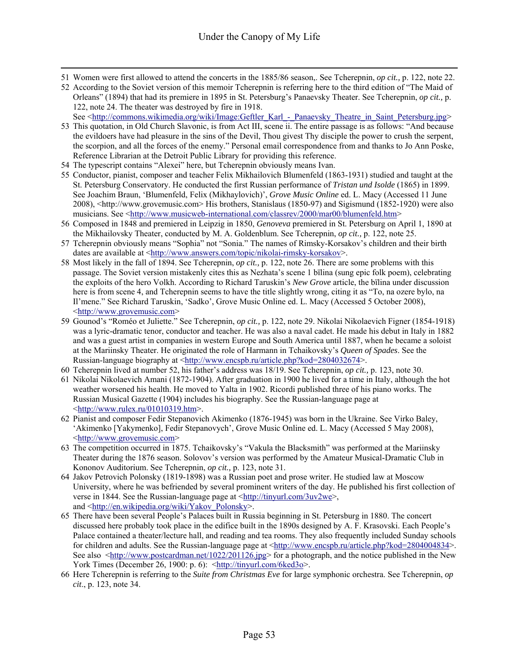- 51 Women were first allowed to attend the concerts in the 1885/86 season,. See Tcherepnin, *op cit.,* p. 122, note 22.
- 52 According to the Soviet version of this memoir Tcherepnin is referring here to the third edition of "The Maid of Orleans" (1894) that had its premiere in 1895 in St. Petersburg's Panaevsky Theater. See Tcherepnin, *op cit.,* p. 122, note 24. The theater was destroyed by fire in 1918. See <http://commons.wikimedia.org/wiki/Image:Geftler\_Karl\_-\_Panaevsky\_Theatre\_in\_Saint\_Petersburg.jpg>
- 53 This quotation, in Old Church Slavonic, is from Act III, scene ii. The entire passage is as follows: "And because the evildoers have had pleasure in the sins of the Devil, Thou givest Thy disciple the power to crush the serpent, the scorpion, and all the forces of the enemy." Personal email correspondence from and thanks to Jo Ann Poske, Reference Librarian at the Detroit Public Library for providing this reference.
- 54 The typescript contains "Alexei" here, but Tcherepnin obviously means Ivan.
- 55 Conductor, pianist, composer and teacher Felix Mikhailovich Blumenfeld (1863-1931) studied and taught at the St. Petersburg Conservatory. He conducted the first Russian performance of *Tristan und Isolde* (1865) in 1899. See Joachim Braun, 'Blumenfeld, Felix (Mikhaylovich)', *Grove Music Online* ed. L. Macy (Accessed 11 June 2008), <http://www.grovemusic.com> His brothers, Stanislaus (1850-97) and Sigismund (1852-1920) were also musicians. See <http://www.musicweb-international.com/classrev/2000/mar00/blumenfeld.htm>
- 56 Composed in 1848 and premiered in Leipzig in 1850, *Genoveva* premiered in St. Petersburg on April 1, 1890 at the Mikhailovsky Theater, conducted by M. A. Goldenblum. See Tcherepnin, *op cit.,* p. 122, note 25.
- 57 Tcherepnin obviously means "Sophia" not "Sonia." The names of Rimsky-Korsakov's children and their birth dates are available at <http://www.answers.com/topic/nikolai-rimsky-korsakov>.
- 58 Most likely in the fall of 1894. See Tcherepnin, *op cit.,* p. 122, note 26. There are some problems with this passage. The Soviet version mistakenly cites this as Nezhata's scene 1 bïlina (sung epic folk poem), celebrating the exploits of the hero Volkh. According to Richard Taruskin's *New Grove* article, the bïlina under discussion here is from scene 4, and Tcherepnin seems to have the title slightly wrong, citing it as "To, na ozere bylo, na Il'mene." See Richard Taruskin, 'Sadko', Grove Music Online ed. L. Macy (Accessed 5 October 2008), <http://www.grovemusic.com>
- 59 Gounod's "Roméo et Juliette." See Tcherepnin, *op cit.,* p. 122, note 29. Nikolai Nikolaevich Figner (1854-1918) was a lyric-dramatic tenor, conductor and teacher. He was also a naval cadet. He made his debut in Italy in 1882 and was a guest artist in companies in western Europe and South America until 1887, when he became a soloist at the Mariinsky Theater. He originated the role of Harmann in Tchaikovsky's *Queen of Spades*. See the Russian-language biography at <http://www.encspb.ru/article.php?kod=2804032674>.
- 60 Tcherepnin lived at number 52, his father's address was 18/19. See Tcherepnin, *op cit.,* p. 123, note 30.
- 61 Nikolai Nikolaevich Amani (1872-1904). After graduation in 1900 he lived for a time in Italy, although the hot weather worsened his health. He moved to Yalta in 1902. Ricordi published three of his piano works. The Russian Musical Gazette (1904) includes his biography. See the Russian-language page at <http://www.rulex.ru/01010319.htm>.
- 62 Pianist and composer Fedir Stepanovich Akimenko (1876-1945) was born in the Ukraine. See Virko Baley, 'Akimenko [Yakymenko], Fedir Stepanovych', Grove Music Online ed. L. Macy (Accessed 5 May 2008), <http://www.grovemusic.com>
- 63 The competition occurred in 1875. Tchaikovsky's "Vakula the Blacksmith" was performed at the Mariinsky Theater during the 1876 season. Solovov's version was performed by the Amateur Musical-Dramatic Club in Kononov Auditorium. See Tcherepnin, *op cit.,* p. 123, note 31.
- 64 Jakov Petrovich Polonsky (1819-1898) was a Russian poet and prose writer. He studied law at Moscow University, where he was befriended by several prominent writers of the day. He published his first collection of verse in 1844. See the Russian-language page at <http://tinyurl.com/3uv2we>, and <http://en.wikipedia.org/wiki/Yakov\_Polonsky>.
- 65 There have been several People's Palaces built in Russia beginning in St. Petersburg in 1880. The concert discussed here probably took place in the edifice built in the 1890s designed by A. F. Krasovski. Each People's Palace contained a theater/lecture hall, and reading and tea rooms. They also frequently included Sunday schools for children and adults. See the Russian-language page at <http://www.encspb.ru/article.php?kod=2804004834>. See also <http://www.postcardman.net/1022/201126.jpg> for a photograph, and the notice published in the New York Times (December 26, 1900: p. 6):  $\frac{\text{http://tinycl.com/6ked3o>}}{\text{http://tinyurl.com/6ked3o>}}$ .
- 66 Here Tcherepnin is referring to the *Suite from Christmas Eve* for large symphonic orchestra. See Tcherepnin, *op cit*., p. 123, note 34.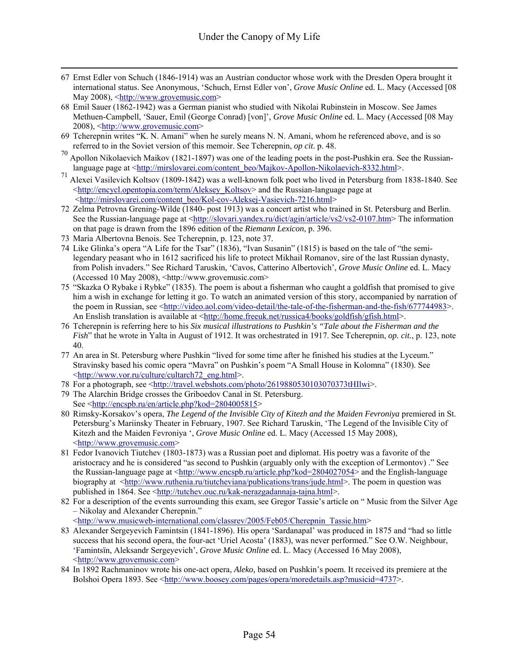- 67 Ernst Edler von Schuch (1846-1914) was an Austrian conductor whose work with the Dresden Opera brought it international status. See Anonymous, 'Schuch, Ernst Edler von', *Grove Music Online* ed. L. Macy (Accessed [08 May 2008), <http://www.grovemusic.com>
- 68 Emil Sauer (1862-1942) was a German pianist who studied with Nikolai Rubinstein in Moscow. See James Methuen-Campbell, 'Sauer, Emil (George Conrad) [von]', *Grove Music Online* ed. L. Macy (Accessed [08 May 2008), <http://www.grovemusic.com>
- 69 Tcherepnin writes "K. N. Amani" when he surely means N. N. Amani, whom he referenced above, and is so referred to in the Soviet version of this memoir. See Tcherepnin, *op cit*. p. 48.
- <sup>70</sup> Apollon Nikolaevich Maikov (1821-1897) was one of the leading poets in the post-Pushkin era. See the Russianlanguage page at <http://mirslovarei.com/content\_beo/Majkov-Apollon-Nikolaevich-8332.html>.
- 71 Alexei Vasilevich Koltsov (1809-1842) was a well-known folk poet who lived in Petersburg from 1838-1840. See <http://encycl.opentopia.com/term/Aleksey\_Koltsov> and the Russian-language page at <http://mirslovarei.com/content\_beo/Kol-cov-Aleksej-Vasievich-7216.html>
- 72 Zelma Petrovna Grening-Wilde (1840- post 1913) was a concert artist who trained in St. Petersburg and Berlin. See the Russian-language page at <http://slovari.yandex.ru/dict/agin/article/vs2/vs2-0107.htm> The information on that page is drawn from the 1896 edition of the *Riemann Lexicon*, p. 396.
- 73 Maria Albertovna Benois. See Tcherepnin, p. 123, note 37.
- 74 Like Glinka's opera "A Life for the Tsar" (1836), "Ivan Susanin" (1815) is based on the tale of "the semilegendary peasant who in 1612 sacrificed his life to protect Mikhail Romanov, sire of the last Russian dynasty, from Polish invaders." See Richard Taruskin, 'Cavos, Catterino Albertovich', *Grove Music Online* ed. L. Macy (Accessed 10 May 2008), <http://www.grovemusic.com>
- 75 "Skazka O Rybake i Rybke" (1835). The poem is about a fisherman who caught a goldfish that promised to give him a wish in exchange for letting it go. To watch an animated version of this story, accompanied by narration of the poem in Russian, see <http://video.aol.com/video-detail/the-tale-of-the-fisherman-and-the-fish/677744983>. An Enslish translation is available at <http://home.freeuk.net/russica4/books/goldfish/gfish.html>.
- 76 Tcherepnin is referring here to his *Six musical illustrations to Pushkin's "Tale about the Fisherman and the Fish*" that he wrote in Yalta in August of 1912. It was orchestrated in 1917. See Tcherepnin, *op. cit.*, p. 123, note 40.
- 77 An area in St. Petersburg where Pushkin "lived for some time after he finished his studies at the Lyceum." Stravinsky based his comic opera "Mavra" on Pushkin's poem "A Small House in Kolomna" (1830). See <http://www.vor.ru/culture/cultarch72\_eng.html>.
- 78 For a photograph, see <http://travel.webshots.com/photo/2619880530103070373tHIlwi>.
- 79 The Alarchin Bridge crosses the Griboedov Canal in St. Petersburg. See <http://encspb.ru/en/article.php?kod=2804005815>
- 80 Rimsky-Korsakov's opera, *The Legend of the Invisible City of Kitezh and the Maiden Fevroniya* premiered in St. Petersburg's Mariinsky Theater in February, 1907. See Richard Taruskin, 'The Legend of the Invisible City of Kitezh and the Maiden Fevroniya ', *Grove Music Online* ed. L. Macy (Accessed 15 May 2008), <http://www.grovemusic.com>
- 81 Fedor Ivanovich Tiutchev (1803-1873) was a Russian poet and diplomat. His poetry was a favorite of the aristocracy and he is considered "as second to Pushkin (arguably only with the exception of Lermontov) ." See the Russian-language page at <http://www.encspb.ru/article.php?kod=2804027054> and the English-language biography at <http://www.ruthenia.ru/tiutcheviana/publications/trans/jude.html>. The poem in question was published in 1864. See <http://tutchev.ouc.ru/kak-nerazgadannaja-tajna.html>.
- 82 For a description of the events surrounding this exam, see Gregor Tassie's article on " Music from the Silver Age – Nikolay and Alexander Cherepnin."

<http://www.musicweb-international.com/classrev/2005/Feb05/Cherepnin\_Tassie.htm>

- 83 Alexander Sergeyevich Famintsin (1841-1896). His opera 'Sardanapal' was produced in 1875 and "had so little success that his second opera, the four-act 'Uriel Acosta' (1883), was never performed." See O.W. Neighbour, 'Famintsïn, Aleksandr Sergeyevich', *Grove Music Online* ed. L. Macy (Accessed 16 May 2008), <http://www.grovemusic.com>
- 84 In 1892 Rachmaninov wrote his one-act opera, *Aleko,* based on Pushkin's poem. It received its premiere at the Bolshoi Opera 1893. See <http://www.boosey.com/pages/opera/moredetails.asp?musicid=4737>.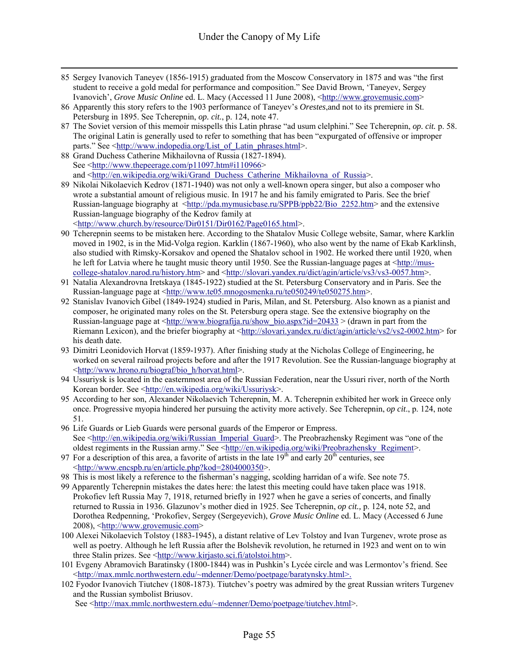- 85 Sergey Ivanovich Taneyev (1856-1915) graduated from the Moscow Conservatory in 1875 and was "the first student to receive a gold medal for performance and composition." See David Brown, 'Taneyev, Sergey Ivanovich', *Grove Music Online* ed. L. Macy (Accessed 11 June 2008), <http://www.grovemusic.com>
- 86 Apparently this story refers to the 1903 performance of Taneyev's *Orestes*,and not to its premiere in St. Petersburg in 1895. See Tcherepnin, *op. cit.*, p. 124, note 47.
- 87 The Soviet version of this memoir misspells this Latin phrase "ad usum clelphini." See Tcherepnin, *op. cit.* p. 58. The original Latin is generally used to refer to something that has been "expurgated of offensive or improper parts." See <http://www.indopedia.org/List\_of\_Latin\_phrases.html>.
- 88 Grand Duchess Catherine Mikhailovna of Russia (1827-1894). See <http://www.thepeerage.com/p11097.htm#i110966> and <http://en.wikipedia.org/wiki/Grand\_Duchess\_Catherine\_Mikhailovna\_of\_Russia>.
- 89 Nikolai Nikolaevich Kedrov (1871-1940) was not only a well-known opera singer, but also a composer who wrote a substantial amount of religious music. In 1917 he and his family emigrated to Paris. See the brief Russian-language biography at <http://pda.mymusicbase.ru/SPPB/ppb22/Bio\_2252.htm> and the extensive Russian-language biography of the Kedrov family at <http://www.church.by/resource/Dir0151/Dir0162/Page0165.html>.
- 90 Tcherepnin seems to be mistaken here. According to the Shatalov Music College website, Samar, where Karklin moved in 1902, is in the Mid-Volga region. Karklin (1867-1960), who also went by the name of Ekab Karklinsh, also studied with Rimsky-Korsakov and opened the Shatalov school in 1902. He worked there until 1920, when he left for Latvia where he taught music theory until 1950. See the Russian-language pages at <http://muscollege-shatalov.narod.ru/history.htm> and <http://slovari.yandex.ru/dict/agin/article/vs3/vs3-0057.htm>.
- 91 Natalia Alexandrovna Iretskaya (1845-1922) studied at the St. Petersburg Conservatory and in Paris. See the Russian-language page at <http://www.te05.mnogosmenka.ru/te050249/te050275.htm>.
- 92 Stanislav Ivanovich Gibel (1849-1924) studied in Paris, Milan, and St. Petersburg. Also known as a pianist and composer, he originated many roles on the St. Petersburg opera stage. See the extensive biography on the Russian-language page at  $\frac{\text{http://www.biografija.ru/show bio.aspx?id=20433}$   $\geq$  (drawn in part from the Riemann Lexicon), and the briefer biography at <http://slovari.yandex.ru/dict/agin/article/vs2/vs2-0002.htm> for his death date.
- 93 Dimitri Leonidovich Horvat (1859-1937). After finishing study at the Nicholas College of Engineering, he worked on several railroad projects before and after the 1917 Revolution. See the Russian-language biography at <http://www.hrono.ru/biograf/bio\_h/horvat.html>.
- 94 Ussuriysk is located in the easternmost area of the Russian Federation, near the Ussuri river, north of the North Korean border. See <http://en.wikipedia.org/wiki/Ussuriysk>.
- 95 According to her son, Alexander Nikolaevich Tcherepnin, M. A. Tcherepnin exhibited her work in Greece only once. Progressive myopia hindered her pursuing the activity more actively. See Tcherepnin, *op cit*., p. 124, note 51.
- 96 Life Guards or Lieb Guards were personal guards of the Emperor or Empress. See <http://en.wikipedia.org/wiki/Russian\_Imperial\_Guard>. The Preobrazhensky Regiment was "one of the oldest regiments in the Russian army." See <http://en.wikipedia.org/wiki/Preobrazhensky\_Regiment>.
- 97 For a description of this area, a favorite of artists in the late  $19<sup>th</sup>$  and early  $20<sup>th</sup>$  centuries, see <http://www.encspb.ru/en/article.php?kod=2804000350>.
- 98 This is most likely a reference to the fisherman's nagging, scolding harridan of a wife. See note 75.
- 99 Apparently Tcherepnin mistakes the dates here: the latest this meeting could have taken place was 1918. Prokofiev left Russia May 7, 1918, returned briefly in 1927 when he gave a series of concerts, and finally returned to Russia in 1936. Glazunov's mother died in 1925. See Tcherepnin, *op cit.,* p. 124, note 52, and Dorothea Redpenning, 'Prokofiev, Sergey (Sergeyevich), *Grove Music Online* ed. L. Macy (Accessed 6 June 2008), <http://www.grovemusic.com>
- 100 Alexei Nikolaevich Tolstoy (1883-1945), a distant relative of Lev Tolstoy and Ivan Turgenev, wrote prose as well as poetry. Although he left Russia after the Bolshevik revolution, he returned in 1923 and went on to win three Stalin prizes. See <http://www.kirjasto.sci.fi/atolstoi.htm>.
- 101 Evgeny Abramovich Baratinsky (1800-1844) was in Pushkin's Lycée circle and was Lermontov's friend. See <http://max.mmlc.northwestern.edu/~mdenner/Demo/poetpage/baratynsky.html>.
- 102 Fyodor Ivanovich Tiutchev (1808-1873). Tiutchev's poetry was admired by the great Russian writers Turgenev and the Russian symbolist Briusov.

See <http://max.mmlc.northwestern.edu/~mdenner/Demo/poetpage/tiutchev.html>.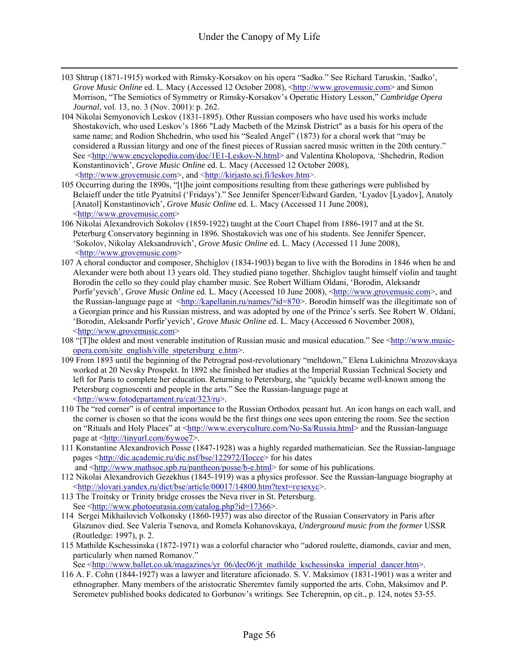- 103 Shtrup (1871-1915) worked with Rimsky-Korsakov on his opera "Sadko." See Richard Taruskin, 'Sadko', *Grove Music Online* ed. L. Macy (Accessed 12 October 2008), <http://www.grovemusic.com> and Simon Morrison, "The Semiotics of Symmetry or Rimsky-Korsakov's Operatic History Lesson," *Cambridge Opera Journal*, vol. 13, no. 3 (Nov. 2001): p. 262.
- 104 Nikolai Semyonovich Leskov (1831-1895). Other Russian composers who have used his works include Shostakovich, who used Leskov's 1866 "Lady Macbeth of the Mzinsk District" as a basis for his opera of the same name; and Rodion Shchedrin, who used his "Sealed Angel" (1873) for a choral work that "may be considered a Russian liturgy and one of the finest pieces of Russian sacred music written in the 20th century." See <http://www.encyclopedia.com/doc/1E1-Leskov-N.html> and Valentina Kholopova, 'Shchedrin, Rodion Konstantinovich', *Grove Music Online* ed. L. Macy (Accessed 12 October 2008), <http://www.grovemusic.com>, and <http://kirjasto.sci.fi/leskov.htm>.
- 105 Occurring during the 1890s, "[t]he joint compositions resulting from these gatherings were published by Belaieff under the title Pyatnitsï ('Fridays')." See Jennifer Spencer/Edward Garden, 'Lyadov [Lyadov], Anatoly [Anatol] Konstantinovich', *Grove Music Online* ed. L. Macy (Accessed 11 June 2008), <http://www.grovemusic.com>
- 106 Nikolai Alexandrovich Sokolov (1859-1922) taught at the Court Chapel from 1886-1917 and at the St. Peterburg Conservatory beginning in 1896. Shostakovich was one of his students. See Jennifer Spencer, 'Sokolov, Nikolay Aleksandrovich', *Grove Music Online* ed. L. Macy (Accessed 11 June 2008), <http://www.grovemusic.com>
- 107 A choral conductor and composer, Shchiglov (1834-1903) began to live with the Borodins in 1846 when he and Alexander were both about 13 years old. They studied piano together. Shchiglov taught himself violin and taught Borodin the cello so they could play chamber music. See Robert William Oldani, 'Borodin, Aleksandr Porfir'yevich', *Grove Music Online* ed. L. Macy (Accessed 10 June 2008), <http://www.grovemusic.com>, and the Russian-language page at  $\frac{\text{http://kapellanin.ru/names/}7id=870>}{\text{Borodin himself was the illegitimate son of}}$ a Georgian prince and his Russian mistress, and was adopted by one of the Prince's serfs. See Robert W. Oldani, 'Borodin, Aleksandr Porfir'yevich', *Grove Music Online* ed. L. Macy (Accessed 6 November 2008), <http://www.grovemusic.com>
- 108 "[T]he oldest and most venerable institution of Russian music and musical education." See <http://www.musicopera.com/site\_english/ville\_stpetersburg\_e.htm>.
- 109 From 1893 until the beginning of the Petrograd post-revolutionary "meltdown," Elena Lukinichna Mrozovskaya worked at 20 Nevsky Prospekt. In 1892 she finished her studies at the Imperial Russian Technical Society and left for Paris to complete her education. Returning to Petersburg, she "quickly became well-known among the Petersburg cognoscenti and people in the arts." See the Russian-language page at <http://www.fotodepartament.ru/cat/323/ru>.
- 110 The "red corner" is of central importance to the Russian Orthodox peasant hut. An icon hangs on each wall, and the corner is chosen so that the icons would be the first things one sees upon entering the room. See the section on "Rituals and Holy Places" at <http://www.everyculture.com/No-Sa/Russia.html> and the Russian-language page at <http://tinyurl.com/6ywoe7>.
- 111 Konstantine Alexandrovich Posse (1847-1928) was a highly regarded mathematician. See the Russian-language pages <http://dic.academic.ru/dic.nsf/bse/122972/Поссе> for his dates and <http://www.mathsoc.spb.ru/pantheon/posse/b-e.html> for some of his publications.
- 112 Nikolai Alexandrovich Gezekhus (1845-1919) was a physics professor. See the Russian-language biography at <http://slovari.yandex.ru/dict/bse/article/00017/14800.htm?text=гезехус>.
- 113 The Troitsky or Trinity bridge crosses the Neva river in St. Petersburg. See <http://www.photoeurasia.com/catalog.php?id=17366>.
- 114 Sergei Mikhailovich Volkonsky (1860-1937) was also director of the Russian Conservatory in Paris after Glazunov died. See Valeria Tsenova, and Romela Kohanovskaya, *Underground music from the former* USSR (Routledge: 1997), p. 2.
- 115 Mathilde Kschessinska (1872-1971) was a colorful character who "adored roulette, diamonds, caviar and men, particularly when named Romanov."

See <http://www.ballet.co.uk/magazines/vr 06/dec06/jt\_mathilde\_kschessinska\_imperial\_dancer.htm>.

116 A. F. Cohn (1844-1927) was a lawyer and literature aficionado. S. V. Maksimov (1831-1901) was a writer and ethnographer. Many members of the aristocratic Sheremtev family supported the arts. Cohn, Maksimov and P. Seremetev published books dedicated to Gorbunov's writings. See Tcherepnin, op cit., p. 124, notes 53-55.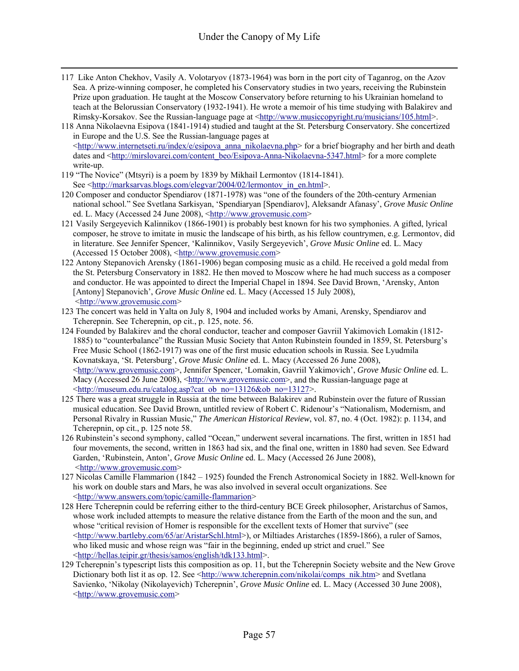- 117 Like Anton Chekhov, Vasily A. Volotaryov (1873-1964) was born in the port city of Taganrog, on the Azov Sea. A prize-winning composer, he completed his Conservatory studies in two years, receiving the Rubinstein Prize upon graduation. He taught at the Moscow Conservatory before returning to his Ukrainian homeland to teach at the Belorussian Conservatory (1932-1941). He wrote a memoir of his time studying with Balakirev and Rimsky-Korsakov. See the Russian-language page at <http://www.musiccopyright.ru/musicians/105.html>.
- 118 Anna Nikolaevna Esipova (1841-1914) studied and taught at the St. Petersburg Conservatory. She concertized in Europe and the U.S. See the Russian-language pages at  $\leq$ http://www.internetseti.ru/index/e/esipova\_anna\_nikolaevna.php> for a brief biography and her birth and death dates and <http://mirslovarei.com/content\_beo/Esipova-Anna-Nikolaevna-5347.html> for a more complete write-up.
- 119 "The Novice" (Mtsyri) is a poem by 1839 by Mikhail Lermontov (1814-1841). See <http://marksarvas.blogs.com/elegvar/2004/02/lermontov\_in\_en.html>.
- 120 Composer and conductor Spendiarov (1871-1978) was "one of the founders of the 20th-century Armenian national school." See Svetlana Sarkisyan, 'Spendiaryan [Spendiarov], Aleksandr Afanasy', *Grove Music Online* ed. L. Macy (Accessed 24 June 2008), <http://www.grovemusic.com>
- 121 Vasily Sergeyevich Kalinnikov (1866-1901) is probably best known for his two symphonies. A gifted, lyrical composer, he strove to imitate in music the landscape of his birth, as his fellow countrymen, e.g. Lermontov, did in literature. See Jennifer Spencer, 'Kalinnikov, Vasily Sergeyevich', *Grove Music Online* ed. L. Macy (Accessed 15 October 2008), <http://www.grovemusic.com>
- 122 Antony Stepanovich Arensky (1861-1906) began composing music as a child. He received a gold medal from the St. Petersburg Conservatory in 1882. He then moved to Moscow where he had much success as a composer and conductor. He was appointed to direct the Imperial Chapel in 1894. See David Brown, 'Arensky, Anton [Antony] Stepanovich', *Grove Music Online* ed. L. Macy (Accessed 15 July 2008), <http://www.grovemusic.com>
- 123 The concert was held in Yalta on July 8, 1904 and included works by Amani, Arensky, Spendiarov and Tcherepnin. See Tcherepnin, op cit., p. 125, note. 56.
- 124 Founded by Balakirev and the choral conductor, teacher and composer Gavriil Yakimovich Lomakin (1812- 1885) to "counterbalance" the Russian Music Society that Anton Rubinstein founded in 1859, St. Petersburg's Free Music School (1862-1917) was one of the first music education schools in Russia. See Lyudmila Kovnatskaya, 'St. Petersburg', *Grove Music Online* ed. L. Macy (Accessed 26 June 2008), <http://www.grovemusic.com>, Jennifer Spencer, 'Lomakin, Gavriil Yakimovich', *Grove Music Online* ed. L. Macy (Accessed 26 June 2008), <http://www.grovemusic.com>, and the Russian-language page at <http://museum.edu.ru/catalog.asp?cat\_ob\_no=13126&ob\_no=13127>.
- 125 There was a great struggle in Russia at the time between Balakirev and Rubinstein over the future of Russian musical education. See David Brown, untitled review of Robert C. Ridenour's "Nationalism, Modernism, and Personal Rivalry in Russian Music," *The American Historical Review*, vol. 87, no. 4 (Oct. 1982): p. 1134, and Tcherepnin, op cit., p. 125 note 58.
- 126 Rubinstein's second symphony, called "Ocean," underwent several incarnations. The first, written in 1851 had four movements, the second, written in 1863 had six, and the final one, written in 1880 had seven. See Edward Garden, 'Rubinstein, Anton', *Grove Music Online* ed. L. Macy (Accessed 26 June 2008), <http://www.grovemusic.com>
- 127 Nicolas Camille Flammarion (1842 1925) founded the French Astronomical Society in 1882. Well-known for his work on double stars and Mars, he was also involved in several occult organizations. See <http://www.answers.com/topic/camille-flammarion>
- 128 Here Tcherepnin could be referring either to the third-century BCE Greek philosopher, Aristarchus of Samos, whose work included attempts to measure the relative distance from the Earth of the moon and the sun, and whose "critical revision of Homer is responsible for the excellent texts of Homer that survive" (see  $\langle \frac{\text{http://www.bartleby.com/65/ar/AristarSchl.html}}{$ ), or Miltiades Aristarches (1859-1866), a ruler of Samos, who liked music and whose reign was "fair in the beginning, ended up strict and cruel." See <http://hellas.teipir.gr/thesis/samos/english/tdk133.html>.
- 129 Tcherepnin's typescript lists this composition as op. 11, but the Tcherepnin Society website and the New Grove Dictionary both list it as op. 12. See <http://www.tcherepnin.com/nikolai/comps\_nik.htm> and Svetlana Savienko, 'Nikolay (Nikolayevich) Tcherepnin', *Grove Music Online* ed. L. Macy (Accessed 30 June 2008), <http://www.grovemusic.com>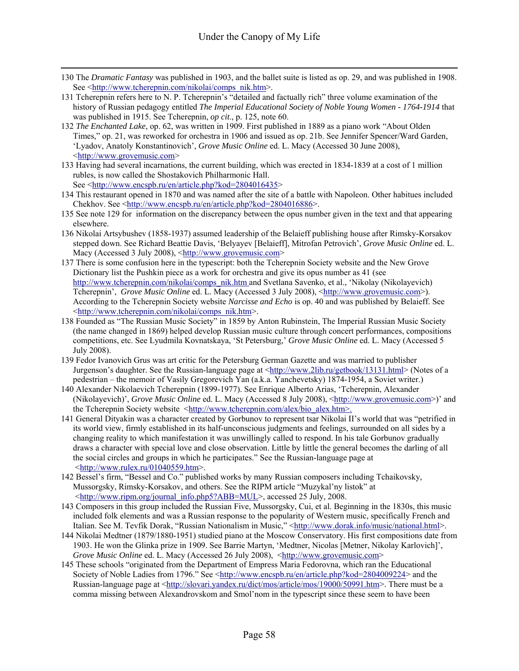- 130 The *Dramatic Fantasy* was published in 1903, and the ballet suite is listed as op. 29, and was published in 1908. See <http://www.tcherepnin.com/nikolai/comps\_nik.htm>.
- 131 Tcherepnin refers here to N. P. Tcherepnin's "detailed and factually rich" three volume examination of the history of Russian pedagogy entitled *The Imperial Educational Society of Noble Young Women - 1764-1914* that was published in 1915. See Tcherepnin, *op cit*., p. 125, note 60.
- 132 *The Enchanted Lake*, op. 62, was written in 1909. First published in 1889 as a piano work "About Olden Times," op. 21, was reworked for orchestra in 1906 and issued as op. 21b. See Jennifer Spencer/Ward Garden, 'Lyadov, Anatoly Konstantinovich', *Grove Music Online* ed. L. Macy (Accessed 30 June 2008), <http://www.grovemusic.com>
- 133 Having had several incarnations, the current building, which was erected in 1834-1839 at a cost of 1 million rubles, is now called the Shostakovich Philharmonic Hall. See <http://www.encspb.ru/en/article.php?kod=2804016435>
- 134 This restaurant opened in 1870 and was named after the site of a battle with Napoleon. Other habitues included Chekhov. See <http://www.encspb.ru/en/article.php?kod=2804016886>.
- 135 See note 129 for information on the discrepancy between the opus number given in the text and that appearing elsewhere.
- 136 Nikolai Artsybushev (1858-1937) assumed leadership of the Belaieff publishing house after Rimsky-Korsakov stepped down. See Richard Beattie Davis, 'Belyayev [Belaieff], Mitrofan Petrovich', *Grove Music Online* ed. L. Macy (Accessed 3 July 2008), <http://www.grovemusic.com>
- 137 There is some confusion here in the typescript: both the Tcherepnin Society website and the New Grove Dictionary list the Pushkin piece as a work for orchestra and give its opus number as 41 (see http://www.tcherepnin.com/nikolai/comps\_nik.htm and Svetlana Savenko, et al., 'Nikolay (Nikolayevich) Tcherepnin', *Grove Music Online* ed. L. Macy (Accessed 3 July 2008), <http://www.grovemusic.com>). According to the Tcherepnin Society website *Narcisse and Echo* is op. 40 and was published by Belaieff. See <http://www.tcherepnin.com/nikolai/comps\_nik.htm>.
- 138 Founded as "The Russian Music Society" in 1859 by Anton Rubinstein, The Imperial Russian Music Society (the name changed in 1869) helped develop Russian music culture through concert performances, compositions competitions, etc. See Lyudmila Kovnatskaya, 'St Petersburg,' *Grove Music Online* ed. L. Macy (Accessed 5 July 2008).
- 139 Fedor Ivanovich Grus was art critic for the Petersburg German Gazette and was married to publisher Jurgenson's daughter. See the Russian-language page at <http://www.2lib.ru/getbook/13131.html> (Notes of a pedestrian – the memoir of Vasily Gregorevich Yan (a.k.a. Yanchevetsky) 1874-1954, a Soviet writer.)
- 140 Alexander Nikolaevich Tcherepnin (1899-1977). See Enrique Alberto Arias, 'Tcherepnin, Alexander (Nikolayevich)', *Grove Music Online* ed. L. Macy (Accessed 8 July 2008), <http://www.grovemusic.com>)' and the Tcherepnin Society website <http://www.tcherepnin.com/alex/bio\_alex.htm>.
- 141 General Dityakin was a character created by Gorbunov to represent tsar Nikolai II's world that was "petrified in its world view, firmly established in its half-unconscious judgments and feelings, surrounded on all sides by a changing reality to which manifestation it was unwillingly called to respond. In his tale Gorbunov gradually draws a character with special love and close observation. Little by little the general becomes the darling of all the social circles and groups in which he participates." See the Russian-language page at  $\frac{\text{th}}{\text{t}}$  /www.rulex.ru/01040559.htm>.
- 142 Bessel's firm, "Bessel and Co." published works by many Russian composers including Tchaikovsky, Mussorgsky, Rimsky-Korsakov, and others. See the RIPM article "Muzykal'ny listok" at <http://www.ripm.org/journal\_info.php5?ABB=MUL>, accessed 25 July, 2008.
- 143 Composers in this group included the Russian Five, Mussorgsky, Cui, et al. Beginning in the 1830s, this music included folk elements and was a Russian response to the popularity of Western music, specifically French and Italian. See M. Tevfik Dorak, "Russian Nationalism in Music," <http://www.dorak.info/music/national.html>.
- 144 Nikolai Medtner (1879/1880-1951) studied piano at the Moscow Conservatory. His first compositions date from 1903. He won the Glinka prize in 1909. See Barrie Martyn, 'Medtner, Nicolas [Metner, Nikolay Karlovich]', *Grove Music Online* ed. L. Macy (Accessed 26 July 2008), <http://www.grovemusic.com>
- 145 These schools "originated from the Department of Empress Maria Fedorovna, which ran the Educational Society of Noble Ladies from 1796." See <http://www.encspb.ru/en/article.php?kod=2804009224> and the Russian-language page at <http://slovari.yandex.ru/dict/mos/article/mos/19000/50991.htm>. There must be a comma missing between Alexandrovskom and Smol'nom in the typescript since these seem to have been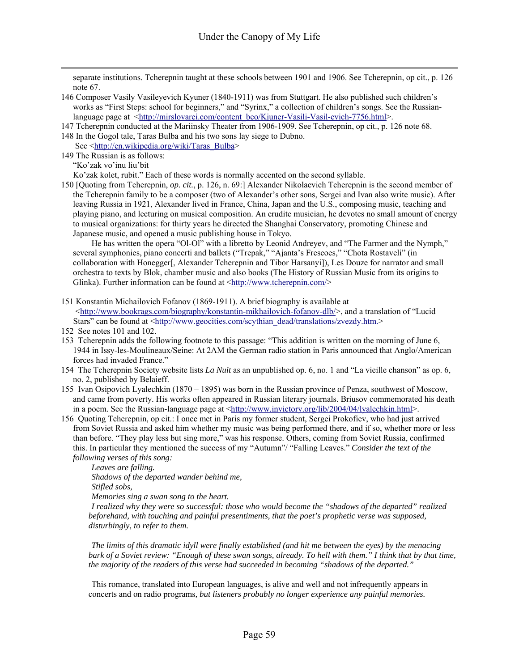separate institutions. Tcherepnin taught at these schools between 1901 and 1906. See Tcherepnin, op cit., p. 126 note 67.

- 146 Composer Vasily Vasileyevich Kyuner (1840-1911) was from Stuttgart. He also published such children's works as "First Steps: school for beginners," and "Syrinx," a collection of children's songs. See the Russianlanguage page at <http://mirslovarei.com/content\_beo/Kjuner-Vasili-Vasil-evich-7756.html>.
- 147 Tcherepnin conducted at the Mariinsky Theater from 1906-1909. See Tcherepnin, op cit., p. 126 note 68.
- 148 In the Gogol tale, Taras Bulba and his two sons lay siege to Dubno.
- See <http://en.wikipedia.org/wiki/Taras\_Bulba> 149 The Russian is as follows:
	- "Ko'zak vo'inu liu'bit

Ko'zak kolet, rubit." Each of these words is normally accented on the second syllable.

150 [Quoting from Tcherepnin, *op. cit.*, p. 126, n. 69:] Alexander Nikolaevich Tcherepnin is the second member of the Tcherepnin family to be a composer (two of Alexander's other sons, Sergei and Ivan also write music). After leaving Russia in 1921, Alexander lived in France, China, Japan and the U.S., composing music, teaching and playing piano, and lecturing on musical composition. An erudite musician, he devotes no small amount of energy to musical organizations: for thirty years he directed the Shanghai Conservatory, promoting Chinese and Japanese music, and opened a music publishing house in Tokyo.

 He has written the opera "Ol-Ol" with a libretto by Leonid Andreyev, and "The Farmer and the Nymph," several symphonies, piano concerti and ballets ("Trepak," "Ajanta's Frescoes," "Chota Rostaveli" (in collaboration with Honegger[, Alexander Tcherepnin and Tibor Harsanyi]), Les Douze for narrator and small orchestra to texts by Blok, chamber music and also books (The History of Russian Music from its origins to Glinka). Further information can be found at <http://www.tcherepnin.com/>

- 151 Konstantin Michailovich Fofanov (1869-1911). A brief biography is available at  $\langle$ http://www.bookrags.com/biography/konstantin-mikhailovich-fofanov-dlb/>, and a translation of "Lucid" Stars" can be found at <http://www.geocities.com/scythian\_dead/translations/zvezdy.htm.>
- 152 See notes 101 and 102.
- 153 Tcherepnin adds the following footnote to this passage: "This addition is written on the morning of June 6, 1944 in Issy-les-Moulineaux/Seine: At 2AM the German radio station in Paris announced that Anglo/American forces had invaded France."
- 154 The Tcherepnin Society website lists *La Nuit* as an unpublished op. 6, no. 1 and "La vieille chanson" as op. 6, no. 2, published by Belaieff.
- 155 Ivan Osipovich Lyalechkin (1870 1895) was born in the Russian province of Penza, southwest of Moscow, and came from poverty. His works often appeared in Russian literary journals. Briusov commemorated his death in a poem. See the Russian-language page at  $\frac{\text{http://www.invictory.org/lib/2004/04/lyalechkin.html>}}{$ .
- 156 Quoting Tcherepnin, op cit.: I once met in Paris my former student, Sergei Prokofiev, who had just arrived from Soviet Russia and asked him whether my music was being performed there, and if so, whether more or less than before. "They play less but sing more," was his response. Others, coming from Soviet Russia, confirmed this. In particular they mentioned the success of my "Autumn"/ "Falling Leaves." *Consider the text of the following verses of this song:*

 *Leaves are falling.* 

 *Shadows of the departed wander behind me,* 

 *Stifled sobs,* 

 *Memories sing a swan song to the heart.* 

 *I realized why they were so successful: those who would become the "shadows of the departed" realized beforehand, with touching and painful presentiments, that the poet's prophetic verse was supposed, disturbingly, to refer to them.* 

 *The limits of this dramatic idyll were finally established (and hit me between the eyes) by the menacing bark of a Soviet review: "Enough of these swan songs, already. To hell with them." I think that by that time, the majority of the readers of this verse had succeeded in becoming "shadows of the departed."* 

 This romance, translated into European languages, is alive and well and not infrequently appears in concerts and on radio programs*, but listeners probably no longer experience any painful memories.*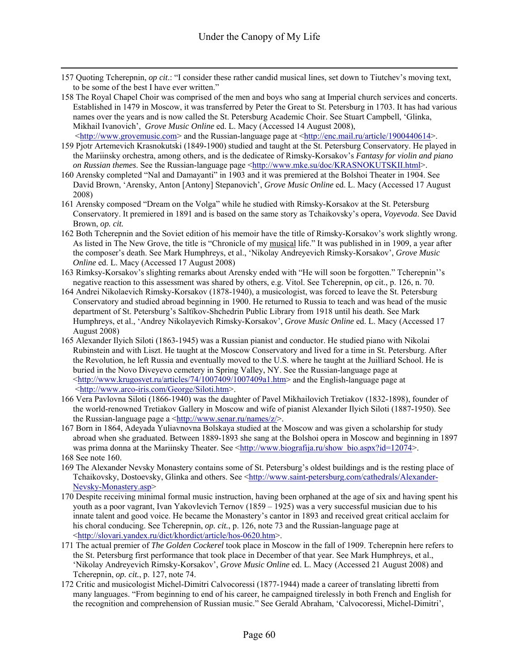- 157 Quoting Tcherepnin, *op cit*.: "I consider these rather candid musical lines, set down to Tiutchev's moving text, to be some of the best I have ever written."
- 158 The Royal Chapel Choir was comprised of the men and boys who sang at Imperial church services and concerts. Established in 1479 in Moscow, it was transferred by Peter the Great to St. Petersburg in 1703. It has had various names over the years and is now called the St. Petersburg Academic Choir. See Stuart Campbell, 'Glinka, Mikhail Ivanovich', *Grove Music Online* ed. L. Macy (Accessed 14 August 2008),
- <http://www.grovemusic.com> and the Russian-language page at <http://enc.mail.ru/article/1900440614>. 159 Pjotr Artemevich Krasnokutski (1849-1900) studied and taught at the St. Petersburg Conservatory. He played in the Mariinsky orchestra, among others, and is the dedicatee of Rimsky-Korsakov's *Fantasy for violin and piano on Russian themes*. See the Russian-language page <http://www.mke.su/doc/KRASNOKUTSKII.html>.
- 160 Arensky completed "Nal and Damayanti" in 1903 and it was premiered at the Bolshoi Theater in 1904. See David Brown, 'Arensky, Anton [Antony] Stepanovich', *Grove Music Online* ed. L. Macy (Accessed 17 August 2008)
- 161 Arensky composed "Dream on the Volga" while he studied with Rimsky-Korsakov at the St. Petersburg Conservatory. It premiered in 1891 and is based on the same story as Tchaikovsky's opera, *Voyevoda*. See David Brown, *op. cit.*
- 162 Both Tcherepnin and the Soviet edition of his memoir have the title of Rimsky-Korsakov's work slightly wrong. As listed in The New Grove, the title is "Chronicle of my musical life." It was published in in 1909, a year after the composer's death. See Mark Humphreys, et al., 'Nikolay Andreyevich Rimsky-Korsakov', *Grove Music Online* ed. L. Macy (Accessed 17 August 2008)
- 163 Rimksy-Korsakov's slighting remarks about Arensky ended with "He will soon be forgotten." Tcherepnin''s negative reaction to this assessment was shared by others, e.g. Vitol. See Tcherepnin, op cit., p. 126, n. 70.
- 164 Andrei Nikolaevich Rimsky-Korsakov (1878-1940), a musicologist, was forced to leave the St. Petersburg Conservatory and studied abroad beginning in 1900. He returned to Russia to teach and was head of the music department of St. Petersburg's Saltïkov-Shchedrin Public Library from 1918 until his death. See Mark Humphreys, et al., 'Andrey Nikolayevich Rimsky-Korsakov', *Grove Music Online* ed. L. Macy (Accessed 17 August 2008)
- 165 Alexander Ilyich Siloti (1863-1945) was a Russian pianist and conductor. He studied piano with Nikolai Rubinstein and with Liszt. He taught at the Moscow Conservatory and lived for a time in St. Petersburg. After the Revolution, he left Russia and eventually moved to the U.S. where he taught at the Juilliard School. He is buried in the Novo Diveyevo cemetery in Spring Valley, NY. See the Russian-language page at <http://www.krugosvet.ru/articles/74/1007409/1007409a1.htm> and the English-language page at <http://www.arco-iris.com/George/Siloti.htm>.
- 166 Vera Pavlovna Siloti (1866-1940) was the daughter of Pavel Mikhailovich Tretiakov (1832-1898), founder of the world-renowned Tretiakov Gallery in Moscow and wife of pianist Alexander Ilyich Siloti (1887-1950). See the Russian-language page a  $\langle \frac{h}{h} \cdot h \cdot h \cdot \rangle$  /www.senar.ru/names/z/>.
- 167 Born in 1864, Adeyada Yuliavnovna Bolskaya studied at the Moscow and was given a scholarship for study abroad when she graduated. Between 1889-1893 she sang at the Bolshoi opera in Moscow and beginning in 1897 was prima donna at the Mariinsky Theater. See <http://www.biografija.ru/show\_bio.aspx?id=12074>. 168 See note 160.
- 169 The Alexander Nevsky Monastery contains some of St. Petersburg's oldest buildings and is the resting place of Tchaikovsky, Dostoevsky, Glinka and others. See <http://www.saint-petersburg.com/cathedrals/Alexander-Nevsky-Monastery.asp>
- 170 Despite receiving minimal formal music instruction, having been orphaned at the age of six and having spent his youth as a poor vagrant, Ivan Yakovlevich Ternov (1859 – 1925) was a very successful musician due to his innate talent and good voice. He became the Monastery's cantor in 1893 and received great critical acclaim for his choral conducing. See Tcherepnin, *op. cit.*, p. 126, note 73 and the Russian-language page at <http://slovari.yandex.ru/dict/khordict/article/hos-0620.htm>.
- 171 The actual premier of *The Golden Cockerel* took place in Moscow in the fall of 1909. Tcherepnin here refers to the St. Petersburg first performance that took place in December of that year. See Mark Humphreys, et al., 'Nikolay Andreyevich Rimsky-Korsakov', *Grove Music Online* ed. L. Macy (Accessed 21 August 2008) and Tcherepnin, *op. cit.*, p. 127, note 74.
- 172 Critic and musicologist Michel-Dimitri Calvocoressi (1877-1944) made a career of translating libretti from many languages. "From beginning to end of his career, he campaigned tirelessly in both French and English for the recognition and comprehension of Russian music." See Gerald Abraham, 'Calvocoressi, Michel-Dimitri',